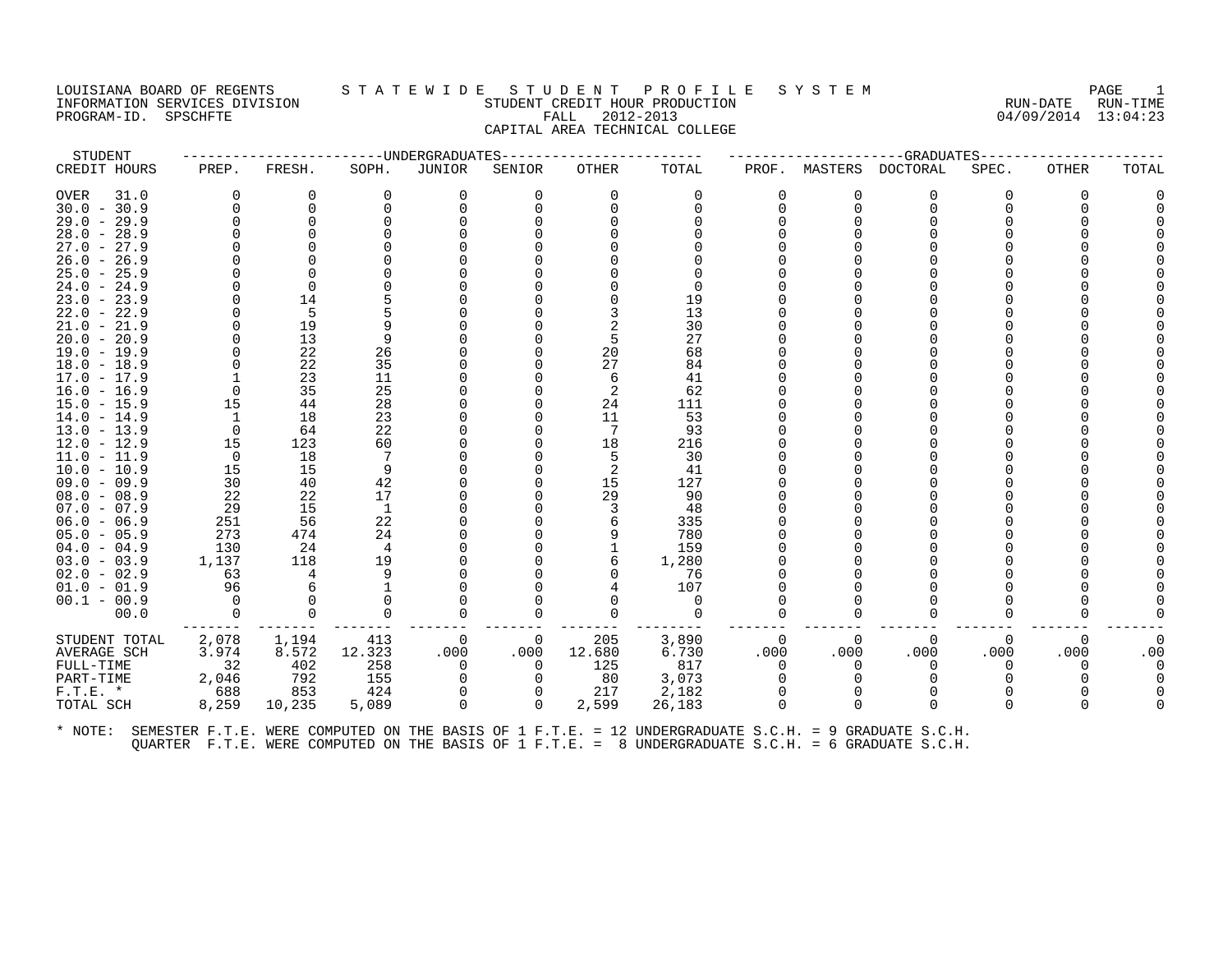PROGRAM-ID. SPSCHFTE

# LOUISIANA BOARD OF REGENTS STA TEWIDE STUDENT PROFILE SYSTEM NAGE 1 INFORMATION SERVICES DIVISION SUNGLERICAL STUDENT CREDIT HOUR PRODUCTION SUNGLERIC RUN-DATE RUN-TIME<br>PROGRAM-ID. SPSCHFTE SUN-TIME SUNGLERICAL FALL 2012-2013 CAPITAL AREA TECHNICAL COLLEGE

| STUDENT                           |              |           |              | -----UNDERGRADUATES |             |          |            |          |          | --GRADUATES                                                                                          |          |          |          |
|-----------------------------------|--------------|-----------|--------------|---------------------|-------------|----------|------------|----------|----------|------------------------------------------------------------------------------------------------------|----------|----------|----------|
| CREDIT HOURS                      | PREP.        | FRESH.    | SOPH.        | JUNIOR              | SENIOR      | OTHER    | TOTAL      | PROF.    | MASTERS  | DOCTORAL                                                                                             | SPEC.    | OTHER    | TOTAL    |
| <b>OVER</b><br>31.0               | <sup>0</sup> | 0         | 0            | 0                   | $\mathbf 0$ | $\Omega$ | 0          | 0        | $\Omega$ | 0                                                                                                    | 0        | $\Omega$ |          |
| $30.0 - 30.9$                     |              | 0         |              | $\Omega$            | $\mathbf 0$ | $\Omega$ | $\Omega$   | $\Omega$ | $\Omega$ | $\Omega$                                                                                             | U        |          |          |
| $29.0 - 29.9$                     |              | 0         |              |                     | $\Omega$    |          |            | U        |          |                                                                                                      |          |          |          |
| $28.0 - 28.9$                     |              |           |              |                     |             |          |            |          |          |                                                                                                      |          |          |          |
| $27.0 -$<br>27.9                  |              |           |              |                     |             |          |            |          |          |                                                                                                      |          |          |          |
| $26.0 -$<br>26.9                  |              |           |              |                     |             |          |            |          |          |                                                                                                      |          |          |          |
| $25.0 - 25.9$                     |              |           |              |                     |             |          |            |          |          |                                                                                                      |          |          |          |
| $24.0 -$<br>24.9                  |              | $\Omega$  |              |                     |             |          |            |          |          |                                                                                                      |          |          |          |
| $23.0 -$<br>23.9                  |              | 14<br>5   |              |                     |             |          | 19         |          |          |                                                                                                      |          |          |          |
| $22.0 - 22.9$<br>$21.0 -$<br>21.9 |              | 19        |              |                     |             |          | 13<br>30   |          |          |                                                                                                      |          |          |          |
| $20.0 -$<br>20.9                  |              | 13        | 9            |                     |             |          | 27         |          |          |                                                                                                      |          |          |          |
| $19.0 - 19.9$                     |              | 22        | 26           |                     | $\Omega$    | 20       | 68         |          |          |                                                                                                      |          |          |          |
| $18.0 - 18.9$                     |              | 22        | 35           |                     |             | 27       | 84         |          |          |                                                                                                      |          |          |          |
| $17.0 - 17.9$                     |              | 23        | 11           |                     |             | 6        | 41         |          |          |                                                                                                      |          |          |          |
| $16.0 - 16.9$                     |              | 35        | 25           |                     | $\Omega$    | 2        | 62         |          |          |                                                                                                      |          |          |          |
| $15.0 - 15.9$                     | 15           | 44        | 28           |                     |             | 24       | 111        |          |          |                                                                                                      |          |          |          |
| 14.0<br>$-14.9$                   |              | 18        | 23           |                     |             | 11       | 53         |          |          |                                                                                                      |          |          |          |
| $13.0 - 13.9$                     |              | 64        | 22           |                     | O           | 7        | 93         |          |          |                                                                                                      |          |          |          |
| $12.0 - 12.9$                     | 15           | 123       | 60           |                     |             | 18       | 216        |          |          |                                                                                                      |          |          |          |
| $11.0 - 11.9$                     | 0            | 18        | 7            |                     |             | 5        | 30         |          |          |                                                                                                      |          |          |          |
| $10.0 - 10.9$                     | 15           | 15        | 9            |                     |             |          | 41         |          |          |                                                                                                      |          |          |          |
| $09.0 - 09.9$                     | 30           | 40        | 42           |                     |             | 15       | 127        |          |          |                                                                                                      |          |          |          |
| $08.0 - 08.9$                     | 22           | 22        | 17           |                     | $\Omega$    | 29       | 90         |          |          |                                                                                                      |          |          |          |
| $07.0 - 07.9$                     | 29           | 15        | 1            |                     |             |          | 48         |          |          |                                                                                                      |          |          |          |
| $06.0 - 06.9$                     | 251          | 56        | 22           |                     |             |          | 335        |          |          |                                                                                                      |          |          |          |
| $05.0 - 05.9$<br>$04.0 - 04.9$    | 273<br>130   | 474<br>24 | 24<br>4      |                     |             |          | 780<br>159 |          |          |                                                                                                      |          |          |          |
| $03.0 - 03.9$                     | 1,137        | 118       | 19           |                     |             | 6        | 1,280      |          |          |                                                                                                      |          |          |          |
| $02.0 - 02.9$                     | 63           | 4         | 9            |                     |             |          | 76         |          |          |                                                                                                      |          |          |          |
| $01.0 - 01.9$                     | 96           | 6         |              |                     |             |          | 107        |          |          |                                                                                                      |          |          |          |
| $00.1 - 00.9$                     |              | $\Omega$  | <sup>0</sup> |                     |             |          | 0          | O        |          | ∩                                                                                                    |          |          |          |
| 00.0                              | 0            | 0         | 0            | $\Omega$            | 0           |          | 0          | O        |          | $\Omega$                                                                                             | 0        |          |          |
| STUDENT TOTAL                     | 2,078        | 1,194     | 413          | 0                   | 0           | 205      | 3,890      | 0        | $\Omega$ | 0                                                                                                    | 0        | $\Omega$ | 0        |
| AVERAGE SCH                       | 3.974        | 8.572     | 12.323       | .000                | .000        | 12.680   | 6.730      | .000     | .000     | .000                                                                                                 | .000     | .000     | .00      |
| FULL-TIME                         | 32           | 402       | 258          | $\Omega$            | $\Omega$    | 125      | 817        | $\Omega$ | $\Omega$ | $\Omega$                                                                                             | $\Omega$ | $\Omega$ | $\Omega$ |
| PART-TIME                         | 2,046        | 792       | 155          | $\Omega$            |             | 80       | 3,073      | $\Omega$ |          | ∩                                                                                                    |          |          |          |
| $F.T.E.$ *                        | 688          | 853       | 424          | 0                   | 0           | 217      | 2,182      | $\Omega$ |          | $\Omega$                                                                                             |          |          |          |
| TOTAL SCH                         | 8,259        | 10,235    | 5,089        | $\Omega$            | $\Omega$    | 2,599    | 26,183     | $\Omega$ | $\Omega$ | $\Omega$                                                                                             | $\Omega$ |          |          |
| * NOTE:                           |              |           |              |                     |             |          |            |          |          | SEMESTER F.T.E. WERE COMPUTED ON THE BASIS OF 1 F.T.E. = 12 UNDERGRADUATE S.C.H. = 9 GRADUATE S.C.H. |          |          |          |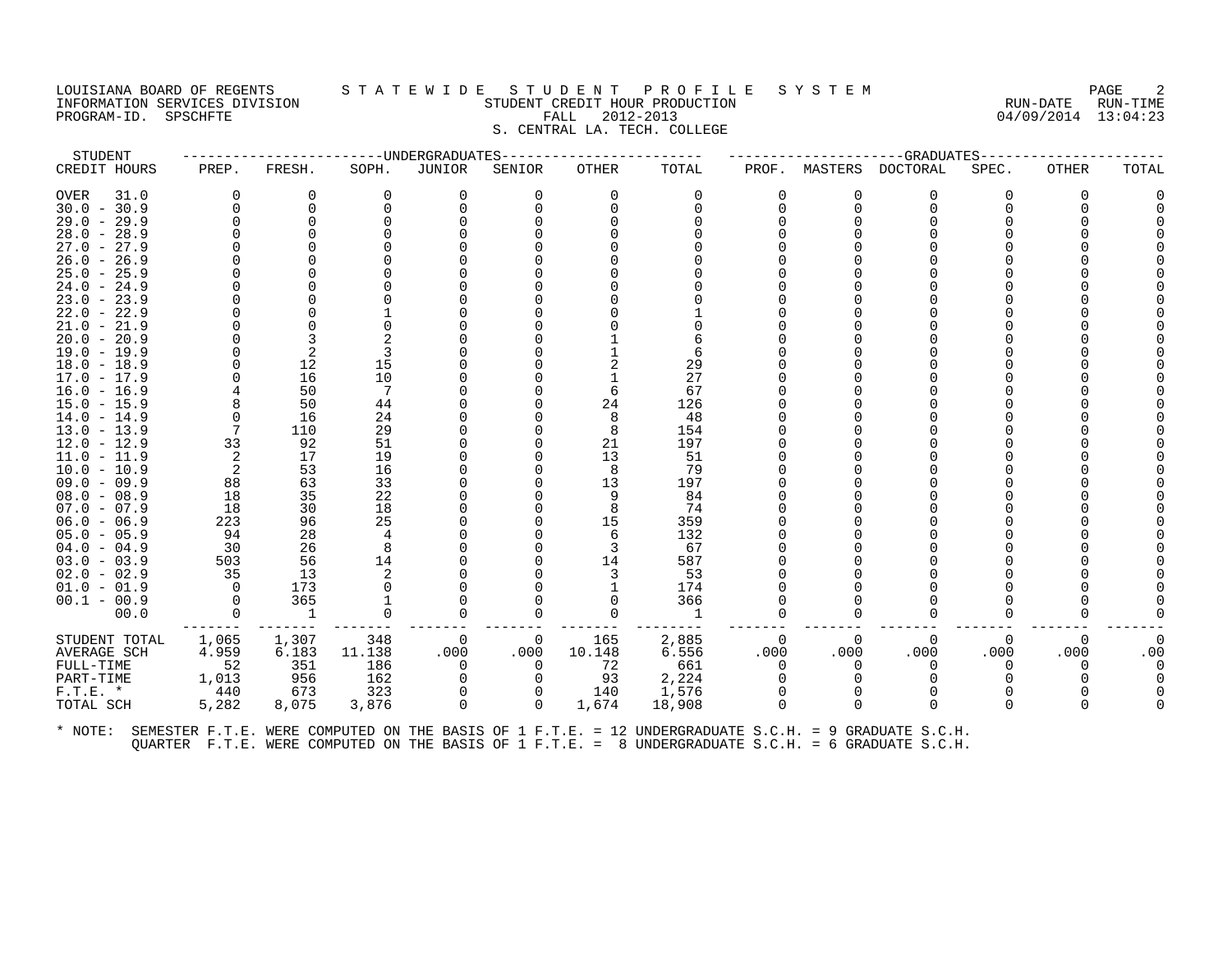#### LOUISIANA BOARD OF REGENTS S T A T E W I D E S T U D E N T P R O F I L E S Y S T E M PAGE 2 INFORMATION SERVICES DIVISION STUDENT CREDIT HOUR PRODUCTION RUN-DATE RUN-TIME PROGRAM-ID. SPSCHFTE FALL 2012-2013 04/09/2014 13:04:23 S. CENTRAL LA. TECH. COLLEGE

| STUDENT                        |       |          |          | -----UNDERGRADUATES |          |              |                                                                                                      |              |          | --GRADUATES     |          |              |       |
|--------------------------------|-------|----------|----------|---------------------|----------|--------------|------------------------------------------------------------------------------------------------------|--------------|----------|-----------------|----------|--------------|-------|
| CREDIT HOURS                   | PREP. | FRESH.   | SOPH.    | JUNIOR              | SENIOR   | <b>OTHER</b> | TOTAL                                                                                                | PROF.        | MASTERS  | <b>DOCTORAL</b> | SPEC.    | OTHER        | TOTAL |
| <b>OVER</b><br>31.0            |       | 0        | 0        | 0                   | $\Omega$ | 0            | 0                                                                                                    | 0            | 0        | 0               | O        | 0            |       |
| $30.0 - 30.9$                  |       | 0        | 0        | $\Omega$            | 0        | $\Omega$     | $\Omega$                                                                                             | <sup>n</sup> | $\Omega$ | 0               |          | <sup>0</sup> |       |
| $29.0 - 29.9$                  |       | O        |          |                     |          |              |                                                                                                      |              |          |                 |          |              |       |
| $28.0 - 28.9$                  |       |          |          |                     |          |              |                                                                                                      |              |          |                 |          |              |       |
| $27.0 -$<br>27.9               |       |          |          |                     |          |              |                                                                                                      |              |          |                 |          |              |       |
| $26.0 -$<br>26.9               |       |          |          |                     |          |              |                                                                                                      |              |          |                 |          |              |       |
| $25.0 - 25.9$                  |       |          |          |                     |          |              |                                                                                                      |              |          |                 |          |              |       |
| $24.0 -$<br>24.9               |       |          |          |                     |          |              |                                                                                                      |              |          |                 |          |              |       |
| $23.0 -$<br>23.9               |       |          |          |                     |          |              |                                                                                                      |              |          |                 |          |              |       |
| $22.0 - 22.9$                  |       |          |          |                     |          |              |                                                                                                      |              |          |                 |          |              |       |
| $21.0 -$<br>21.9               |       |          |          |                     |          |              |                                                                                                      |              |          |                 |          |              |       |
| $20.0 -$<br>20.9               |       |          |          |                     |          |              |                                                                                                      |              |          |                 |          |              |       |
| $19.0 - 19.9$                  |       | 2        |          |                     |          |              | 6                                                                                                    |              |          |                 |          |              |       |
| $18.0 - 18.9$                  |       | 12<br>16 | 15<br>10 |                     |          |              | 29<br>27                                                                                             |              |          |                 |          |              |       |
| $17.0 - 17.9$<br>$16.0 - 16.9$ |       | 50       | 7        |                     |          | 6            | 67                                                                                                   |              |          |                 |          |              |       |
| $15.0 - 15.9$                  |       | 50       | 44       |                     |          | 24           | 126                                                                                                  |              |          |                 |          |              |       |
| $14.0 - 14.9$                  |       | 16       | 24       |                     |          | 8            | 48                                                                                                   |              |          |                 |          |              |       |
| $13.0 - 13.9$                  |       | 110      | 29       |                     |          | 8            | 154                                                                                                  |              |          |                 |          |              |       |
| $12.0 - 12.9$                  | 33    | 92       | 51       |                     |          | 21           | 197                                                                                                  |              |          |                 |          |              |       |
| $11.0 - 11.9$                  |       | 17       | 19       |                     |          | 13           | 51                                                                                                   |              |          |                 |          |              |       |
| $10.0 - 10.9$                  |       | 53       | 16       |                     |          | 8            | 79                                                                                                   |              |          |                 |          |              |       |
| $09.0 - 09.9$                  | 88    | 63       | 33       |                     |          | 13           | 197                                                                                                  |              |          |                 |          |              |       |
| $08.0 - 08.9$                  | 18    | 35       | 22       |                     |          | 9            | 84                                                                                                   |              |          |                 |          |              |       |
| $07.0 - 07.9$                  | 18    | 30       | 18       |                     |          | 8            | 74                                                                                                   |              |          |                 |          |              |       |
| $06.0 - 06.9$                  | 223   | 96       | 25       |                     |          | 15           | 359                                                                                                  |              |          |                 |          |              |       |
| $05.0 - 05.9$                  | 94    | 28       | 4        |                     |          | 6            | 132                                                                                                  |              |          |                 |          |              |       |
| $04.0 - 04.9$                  | 30    | 26       | 8        |                     |          |              | 67                                                                                                   |              |          |                 |          |              |       |
| $03.0 - 03.9$                  | 503   | 56       | 14       |                     |          | 14           | 587                                                                                                  |              |          |                 |          |              |       |
| $02.0 - 02.9$                  | 35    | 13       |          |                     |          | 3            | 53                                                                                                   |              |          |                 |          |              |       |
| $01.0 - 01.9$                  |       | 173      |          |                     |          |              | 174                                                                                                  |              |          |                 |          |              |       |
| $00.1 - 00.9$                  |       | 365      |          |                     |          |              | 366                                                                                                  |              |          |                 |          |              |       |
| 00.0                           |       | 1        | 0        |                     | $\Omega$ |              | 1                                                                                                    |              | O        | $\Omega$        |          |              |       |
| STUDENT TOTAL                  | 1,065 | 1,307    | 348      | 0                   | 0        | 165          | 2,885                                                                                                | 0            | 0        | 0               | $\Omega$ | 0            |       |
| AVERAGE SCH                    | 4.959 | 6.183    | 11.138   | .000                | .000     | 10.148       | 6.556                                                                                                | .000         | .000     | .000            | .000     | .000         | .00   |
| FULL-TIME                      | 52    | 351      | 186      | $\Omega$            | $\Omega$ | 72           | 661                                                                                                  | $\Omega$     | $\Omega$ | $\Omega$        | O        | 0            |       |
| PART-TIME                      | 1,013 | 956      | 162      | $\Omega$            | $\Omega$ | 93           | 2,224                                                                                                |              |          |                 |          |              |       |
| $F.T.E.$ *                     | 440   | 673      | 323      | $\Omega$            | 0        | 140          | 1,576                                                                                                | $\Omega$     | $\Omega$ | $\Omega$        |          |              |       |
| TOTAL SCH                      | 5,282 | 8,075    | 3,876    | $\Omega$            | $\Omega$ | 1,674        | 18,908                                                                                               | $\Omega$     | $\Omega$ | $\Omega$        |          | U            |       |
| * NOTE:                        |       |          |          |                     |          |              | SEMESTER F.T.E. WERE COMPUTED ON THE BASIS OF 1 F.T.E. = 12 UNDERGRADUATE S.C.H. = 9 GRADUATE S.C.H. |              |          |                 |          |              |       |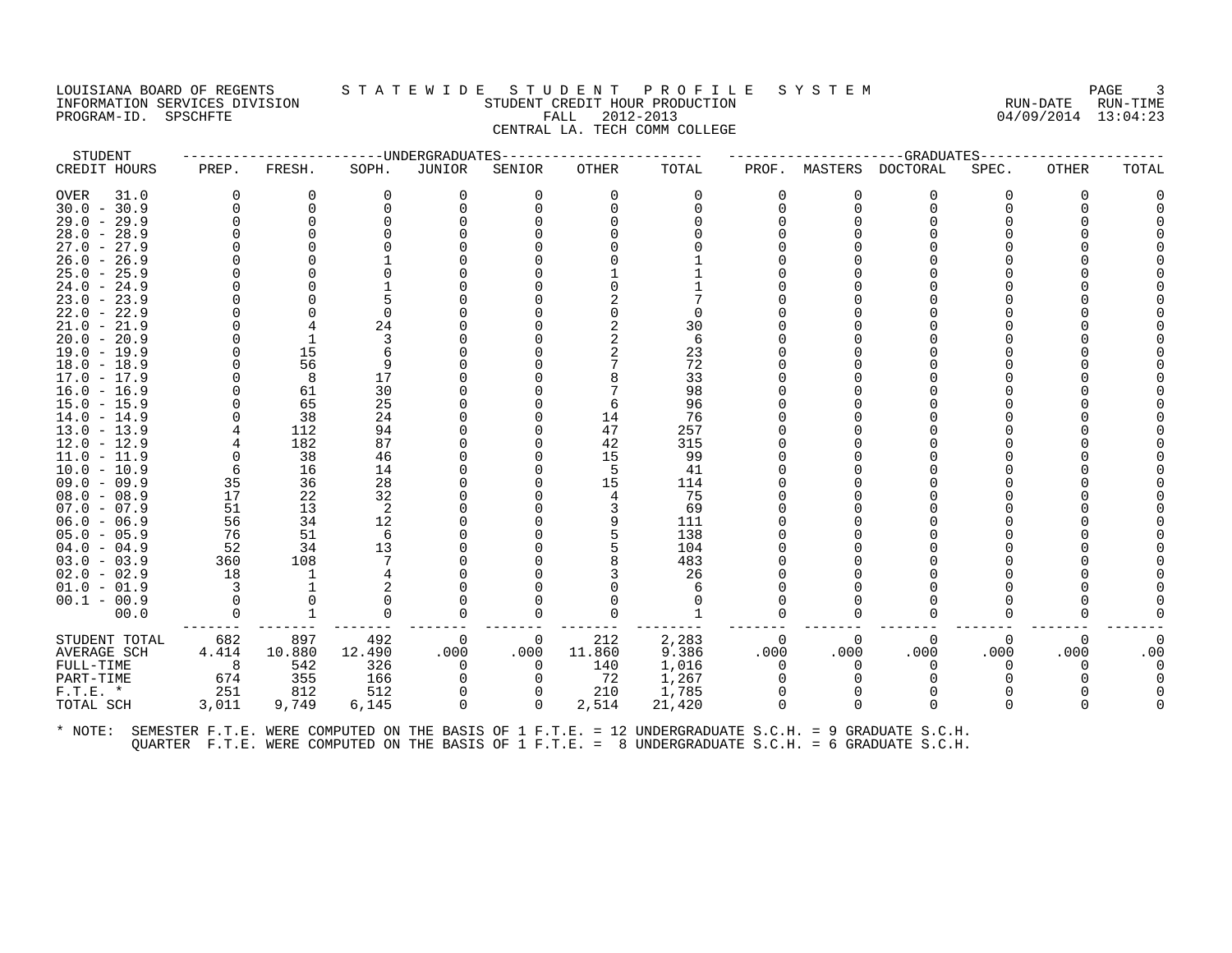#### LOUISIANA BOARD OF REGENTS S T A T E W I D E S T U D E N T P R O F I L E S Y S T E M PAGE 3 INFORMATION SERVICES DIVISION STUDENT CREDIT HOUR PRODUCTION RUN-DATE RUN-TIME PROGRAM-ID. SPSCHFTE FALL 2012-2013 04/09/2014 13:04:23 CENTRAL LA. TECH COMM COLLEGE

| STUDENT       |          |              |          | ---------------------UNDERGRADUATES |          |          |          |          |          | --GRADUATES----- |       |              |       |
|---------------|----------|--------------|----------|-------------------------------------|----------|----------|----------|----------|----------|------------------|-------|--------------|-------|
| CREDIT HOURS  | PREP.    | FRESH.       | SOPH.    | JUNIOR                              | SENIOR   | OTHER    | TOTAL    | PROF.    | MASTERS  | DOCTORAL         | SPEC. | <b>OTHER</b> | TOTAL |
| OVER<br>31.0  | $\Omega$ | 0            | $\Omega$ | 0                                   | 0        | $\Omega$ | $\Omega$ | $\Omega$ | 0        | $\Omega$         | 0     | $\Omega$     |       |
| $30.0 - 30.9$ | $\Omega$ | $\Omega$     |          |                                     |          |          |          | $\Omega$ | $\Omega$ | $\Omega$         |       |              |       |
| $29.0 - 29.9$ | $\Omega$ | $\Omega$     |          |                                     |          |          |          |          |          |                  |       |              |       |
| $28.0 - 28.9$ |          |              |          |                                     |          |          |          |          |          |                  |       |              |       |
| $27.0 - 27.9$ |          |              |          |                                     |          |          |          |          |          |                  |       |              |       |
| $26.0 - 26.9$ |          |              |          |                                     |          |          |          |          |          |                  |       |              |       |
| $25.0 - 25.9$ |          |              |          |                                     |          |          |          |          |          |                  |       |              |       |
| $24.0 - 24.9$ |          |              |          |                                     |          |          |          |          |          |                  |       |              |       |
| $23.0 - 23.9$ |          |              |          |                                     |          |          |          |          |          |                  |       |              |       |
| $22.0 - 22.9$ |          |              |          |                                     |          |          |          |          |          |                  |       |              |       |
| $21.0 - 21.9$ |          |              | 24       |                                     |          |          | 30       |          |          |                  |       |              |       |
| $20.0 - 20.9$ |          | $\mathbf{1}$ |          |                                     |          |          | 6        |          |          |                  |       |              |       |
| $19.0 - 19.9$ | $\Omega$ | 15           |          |                                     |          |          | 23       |          |          |                  |       |              |       |
| $18.0 - 18.9$ | $\Omega$ | 56           |          |                                     |          |          | 72       |          |          |                  |       |              |       |
| 17.0 - 17.9   |          | 8            | 17       |                                     |          |          | 33       |          |          |                  |       |              |       |
| $16.0 - 16.9$ |          | 61           | 30       |                                     |          |          | 98       |          |          |                  |       |              |       |
| $15.0 - 15.9$ |          | 65           | 25       |                                     |          |          | 96       |          |          |                  |       |              |       |
| $14.0 - 14.9$ | $\Omega$ | 38           | 24       |                                     |          | 14       | 76       |          |          |                  |       |              |       |
| $13.0 - 13.9$ |          | 112          | 94       |                                     |          | 47       | 257      |          |          |                  |       |              |       |
| $12.0 - 12.9$ |          | 182          | 87       |                                     |          | 42       | 315      |          |          |                  |       |              |       |
| $11.0 - 11.9$ | $\Omega$ | 38           | 46       |                                     |          | 15       | 99       |          |          |                  |       |              |       |
| $10.0 - 10.9$ | 6        | 16           | 14       |                                     |          |          | 41       |          |          |                  |       |              |       |
| $09.0 - 09.9$ | 35       | 36           | 28       |                                     |          | 15       | 114      |          |          |                  |       |              |       |
| $08.0 - 08.9$ | 17       | 22           | 32       |                                     |          |          | 75       |          |          |                  |       |              |       |
| $07.0 - 07.9$ | 51       | 13           | 2        |                                     |          |          | 69       |          |          |                  |       |              |       |
| $06.0 - 06.9$ | 56       | 34           | 12       |                                     |          |          | 111      |          |          |                  |       |              |       |
| $05.0 - 05.9$ | 76       | 51           | 6        |                                     |          |          | 138      |          |          |                  |       |              |       |
| $04.0 - 04.9$ | 52       | 34           | 13       |                                     |          |          | 104      |          |          |                  |       |              |       |
| $03.0 - 03.9$ | 360      | 108          |          |                                     |          |          | 483      |          |          |                  |       |              |       |
| $02.0 - 02.9$ | 18       | 1            |          |                                     |          |          | 26       |          |          |                  |       |              |       |
| $01.0 - 01.9$ | 3        |              |          |                                     |          |          | 6        |          |          |                  |       |              |       |
| $00.1 - 00.9$ | $\Omega$ |              |          |                                     |          |          |          |          |          |                  |       |              |       |
| 00.0          | $\Omega$ | $\mathbf{1}$ | $\Omega$ |                                     | O        |          | 1        | O        | O        | $\Omega$         |       |              |       |
| STUDENT TOTAL | 682      | 897          | 492      | 0                                   | 0        | 212      | 2,283    | 0        | $\Omega$ | 0                | 0     | 0            |       |
| AVERAGE SCH   | 4.414    | 10.880       | 12.490   | .000                                | .000     | 11.860   | 9.386    | .000     | .000     | .000             | .000  | .000         | .00   |
| FULL-TIME     | 8        | 542          | 326      | $\Omega$                            | $\Omega$ | 140      | 1,016    | $\Omega$ | $\Omega$ | $\Omega$         | 0     | O            |       |
| PART-TIME     | 674      | 355          | 166      |                                     |          | 72       | 1,267    |          |          | $\Omega$         |       |              |       |
| $F.T.E. *$    | 251      | 812          | 512      | $\Omega$                            |          | 210      | 1,785    | $\Omega$ |          |                  |       |              |       |
| TOTAL SCH     | 3,011    | 9,749        | 6,145    | $\Omega$                            | 0        | 2,514    | 21,420   | $\Omega$ | $\Omega$ | $\Omega$         | O     |              |       |
|               |          |              |          |                                     |          |          |          |          |          |                  |       |              |       |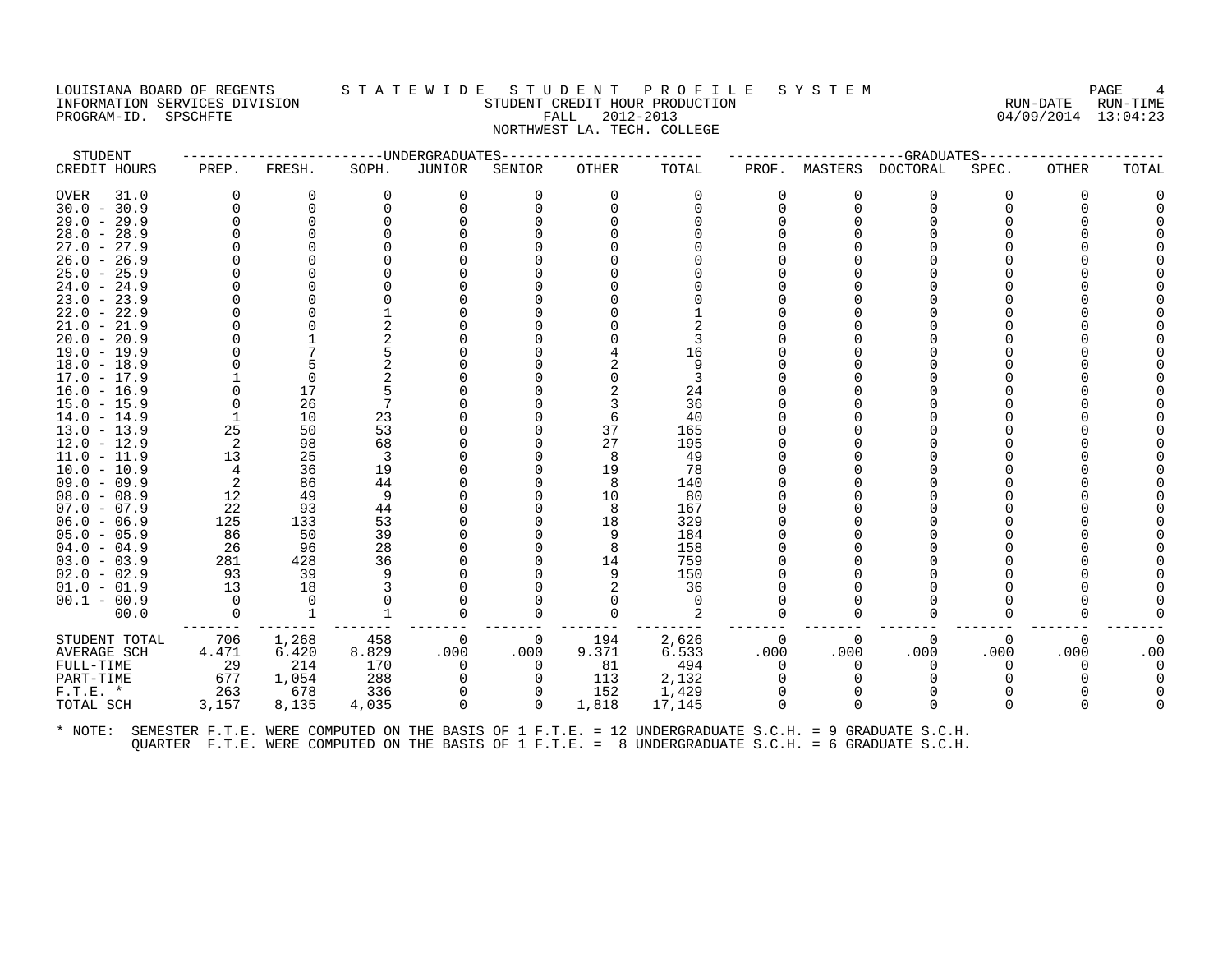#### LOUISIANA BOARD OF REGENTS S T A T E W I D E S T U D E N T P R O F I L E S Y S T E M PAGE 4 INFORMATION SERVICES DIVISION STUDENT CREDIT HOUR PRODUCTION RUN-DATE RUN-TIME PROGRAM-ID. SPSCHFTE FALL 2012-2013 04/09/2014 13:04:23 NORTHWEST LA. TECH. COLLEGE

| STUDENT                 |              | --------------------UNDERGRADUATES |              |          |          |          |                 |          |          | --GRADUATES----- |          |              |       |
|-------------------------|--------------|------------------------------------|--------------|----------|----------|----------|-----------------|----------|----------|------------------|----------|--------------|-------|
| CREDIT HOURS            | PREP.        | FRESH.                             | SOPH.        | JUNIOR   | SENIOR   | OTHER    | TOTAL           | PROF.    | MASTERS  | DOCTORAL         | SPEC.    | <b>OTHER</b> | TOTAL |
| OVER<br>31.0            | $\Omega$     | 0                                  | $\Omega$     | 0        | 0        | $\Omega$ | 0               | $\Omega$ | 0        | $\Omega$         | 0        | $\Omega$     |       |
| $30.0 - 30.9$           | $\Omega$     | $\Omega$                           |              |          |          |          |                 | $\Omega$ | $\Omega$ | $\Omega$         |          |              |       |
| $29.0 - 29.9$           | $\Omega$     | $\Omega$                           |              |          |          |          |                 |          |          |                  |          |              |       |
| $28.0 - 28.9$           |              |                                    |              |          |          |          |                 |          |          |                  |          |              |       |
| $27.0 - 27.9$           |              |                                    |              |          |          |          |                 |          |          |                  |          |              |       |
| $26.0 - 26.9$           |              |                                    |              |          |          |          |                 |          |          |                  |          |              |       |
| $25.0 - 25.9$           |              |                                    |              |          |          |          |                 |          |          |                  |          |              |       |
| $24.0 - 24.9$           |              |                                    |              |          |          |          |                 |          |          |                  |          |              |       |
| $23.0 - 23.9$           |              |                                    |              |          |          |          |                 |          |          |                  |          |              |       |
| $22.0 - 22.9$           |              |                                    |              |          |          |          |                 |          |          |                  |          |              |       |
| $21.0 - 21.9$           |              |                                    |              |          |          |          |                 |          |          |                  |          |              |       |
| $20.0 - 20.9$           |              |                                    |              |          |          |          |                 |          |          |                  |          |              |       |
| $19.0 - 19.9$           |              |                                    |              |          |          |          | 16              |          |          |                  |          |              |       |
| $18.0 - 18.9$           |              |                                    |              |          |          |          | 9               |          |          |                  |          |              |       |
| $17.0 - 17.9$           |              | $\Omega$                           |              |          |          |          |                 |          |          |                  |          |              |       |
| $16.0 - 16.9$           |              | 17                                 |              |          |          |          | 24              |          |          |                  |          |              |       |
| $15.0 - 15.9$           | $\Omega$     | 26                                 |              |          |          |          | 36              |          |          |                  |          |              |       |
| $14.0 - 14.9$           |              | 10                                 | 23           |          |          |          | 40              |          |          |                  |          |              |       |
| $13.0 - 13.9$           | 25           | 50                                 | 53           |          |          | 37       | 165             |          |          |                  |          |              |       |
| $12.0 - 12.9$           | 2            | 98                                 | 68           |          |          | 27       | 195             |          |          |                  |          |              |       |
| $11.0 - 11.9$           | 13           | 25                                 | 3            |          |          | 8        | 49              |          |          |                  |          |              |       |
| $10.0 - 10.9$           | 4            | 36                                 | 19           |          |          | 19       | 78              |          |          |                  |          |              |       |
| $09.0 - 09.9$           | 2            | 86                                 | 44           |          |          | 8        | 140             |          |          |                  |          |              |       |
| $08.0 - 08.9$           | 12           | 49                                 | 9            |          |          | 10       | 80              |          |          |                  |          |              |       |
| $07.0 - 07.9$           | 22           | 93                                 | 44           |          |          |          | 167             |          |          |                  |          |              |       |
| $06.0 - 06.9$           | 125          | 133                                | 53           |          |          | 18       | 329             |          |          |                  |          |              |       |
| $05.0 - 05.9$           | 86           | 50                                 | 39           |          |          |          | 184             |          |          |                  |          |              |       |
| $04.0 - 04.9$           | 26           | 96                                 | 28           |          |          |          | 158             |          |          |                  |          |              |       |
| $03.0 - 03.9$           | 281          | 428                                | 36           |          |          | 14       | 759             |          |          |                  |          |              |       |
| $02.0 - 02.9$           | 93           | 39                                 |              |          |          |          | 150             |          |          |                  |          |              |       |
| $01.0 - 01.9$           | 13           | 18                                 |              |          |          |          | 36              |          |          |                  |          |              |       |
| $00.1 - 00.9$           | $\Omega$     | $\cap$                             |              |          |          |          | $\Omega$        |          |          |                  |          |              |       |
| 00.0                    | $\Omega$     | $\mathbf{1}$                       |              |          |          |          |                 | 0        | O        | $\Omega$         |          |              |       |
| STUDENT TOTAL           | 706          | 1,268                              | 458          | 0        | 0        | 194      | 2,626           | 0        | 0        | 0                | 0        | 0            |       |
| AVERAGE SCH             | 4.471        | 6.420                              | 8.829        | .000     | .000     | 9.371    | 6.533           | .000     | .000     | .000             | .000     | .000         | .00   |
| FULL-TIME               | 29           | 214                                | 170          | $\Omega$ | 0        | 81       | 494             | $\Omega$ | $\Omega$ | 0                | 0        | O            |       |
| PART-TIME               | 677          | 1,054                              | 288          |          | 0        | 113      | 2,132           | $\Omega$ |          | $\Omega$         |          |              |       |
|                         |              |                                    |              | $\Omega$ |          |          |                 |          |          | $\Omega$         |          |              |       |
|                         |              |                                    |              | $\Omega$ | $\Omega$ | 1,818    |                 | $\Omega$ | $\Omega$ | $\Omega$         | $\Omega$ |              |       |
| $F.T.E. *$<br>TOTAL SCH | 263<br>3,157 | 678<br>8,135                       | 336<br>4,035 |          |          | 152      | 1,429<br>17,145 |          |          |                  |          |              |       |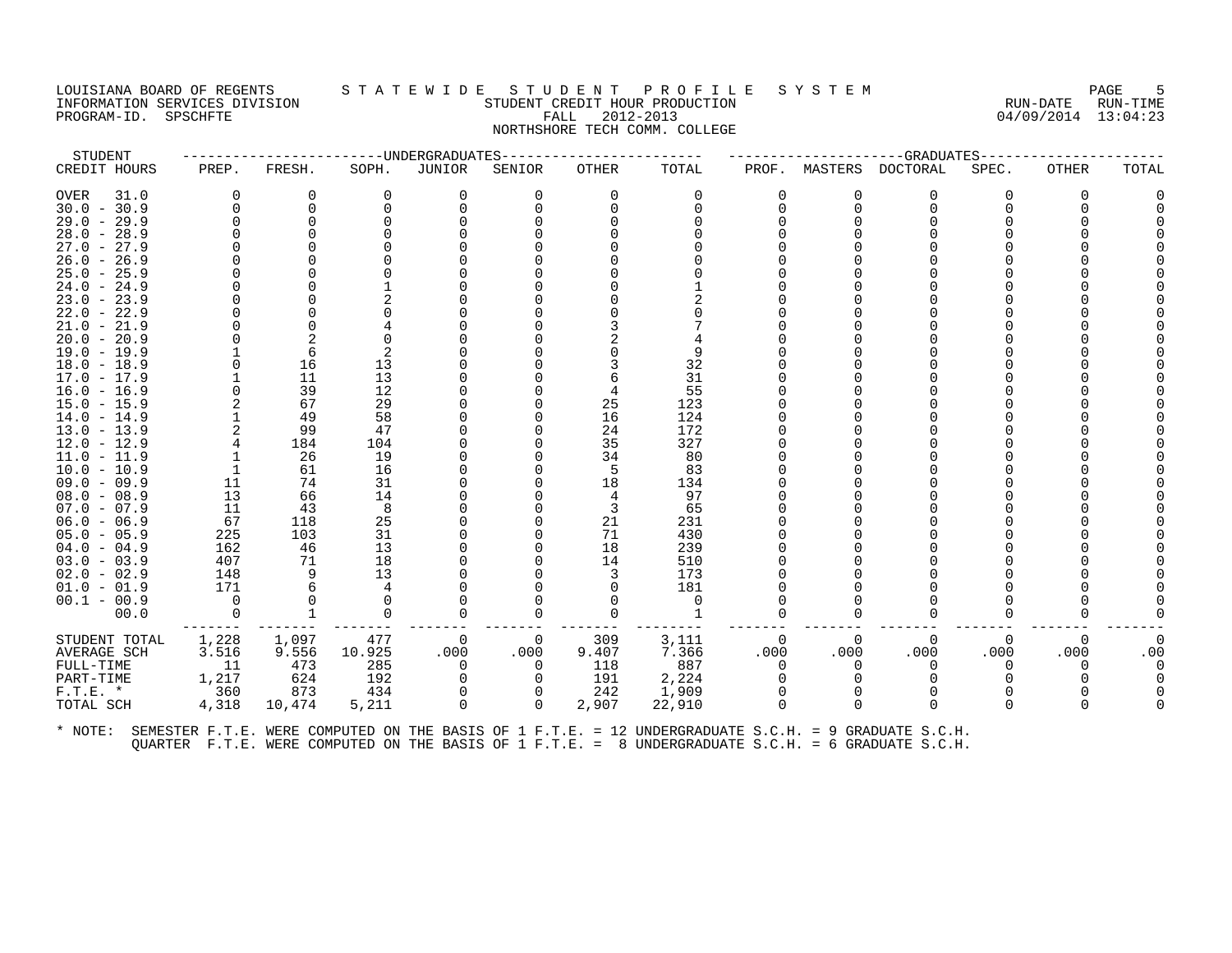# LOUISIANA BOARD OF REGENTS STATEWIDE STUDENT PROFILE SYSTEM PAGE 5<br>INFORMATION SERVICES DIVISION STATEWES STUDENT CREDIT HOUR PRODUCTION METAL COMPOSTER RUN-DATE RUN-TIME INFORMATION SERVICES DIVISION STUDENT CREDIT HOUR PRODUCTION RUN-DATE RUN-TIME PROGRAM-ID. SPSCHFTE FALL 2012-2013 04/09/2014 13:04:23 NORTHSHORE TECH COMM. COLLEGE

STUDENT ------------------------UNDERGRADUATES------------------------ ---------------------GRADUATES----------------------

# CREDIT HOURS PREP. FRESH. SOPH. JUNIOR SENIOR OTHER TOTAL PROF. MASTERS DOCTORAL SPEC. OTHER TOTAL OVER 31.0 0 0 0 0 0 0 0 0 0 0 0 0 0 30.0 - 30.9 0 0 0 0 0 0 0 0 0 0 0 0 0 29.0 - 29.9 0 0 0 0 0 0 0 0 0 0 0 0 0 28.0 - 28.9 0 0 0 0 0 0 0 0 0 0 0 0 0 27.0 - 27.9 0 0 0 0 0 0 0 0 0 0 0 0 0 26.0 - 26.9 0 0 0 0 0 0 0 0 0 0 0 0 0 25.0 - 25.9 0 0 0 0 0 0 0 0 0 0 0 0 0 24.0 - 24.9 0 0 1 0 0 0 1 0 0 0 0 0 0 23.0 - 23.9 0 0 2 0 0 0 2 0 0 0 0 0 0 22.0 - 22.9 0 0 0 0 0 0 0 0 0 0 0 0 0 21.0 - 21.9 0 0 4 0 0 3 7 0 0 0 0 0 0 20.0 - 20.9 0 2 0 0 0 2 4 0 0 0 0 0 0 19.0 - 19.9 1 6 2 0 0 0 9 0 0 0 0 0 0 18.0 - 18.9 0 16 13 0 0 3 32 0 0 0 0 0 0 17.0 - 17.9 1 11 13 0 0 6 31 0 0 0 0 0 0 16.0 - 16.9 0 39 12 0 0 4 55 0 0 0 0 0 0 15.0 - 15.9 2 67 29 0 0 25 123 0 0 0 0 0 0 14.0 - 14.9 1 49 58 0 0 16 124 0 0 0 0 0 0 13.0 - 13.9 2 99 47 0 0 24 172 0 0 0 0 0 0 12.0 - 12.9 4 184 104 0 0 35 327 0 0 0 0 0 0 11.0 - 11.9 1 26 19 0 0 34 80 0 0 0 0 0 0 10.0 - 10.9 1 61 16 0 0 5 83 0 0 0 0 0 0 09.0 - 09.9 11 74 31 0 0 18 134 0 0 0 0 0 0 08.0 - 08.9 13 66 14 0 0 4 97 0 0 0 0 0 0 07.0 - 07.9 11 43 8 0 0 3 65 0 0 0 0 0 0 06.0 - 06.9 67 118 25 0 0 21 231 0 0 0 0 0 0 05.0 - 05.9 225 103 31 0 0 71 430 0 0 0 0 0 0 04.0 - 04.9 162 46 13 0 0 18 239 0 0 0 0 0 0 03.0 - 03.9 407 71 18 0 0 14 510 0 0 0 0 0 0 02.0 - 02.9 148 9 13 0 0 3 173 0 0 0 0 0 0 01.0 - 01.9 171 6 4 0 0 0 181 0 0 0 0 0 0 00.1 - 00.9 0 0 0 0 0 0 0 0 0 0 0 0 0 00.0 0 1 0 0 0 0 1 0 0 0 0 0 0 ------- ------- ------- ------- ------- ------- -------- ------- ------- ------- ------- ------- ------- STUDENT TOTAL 1,228 1,097 477 0 0 309 3,111 0 0 0 0 0 0 AVERAGE SCH 3.516 9.556 10.925 .000 .000 9.407 7.366 .000 .000 .000 .000 .000 .00 FULL-TIME 11 473 285 0 0 118 887 0 0 0 0 0 0 PART-TIME 1,217 624 192 0 0 191 2,224 0 0 0 0 0 0 F.T.E. \* 360 873 434 0 0 242 1,909 0 0 0 0 0 TOTAL SCH 4,318 10,474 5,211 0 0 2,907 22,910 0 0 0 0 0 0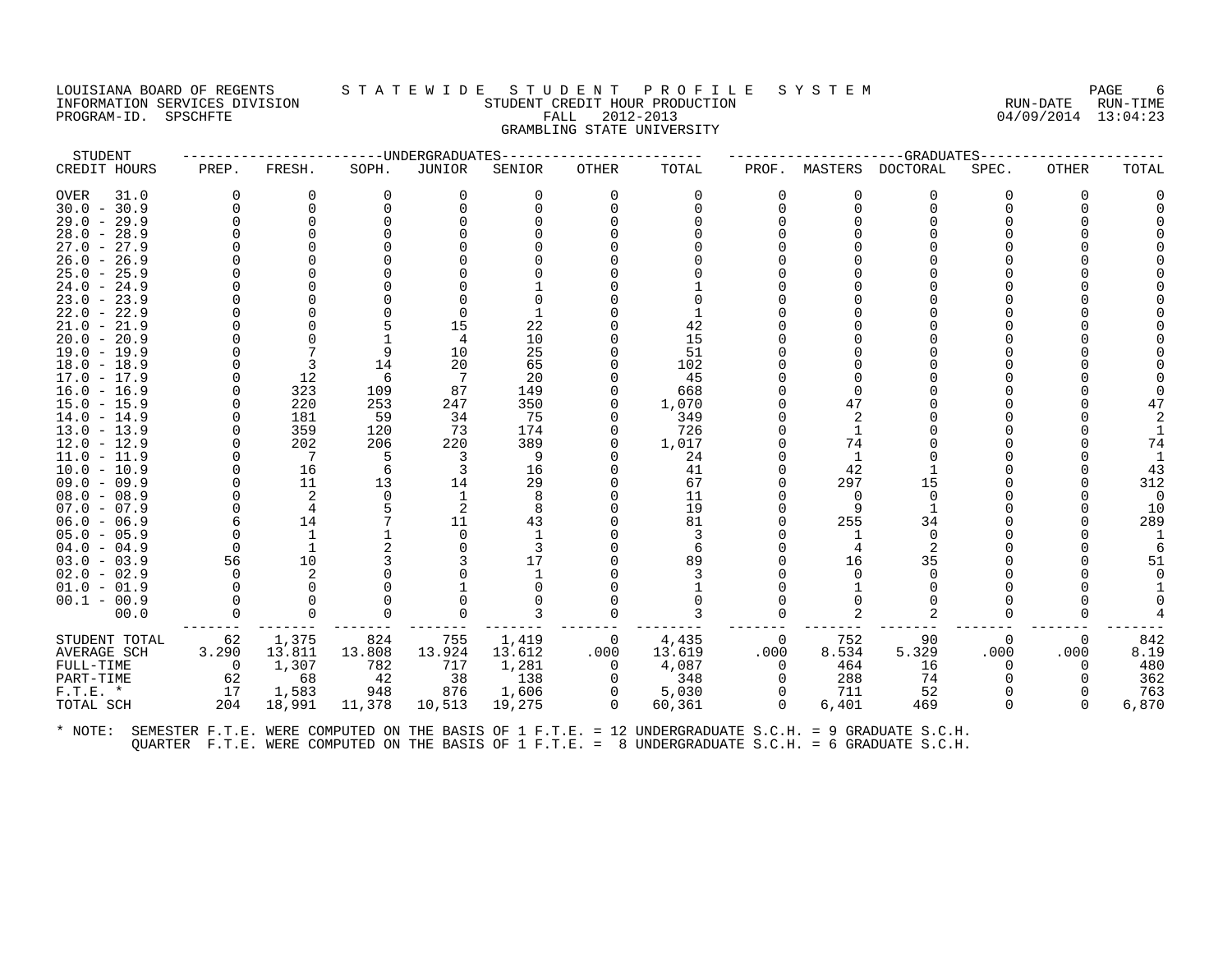#### LOUISIANA BOARD OF REGENTS STATEWIDE STUDE NT PROFILE SYSTEM PAGE FORGE 6<br>INFORMATION SERVICES DIVISION STATE RUN-TIME STUDENT CREDIT HOUR PRODUCTION INFORMATION SERVICES DIVISION SUNGLERICAL STUDENT CREDIT HOUR PRODUCTION SUNGLERIC RUN-DATE RUN-TIME RUN-TIME<br>PROGRAM-ID. SPSCHFTE SUN-TIME SERVICES SUNGLERICAL SUNGLERICAL SUNGLERICAL SUNGLERICAL SUNGLERICAL SUNGLERICAL PROGRAM-ID. SPSCHFTE FALL 2012-2013 GRAMBLING STATE UNIVERSITY

| STUDENT       |          |                |          | ------UNDERGRADUATES |        |                |        |          |                | ---------GRADUATES---- |          |          |          |
|---------------|----------|----------------|----------|----------------------|--------|----------------|--------|----------|----------------|------------------------|----------|----------|----------|
| CREDIT HOURS  | PREP.    | FRESH.         | SOPH.    | JUNIOR               | SENIOR | OTHER          | TOTAL  | PROF.    | MASTERS        | DOCTORAL               | SPEC.    | OTHER    | TOTAL    |
| OVER<br>31.0  | U        | 0              | 0        | 0                    | 0      | 0              | 0      |          | 0              | 0                      | O        | $\Omega$ |          |
| $30.0 - 30.9$ |          | $\Omega$       | n        | $\Omega$             |        | $\Omega$       | ∩      |          | O              | $\Omega$               |          | U        |          |
| $29.0 - 29.9$ |          | $\Omega$       |          |                      |        |                |        |          |                |                        |          |          |          |
| $28.0 - 28.9$ |          |                |          |                      |        |                |        |          |                |                        |          |          |          |
| $27.0 - 27.9$ |          |                |          |                      |        |                |        |          |                |                        |          |          |          |
| $26.0 - 26.9$ |          |                |          |                      |        |                |        |          |                |                        |          |          |          |
| $25.0 - 25.9$ |          |                |          |                      |        |                |        |          |                |                        |          |          |          |
| $24.0 - 24.9$ |          |                |          |                      |        |                |        |          |                |                        |          |          |          |
| $23.0 - 23.9$ |          |                |          |                      |        |                |        |          |                |                        |          |          |          |
| $22.0 - 22.9$ |          |                |          |                      |        |                |        |          |                |                        |          |          |          |
| $21.0 - 21.9$ |          |                |          | 15                   | 22     |                | 42     |          |                |                        |          |          |          |
| $20.0 - 20.9$ |          |                |          |                      | 10     |                | 15     |          |                |                        |          |          |          |
| $19.0 - 19.9$ |          |                | 9        | 10                   | 25     |                | 51     |          |                |                        |          |          |          |
| $18.0 - 18.9$ |          | 3              | 14       | 20                   | 65     |                | 102    |          |                |                        |          |          |          |
| $17.0 - 17.9$ |          | 12             | -6       | 7                    | 20     |                | 45     |          |                |                        |          |          |          |
| $16.0 - 16.9$ |          | 323            | 109      | 87                   | 149    |                | 668    |          |                |                        |          |          |          |
| $15.0 - 15.9$ |          | 220            | 253      | 247                  | 350    |                | 1,070  |          | 47             |                        |          |          |          |
| $14.0 - 14.9$ |          | 181            | 59       | 34                   | 75     |                | 349    |          | 2              |                        |          |          |          |
| $13.0 - 13.9$ |          | 359            | 120      | 73                   | 174    | O              | 726    |          |                |                        |          |          |          |
| 12.0 - 12.9   |          | 202            | 206      | 220                  | 389    | O              | 1,017  |          | 74             |                        |          |          | 74       |
| $11.0 - 11.9$ |          | $\overline{7}$ | -5       | 3                    | 9      |                | 24     |          |                |                        |          |          |          |
| $10.0 - 10.9$ |          | 16             | 6        | 3                    | 16     |                | 41     |          | 42             |                        |          |          | 43       |
| $09.0 - 09.9$ |          | 11             | 13       | 14                   | 29     |                | 67     |          | 297            | 15                     |          |          | 312      |
| $08.0 - 08.9$ |          | 2              | $\Omega$ |                      | 8      |                | 11     |          | $\Omega$       | $\Omega$               |          |          | $\Omega$ |
| $07.0 - 07.9$ |          | 4              |          | 2                    | 8      |                | 19     |          | 9              |                        |          |          | 10       |
| $06.0 - 06.9$ |          | 14             |          | 11                   | 43     |                | 81     |          | 255            | 34                     |          |          | 289      |
| $05.0 - 05.9$ |          | 1              |          | $\Omega$             |        |                |        |          |                | $\Omega$               |          |          |          |
| $04.0 - 04.9$ | $\Omega$ | 1              |          |                      |        |                | 6      |          | 4              |                        |          |          |          |
| $03.0 - 03.9$ | 56       | 10             |          |                      | 17     |                | 89     |          | 16             | 35                     |          |          | 51       |
| $02.0 - 02.9$ |          |                |          |                      |        |                |        |          |                |                        |          |          |          |
| $01.0 - 01.9$ |          | $\Omega$       |          |                      |        |                |        |          |                |                        |          |          |          |
| $00.1 - 00.9$ |          |                |          |                      |        |                |        |          |                |                        |          |          |          |
| 00.0          |          | $\Omega$       |          | $\Omega$             |        | $\Omega$       |        |          | $\mathfrak{D}$ | $\mathfrak{D}$         |          |          |          |
| STUDENT TOTAL | 62       | 1,375          | 824      | 755                  | 1,419  | $\overline{0}$ | 4,435  | $\Omega$ | 752            | 90                     | 0        | 0        | 842      |
| AVERAGE SCH   | 3.290    | 13.811         | 13.808   | 13.924               | 13.612 | .000           | 13.619 | .000     | 8.534          | 5.329                  | .000     | .000     | 8.19     |
| FULL-TIME     | $\Omega$ | 1,307          | 782      | 717                  | 1,281  | $\Omega$       | 4,087  |          | 464            | 16                     |          |          | 480      |
| PART-TIME     | 62       | 68             | 42       | 38                   | 138    | 0              | 348    |          | 288            | 74                     |          |          | 362      |
| $F.T.E. *$    | 17       | 1,583          | 948      | 876                  | 1,606  | 0              | 5,030  | $\Omega$ | 711            | 52                     |          |          | 763      |
| TOTAL SCH     | 204      | 18,991         | 11,378   | 10,513               | 19,275 | $\Omega$       | 60,361 | $\Omega$ | 6,401          | 469                    | $\Omega$ | $\Omega$ | 6,870    |
|               |          |                |          |                      |        |                |        |          |                |                        |          |          |          |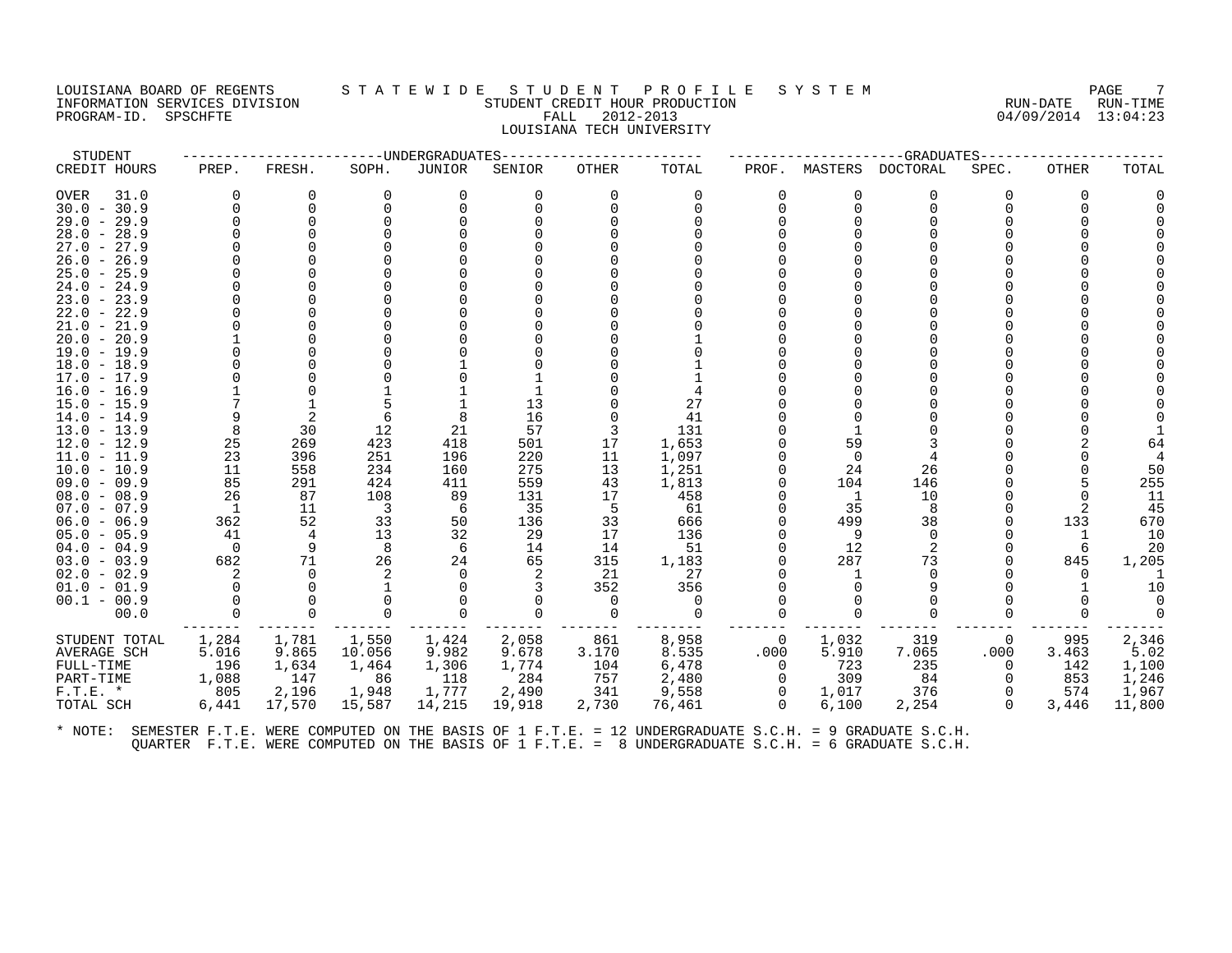#### LOUISIANA BOARD OF REGENTS STA T E W I D E S T U D E N T P R O F I L E S Y S T E M PAGE 7 INFORMATION SERVICES DIVISION SUN-TIME STUDENT CREDIT HOUR PRODUCTION SUNGLE RUN-DATE RUN-TIME<br>PROGRAM-ID. SPSCHFTE SERVICES SUNGLESS SUNGLESS FALL 2012-2013 PROGRAM-ID. SPSCHFTE FALL 2012-2013 LOUISIANA TECH UNIVERSITY

| STUDENT       |                |          |          | ------------UNDERGRADUATES |          |              |          |                |                | --GRADUATES----- |                |              |          |
|---------------|----------------|----------|----------|----------------------------|----------|--------------|----------|----------------|----------------|------------------|----------------|--------------|----------|
| CREDIT HOURS  | PREP.          | FRESH.   | SOPH.    | JUNIOR                     | SENIOR   | OTHER        | TOTAL    | PROF.          | MASTERS        | <b>DOCTORAL</b>  | SPEC.          | <b>OTHER</b> | TOTAL    |
| OVER<br>31.0  | 0              | $\Omega$ | $\Omega$ | 0                          | $\Omega$ | $\Omega$     | $\Omega$ | $\Omega$       |                | $\Omega$         | 0              | 0            |          |
| $30.0 - 30.9$ |                | $\Omega$ | $\Omega$ | $\Omega$                   |          | <sup>n</sup> |          | $\Omega$       | $\Omega$       | $\Omega$         |                |              |          |
| $29.0 - 29.9$ |                | $\Omega$ |          |                            |          |              |          |                |                |                  |                |              |          |
| $28.0 - 28.9$ |                |          |          |                            |          |              |          |                |                |                  |                |              |          |
| $27.0 - 27.9$ |                |          |          |                            |          |              |          |                |                |                  |                |              |          |
| $26.0 - 26.9$ |                |          |          |                            |          |              |          |                |                |                  |                |              |          |
| $25.0 - 25.9$ |                |          |          |                            |          |              |          |                |                |                  |                |              |          |
| $24.0 - 24.9$ |                |          |          |                            |          |              |          |                |                |                  |                |              |          |
| $23.0 - 23.9$ |                |          |          |                            |          |              |          |                |                |                  |                |              |          |
| $22.0 - 22.9$ |                |          |          |                            |          |              |          |                |                |                  |                |              |          |
| $21.0 - 21.9$ |                |          |          |                            |          |              |          |                |                |                  |                |              |          |
| $20.0 - 20.9$ |                |          |          |                            |          |              |          |                |                |                  |                |              |          |
| $19.0 - 19.9$ |                |          |          |                            |          |              |          |                |                |                  |                |              |          |
| $18.0 - 18.9$ |                |          |          |                            |          |              |          |                |                |                  |                |              |          |
| 17.0 - 17.9   |                |          |          |                            |          |              |          |                |                |                  |                |              |          |
| 16.0 - 16.9   |                |          |          |                            |          |              |          |                |                |                  |                |              |          |
| $15.0 - 15.9$ |                |          |          |                            | 13       |              | 27       |                |                |                  |                |              |          |
| $14.0 - 14.9$ |                |          |          |                            | 16       |              | 41       |                |                |                  |                |              |          |
| $13.0 - 13.9$ | 8              | 30       | 12       | 21                         | 57       |              | 131      |                |                |                  |                |              |          |
| 12.0 - 12.9   | 25             | 269      | 423      | 418                        | 501      | 17           | 1,653    |                | 59             |                  |                |              |          |
| $11.0 - 11.9$ | 23             | 396      | 251      | 196                        | 220      | 11           | 1,097    |                | $\Omega$       |                  |                |              |          |
| $10.0 - 10.9$ | 11             | 558      | 234      | 160                        | 275      | 13           | 1,251    |                | 24             | 26               |                |              | 50       |
| $09.0 - 09.9$ | 85             | 291      | 424      | 411                        | 559      | 43           | 1,813    |                | 104            | 146              |                |              | 255      |
| $08.0 - 08.9$ | 26             | 87       | 108      | 89                         | 131      | 17           | 458      |                | $\overline{1}$ | 10               |                |              | 11       |
| $07.0 - 07.9$ | $\overline{1}$ | 11       | 3        | 6                          | 35       | 5            | 61       |                | 35             | 8                |                |              | 45       |
| $06.0 - 06.9$ | 362            | 52       | 33       | 50                         | 136      | 33           | 666      |                | 499            | 38               |                | 133          | 670      |
| $05.0 - 05.9$ | 41             | 4        | 13       | 32                         | 29       | 17           | 136      |                | 9              | $\Omega$         |                |              | 10       |
| $04.0 - 04.9$ | $\overline{0}$ | 9        | -8       | 6                          | 14       | 14           | 51       |                | 12             | 2                |                |              | 20       |
| $03.0 - 03.9$ | 682            | 71       | 26       | 24                         | 65       | 315          | 1,183    |                | 287            | 73               |                | 845          | 1,205    |
| $02.0 - 02.9$ | 2              | $\Omega$ |          | $\Omega$                   |          | 21           | 27       |                |                | ∩                |                |              |          |
| $01.0 - 01.9$ | $\Omega$       | $\Omega$ |          |                            |          | 352          | 356      |                |                |                  |                |              | 10       |
| $00.1 - 00.9$ |                | $\Omega$ |          |                            | $\Omega$ | $\Omega$     | $\Omega$ |                |                |                  |                |              | $\Omega$ |
| 00.0          | $\Omega$       | $\Omega$ |          |                            | $\Omega$ | $\Omega$     | $\Omega$ |                |                |                  |                |              | $\Omega$ |
| STUDENT TOTAL | 1,284          | 1,781    | 1,550    | 1,424                      | 2,058    | 861          | 8,958    | $\overline{0}$ | 1,032          | 319              | $\overline{0}$ | 995          | 2,346    |
| AVERAGE SCH   | 5.016          | 9.865    | 10.056   | 9.982                      | 9.678    | 3.170        | 8.535    | .000           | 5.910          | 7.065            | .000           | 3.463        | 5.02     |
| FULL-TIME     | 196            | 1,634    | 1,464    | 1,306                      | 1,774    | 104          | 6,478    | $\Omega$       | 723            | 235              | $\Omega$       | 142          | 1,100    |
| PART-TIME     | 1,088          | 147      | 86       | 118                        | 284      | 757          | 2,480    | $\Omega$       | 309            | 84               | $\Omega$       | 853          | 1,246    |
| $F.T.E. *$    | 805            | 2,196    | 1,948    | 1,777                      | 2,490    | 341          | 9,558    | $\Omega$       | 1,017          | 376              | $\Omega$       | 574          | 1,967    |
| TOTAL SCH     | 6,441          | 17,570   | 15,587   | 14,215                     | 19,918   | 2,730        | 76,461   | $\Omega$       | 6,100          | 2,254            | $\Omega$       | 3,446        | 11,800   |
|               |                |          |          |                            |          |              |          |                |                |                  |                |              |          |
|               |                |          |          |                            |          |              |          |                |                |                  |                |              |          |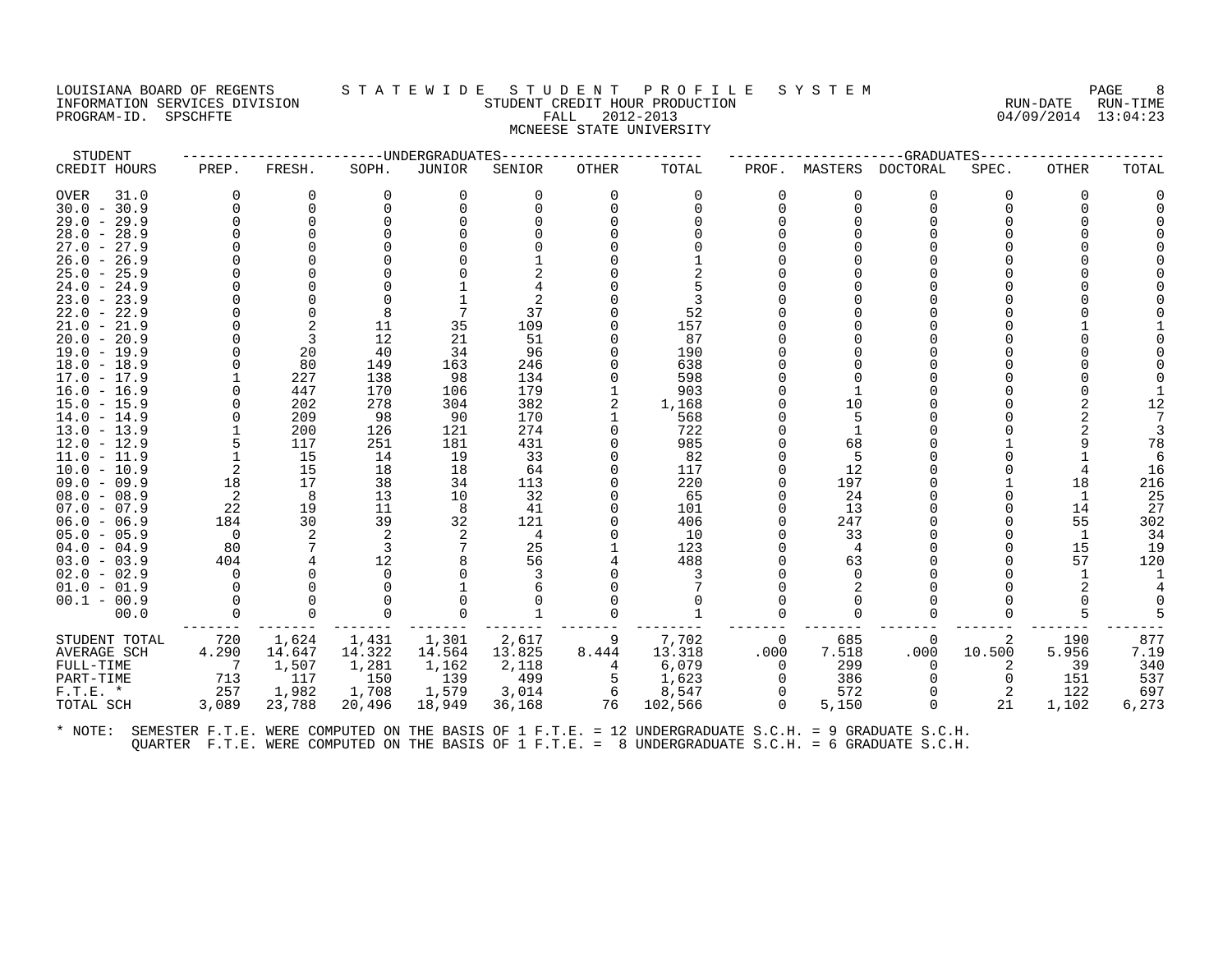#### LOUISIANA BOARD OF REGENTS STATEWIDE STUDENT PROFILE SYSTEM PAGE RAGE 8<br>INFORMATION SERVICES DIVISION STUDENT OUR PRODUCTION STUDENT OUR PRODUCTION INGUISIANA BOARD OF REGISTION SERVICES DIVISION SUBSERVICES SUBSERVICES SUBSERVICES SUBSERVICES SUBSERVICES SU<br>INFORMATION SERVICES DIVISION SERVICES SUBSERVICES SUBSERVICES SUBSERVICES SUBSERVICES SUBSERVICES SUBSERVICES<br> PROGRAM-ID. SPSCHFTE FALL 2012-2013 MCNEESE STATE UNIVERSITY

| STUDENT                      |                |           |           | ----UNDERGRADUATES |           |       |           |          |          | -GRADUATES |        |       |       |
|------------------------------|----------------|-----------|-----------|--------------------|-----------|-------|-----------|----------|----------|------------|--------|-------|-------|
| CREDIT HOURS                 | PREP.          | FRESH.    | SOPH.     | JUNIOR             | SENIOR    | OTHER | TOTAL     | PROF.    | MASTERS  | DOCTORAL   | SPEC.  | OTHER | TOTAL |
| 31.0<br>OVER                 | $\Omega$       | 0         | 0         | 0                  |           | 0     | 0         |          | 0        | 0          |        | 0     |       |
| $30.0 - 30.9$                |                | $\Omega$  | $\Omega$  | $\Omega$           |           |       | $\Omega$  | ∩        | $\Omega$ | $\Omega$   |        |       |       |
| $29.0 - 29.9$                |                | ∩         |           |                    |           |       |           |          |          |            |        |       |       |
| $28.0 - 28.9$                |                |           |           |                    |           |       |           |          |          |            |        |       |       |
| $27.0 - 27.9$                |                |           |           |                    |           |       |           |          |          |            |        |       |       |
| $26.0 - 26.9$                |                |           |           |                    |           |       |           |          |          |            |        |       |       |
| $25.0 - 25.9$                |                |           |           |                    |           |       |           |          |          |            |        |       |       |
| $24.0 - 24.9$                |                |           |           |                    |           |       |           |          |          |            |        |       |       |
| $23.0 - 23.9$                |                |           |           |                    |           |       |           |          |          |            |        |       |       |
| 22.0 - 22.9                  |                | ∩         | 8         |                    | 37        |       | 52        |          |          |            |        |       |       |
| $21.0 - 21.9$                |                | 2         | 11        | 35                 | 109       |       | 157       |          |          |            |        |       |       |
| $20.0 - 20.9$                |                | 3         | 12        | 21                 | 51        |       | 87        |          |          |            |        |       |       |
| $19.0 - 19.9$                |                | 20        | 40        | 34                 | 96        |       | 190       |          |          |            |        |       |       |
| $18.0 - 18.9$                |                | 80        | 149       | 163                | 246       |       | 638       |          |          |            |        |       |       |
| $17.0 - 17.9$                |                | 227       | 138       | 98                 | 134       |       | 598       |          |          |            |        |       |       |
| $16.0 - 16.9$                |                | 447       | 170       | 106                | 179       |       | 903       |          |          |            |        |       |       |
| 15.0 - 15.9                  |                | 202       | 278       | 304                | 382       |       | 1,168     |          | 10       |            |        |       | 12    |
| 14.0 - 14.9                  |                | 209       | 98        | 90                 | 170       |       | 568       |          |          |            |        |       |       |
| $13.0 - 13.9$                |                | 200       | 126       | 121                | 274       |       | 722       |          |          |            |        |       |       |
| 12.0 - 12.9                  |                | 117<br>15 | 251<br>14 | 181<br>19          | 431<br>33 |       | 985<br>82 |          | 68       |            |        |       | 78    |
| 11.0 - 11.9<br>$10.0 - 10.9$ | 2              | 15        | 18        | 18                 | 64        |       | 117       |          | 12       |            |        |       | 16    |
| $09.0 - 09.9$                | 18             | 17        | 38        | 34                 | 113       |       | 220       |          | 197      |            |        | 18    | 216   |
| $08.0 - 08.9$                | 2              | 8         | 13        | 10                 | 32        |       | 65        |          | 24       |            |        |       | 25    |
| $07.0 - 07.9$                | 22             | 19        | 11        | 8                  | 41        |       | 101       |          | 13       |            |        | 14    | 27    |
| $06.0 - 06.9$                | 184            | 30        | 39        | 32                 | 121       |       | 406       |          | 247      |            |        | 55    | 302   |
| $05.0 - 05.9$                | $\overline{0}$ | 2         |           |                    | 4         |       | 10        |          | 33       |            |        |       | 34    |
| $04.0 - 04.9$                | 80             |           | 3         |                    | 25        |       | 123       |          | 4        |            |        | 15    | 19    |
| $03.0 - 03.9$                | 404            |           | 12        |                    | 56        |       | 488       |          | 63       |            |        | 57    | 120   |
| $02.0 - 02.9$                | U              |           | ∩         |                    |           |       |           |          |          |            |        |       |       |
| $01.0 - 01.9$                |                |           |           |                    |           |       |           |          |          |            |        |       |       |
| $00.1 - 00.9$                |                |           |           |                    |           |       |           |          |          |            |        |       |       |
| 00.0                         |                | $\Omega$  |           |                    |           |       |           |          |          |            |        |       |       |
| STUDENT TOTAL                | 720            | 1,624     | 1,431     | 1,301              | 2,617     | 9     | 7,702     | 0        | 685      | 0          | 2      | 190   | 877   |
| AVERAGE SCH                  | 4.290          | 14.647    | 14.322    | 14.564             | 13.825    | 8.444 | 13.318    | .000     | 7.518    | .000       | 10.500 | 5.956 | 7.19  |
| FULL-TIME                    | 7              | 1,507     | 1,281     | 1,162              | 2,118     | 4     | 6,079     | $\Omega$ | 299      | $\Omega$   |        | 39    | 340   |
| PART-TIME                    | 713            | 117       | 150       | 139                | 499       | 5     | 1,623     |          | 386      |            |        | 151   | 537   |
| $F.T.E. *$                   | 257            | 1,982     | 1,708     | 1,579              | 3,014     | 6     | 8,547     | 0        | 572      |            | 2      | 122   | 697   |
| TOTAL SCH                    | 3,089          | 23,788    | 20,496    | 18,949             | 36,168    | 76    | 102,566   | $\Omega$ | 5,150    | $\Omega$   | 21     | 1,102 | 6,273 |
|                              |                |           |           |                    |           |       |           |          |          |            |        |       |       |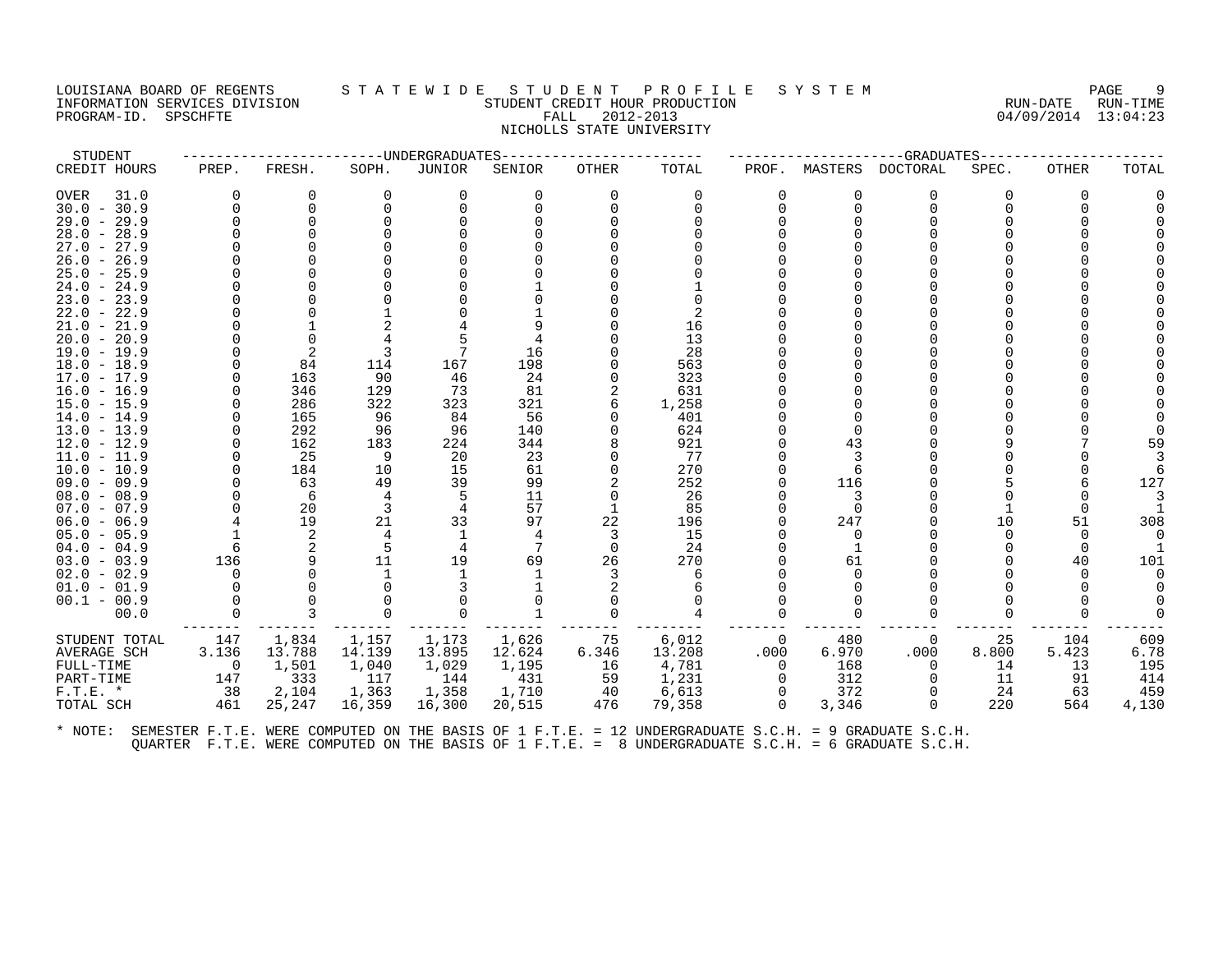#### LOUISIANA BOARD OF REGENTS S T A T E W I D E S T U D E N T P R O F I L E S Y S T E M PAGE 9 INFORMATION SERVICES DIVISION STUDENT CREDIT HOUR PRODUCTION RUN-DATE RUN-TIME PROGRAM-ID. SPSCHFTE FALL 2012-2013 04/09/2014 13:04:23 NICHOLLS STATE UNIVERSITY

| STUDENT                        |                |           |          | -----UNDERGRADUATES |          |              |           |          |          | -GRADUATES |       |              |       |
|--------------------------------|----------------|-----------|----------|---------------------|----------|--------------|-----------|----------|----------|------------|-------|--------------|-------|
| CREDIT HOURS                   | PREP.          | FRESH.    | SOPH.    | JUNIOR              | SENIOR   | <b>OTHER</b> | TOTAL     | PROF.    | MASTERS  | DOCTORAL   | SPEC. | <b>OTHER</b> | TOTAL |
| OVER<br>31.0                   | $\Omega$       | O         | $\Omega$ | ∩                   | U        |              | $\Omega$  | 0        | ∩        | 0          | 0     | $\Omega$     |       |
| $30.0 - 30.9$                  |                | ∩         |          |                     |          |              |           |          | $\cap$   | ∩          |       |              |       |
| $29.0 - 29.9$                  |                | ∩         |          |                     |          |              |           |          |          |            |       |              |       |
| $28.0 - 28.9$                  |                |           |          |                     |          |              |           |          |          |            |       |              |       |
| $27.0 - 27.9$                  |                |           |          |                     |          |              |           |          |          |            |       |              |       |
| $26.0 - 26.9$                  |                |           |          |                     |          |              |           |          |          |            |       |              |       |
| $25.0 - 25.9$                  |                |           |          |                     |          |              |           |          |          |            |       |              |       |
| $24.0 - 24.9$                  |                |           |          |                     |          |              |           |          |          |            |       |              |       |
| $23.0 - 23.9$                  |                |           |          |                     |          |              |           |          |          |            |       |              |       |
| $22.0 - 22.9$                  |                |           |          |                     |          |              |           |          |          |            |       |              |       |
| $21.0 - 21.9$                  |                |           |          |                     |          |              | 16        |          |          |            |       |              |       |
| $20.0 - 20.9$                  |                |           |          |                     |          |              | 13        |          |          |            |       |              |       |
| $19.0 - 19.9$                  |                | 2         |          |                     | 16       |              | 28        |          |          |            |       |              |       |
| $18.0 - 18.9$                  |                | 84        | 114      | 167                 | 198      |              | 563       |          |          |            |       |              |       |
| $17.0 - 17.9$                  |                | 163       | 90       | 46                  | 24       |              | 323       |          |          |            |       |              |       |
| 16.0 - 16.9                    |                | 346       | 129      | 73                  | 81       |              | 631       |          |          |            |       |              |       |
| $15.0 - 15.9$                  |                | 286       | 322      | 323                 | 321      |              | 1,258     |          |          |            |       |              |       |
| $14.0 - 14.9$                  |                | 165       | 96       | 84                  | 56       |              | 401       |          |          |            |       |              |       |
| $13.0 - 13.9$                  |                | 292       | 96       | 96                  | 140      |              | 624       |          |          |            |       |              |       |
| $12.0 - 12.9$                  |                | 162<br>25 | 183      | 224                 | 344      |              | 921<br>77 |          | 43       |            |       |              | 59    |
| $11.0 - 11.9$                  |                |           | 9<br>10  | 20                  | 23       |              | 270       |          |          |            |       |              |       |
| $10.0 - 10.9$<br>$09.0 - 09.9$ | $\Omega$       | 184<br>63 | 49       | 15<br>39            | 61<br>99 |              | 252       |          | 116      |            |       |              | 127   |
| $08.0 - 08.9$                  |                | 6         |          |                     | 11       |              | 26        |          | 3        |            |       |              |       |
| $07.0 - 07.9$                  |                | 20        |          | 4                   | 57       |              | 85        |          | $\Omega$ |            |       |              |       |
| $06.0 - 06.9$                  |                | 19        | 21       | 33                  | 97       | 22           | 196       |          | 247      |            | 10    | 51           | 308   |
| $05.0 - 05.9$                  |                | 2         | 4        |                     |          |              | 15        |          | ∩        |            |       |              |       |
| $04.0 - 04.9$                  | 6              |           |          |                     |          | $\Omega$     | 24        |          |          |            |       |              |       |
| $03.0 - 03.9$                  | 136            |           | 11       | 19                  | 69       | 26           | 270       |          | 61       |            |       | 40           | 101   |
| $02.0 - 02.9$                  |                |           |          |                     |          |              | 6         |          |          |            |       |              |       |
| $01.0 - 01.9$                  |                |           |          |                     |          |              |           |          |          |            |       |              |       |
| $00.1 - 00.9$                  |                |           |          |                     |          |              |           |          |          |            |       |              |       |
| 00.0                           |                |           |          |                     |          |              |           |          |          |            |       |              |       |
|                                |                |           |          |                     |          |              |           |          |          |            |       |              |       |
| STUDENT TOTAL                  | 147            | 1,834     | 1,157    | 1,173               | 1,626    | 75           | 6,012     | 0        | 480      | 0          | 25    | 104          | 609   |
| AVERAGE SCH                    | 3.136          | 13.788    | 14.139   | 13.895              | 12.624   | 6.346        | 13.208    | .000     | 6.970    | .000       | 8.800 | 5.423        | 6.78  |
| FULL-TIME                      | $\overline{0}$ | 1,501     | 1,040    | 1,029               | 1,195    | 16           | 4,781     | $\Omega$ | 168      | $\Omega$   | 14    | 13           | 195   |
| PART-TIME                      | 147            | 333       | 117      | 144                 | 431      | 59           | 1,231     | $\Omega$ | 312      | $\Omega$   | 11    | 91           | 414   |
| $F.T.E. *$                     | 38             | 2,104     | 1,363    | 1,358               | 1,710    | 40           | 6,613     | 0        | 372      | 0          | 24    | 63           | 459   |
| TOTAL SCH                      | 461            | 25,247    | 16,359   | 16,300              | 20,515   | 476          | 79,358    | $\Omega$ | 3,346    | $\Omega$   | 220   | 564          | 4,130 |
|                                |                |           |          |                     |          |              |           |          |          |            |       |              |       |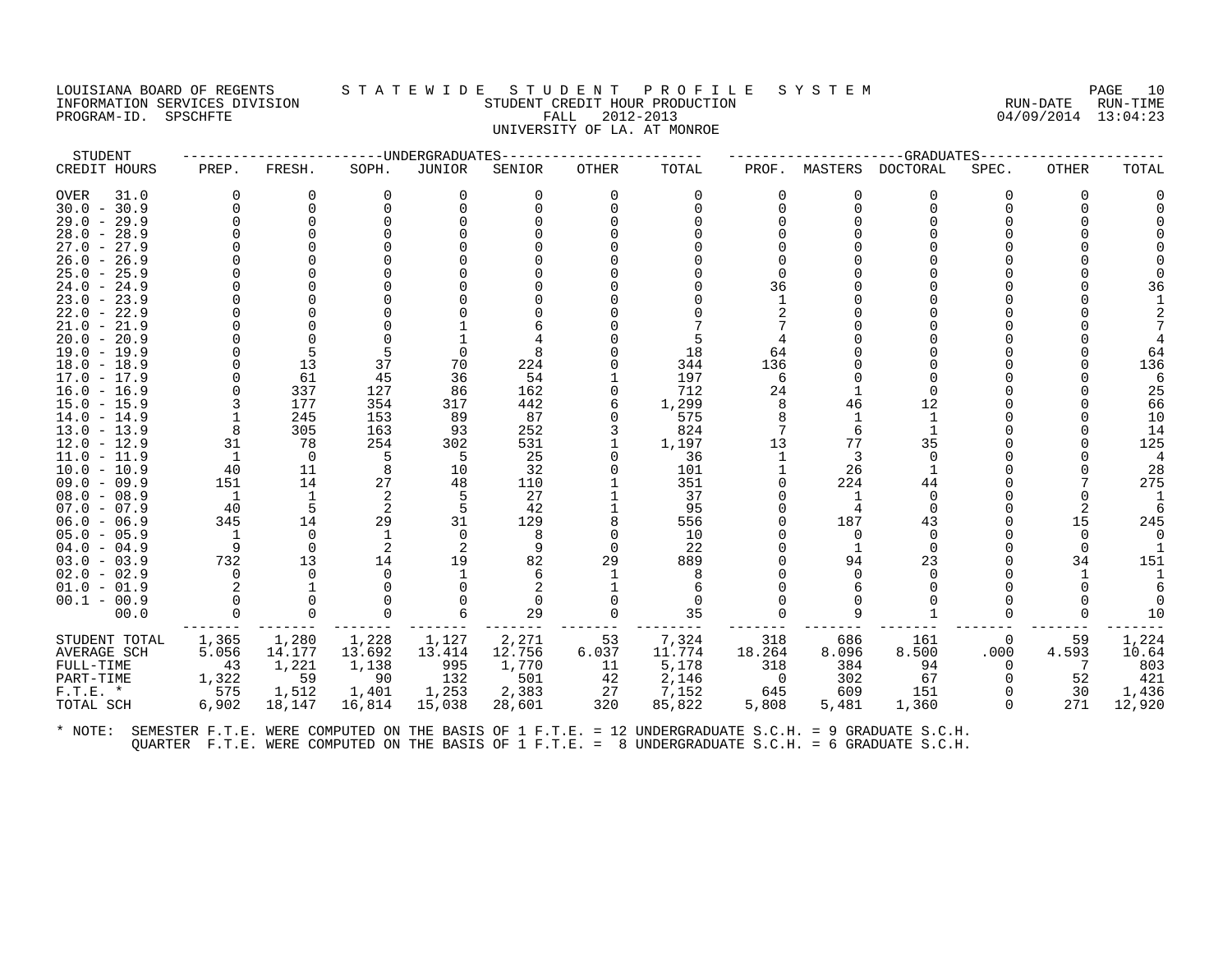PROGRAM-ID. SPSCHFTE

# LOUISIANA BOARD OF REGENTS STATEWIDE STUDENT PROFILE SYSTEM PAGE 10<br>INFORMATION SERVICES DIVISION STUDENT CREDIT HOUR PRODUCTION FORD PROMET ON RUN-DATE RUN-TIME INFORMATION SERVICES DIVISION SUNGLERICHE STUDENT CREDIT HOUR PRODUCTION SUNGLERIC RUN-DATE RUN-TIME RUN-TIME<br>PROGRAM-ID. SPSCHFTE SUN-TIME SERVICES SUNGLERIC RALL 2012-2013 UNIVERSITY OF LA. AT MONROE

| STUDENT                        |                   |               |          | ----UNDERGRADUATES |        |              |          |                |                | -GRADUATES-              |          |                      |           |
|--------------------------------|-------------------|---------------|----------|--------------------|--------|--------------|----------|----------------|----------------|--------------------------|----------|----------------------|-----------|
| CREDIT HOURS                   | PREP.             | FRESH.        | SOPH.    | JUNIOR             | SENIOR | <b>OTHER</b> | TOTAL    | PROF.          |                | MASTERS DOCTORAL         | SPEC.    | OTHER                | TOTAL     |
| 31.0<br>OVER                   | $\Omega$          | $\Omega$      | $\Omega$ | $\Omega$           | 0      | $\Omega$     | $\Omega$ | $\Omega$       | $\Omega$       | $\Omega$                 | 0        | $\Omega$             |           |
| $30.0 - 30.9$                  |                   | 0             | $\Omega$ |                    |        |              | 0        | $\Omega$       | $\Omega$       |                          |          |                      |           |
| $29.0 - 29.9$                  |                   | $\Omega$      |          |                    |        |              |          |                |                |                          |          |                      |           |
| $28.0 - 28.9$                  |                   |               |          |                    |        |              |          |                |                |                          |          |                      |           |
| $27.0 - 27.9$                  |                   |               |          |                    |        |              |          |                |                |                          |          |                      |           |
| $26.0 - 26.9$                  |                   |               |          |                    |        |              |          |                |                |                          |          |                      |           |
| $25.0 - 25.9$                  |                   |               |          |                    |        |              |          |                |                |                          |          |                      |           |
| $24.0 - 24.9$                  |                   |               |          |                    |        |              |          | 36             |                |                          |          |                      | 36        |
| $23.0 - 23.9$                  |                   |               |          |                    |        |              |          |                |                |                          |          |                      |           |
| $22.0 - 22.9$                  |                   |               |          |                    |        |              |          |                |                |                          |          |                      |           |
| $21.0 - 21.9$                  |                   |               |          |                    |        |              |          |                |                |                          |          |                      |           |
| $20.0 - 20.9$                  |                   |               |          |                    |        |              |          |                |                |                          |          |                      |           |
| $19.0 - 19.9$                  |                   | 5             |          |                    |        |              | 18       | 64             |                |                          |          |                      | 64        |
| $18.0 - 18.9$                  |                   | 13            | 37       | 70                 | 224    |              | 344      | 136            |                |                          |          |                      | 136       |
| $17.0 - 17.9$                  |                   | 61            | 45       | 36                 | 54     |              | 197      | 6              |                |                          |          |                      | 6         |
| $16.0 - 16.9$                  |                   | 337           | 127      | 86                 | 162    |              | 712      | 24             |                |                          |          |                      | 25        |
| $15.0 - 15.9$                  |                   | 177           | 354      | 317                | 442    |              | 1,299    | 8              | 46             | 12                       |          |                      | 66        |
| $14.0 - 14.9$                  |                   | 245           | 153      | 89                 | 87     | <sup>0</sup> | 575      | 8              | -1             | 1                        |          |                      | 10        |
| $13.0 - 13.9$                  | 8                 | 305           | 163      | 93                 | 252    |              | 824      |                | 6              |                          |          |                      | 14        |
| $12.0 - 12.9$                  | 31                | 78            | 254      | 302                | 531    |              | 1,197    | 13             | 77             | 35                       |          |                      | 125       |
| $11.0 - 11.9$                  | 1                 | $\Omega$      | 5        | -5                 | 25     |              | 36       | 1              | 3              | $\Omega$                 |          |                      |           |
| $10.0 - 10.9$                  | 40                | 11            | 8        | 10                 | 32     |              | 101      |                | 26             |                          |          |                      | 28        |
| $09.0 - 09.9$                  | 151               | 14            | 27       | 48                 | 110    |              | 351      | $\Omega$       | 224            | 44                       |          |                      | 275       |
| $08.0 - 08.9$                  | $\mathbf{1}$      | 1             |          | 5                  | 27     |              | 37       |                | -1             | $\Omega$                 |          |                      |           |
| $07.0 - 07.9$                  | -40               | .5<br>14      | 29       | 5<br>31            | 42     |              | 95       |                | 187            | ∩<br>43                  |          | 2<br>15              | -6<br>245 |
| $06.0 - 06.9$                  | 345               |               |          |                    | 129    |              | 556      |                |                |                          |          |                      |           |
| $05.0 - 05.9$                  | $\mathbf{1}$<br>9 | 0<br>$\Omega$ | -1       | $\Omega$<br>2      | 8<br>9 | $\Omega$     | 10<br>22 | <sup>0</sup>   | $\Omega$<br>-1 | <sup>0</sup><br>$\Omega$ |          | $\Omega$<br>$\Omega$ | $\Omega$  |
| $04.0 - 04.9$<br>$03.0 - 03.9$ | 732               | 13            | 14       | 19                 | 82     | 29           | 889      |                | 94             | 23                       |          | 34                   | 151       |
| $02.0 - 02.9$                  | $\Omega$          | $\Omega$      | $\Omega$ |                    |        |              |          |                | <sup>n</sup>   | ∩                        |          |                      |           |
| $01.0 - 01.9$                  |                   |               |          |                    |        |              |          |                |                |                          |          |                      |           |
| $00.1 - 00.9$                  |                   |               |          |                    |        |              | ∩        |                |                |                          |          |                      |           |
| 00.0                           | $\Omega$          | $\Omega$      | $\Omega$ |                    | 29     | $\Omega$     | 35       |                | 9              |                          |          |                      | 10        |
|                                |                   |               |          |                    |        |              |          |                |                |                          |          |                      |           |
| STUDENT TOTAL                  | 1,365             | 1,280         | 1,228    | 1,127              | 2,271  | 53           | 7,324    | 318            | 686            | 161                      | 0        | 59                   | 1,224     |
| <b>AVERAGE SCH</b>             | 5.056             | 14.177        | 13.692   | 13.414             | 12.756 | 6.037        | 11.774   | 18.264         | 8.096          | 8.500                    | .000     | 4.593                | 10.64     |
| FULL-TIME                      | 43                | 1,221         | 1,138    | 995                | 1,770  | 11           | 5,178    | 318            | 384            | 94                       | 0        | -7                   | 803       |
| PART-TIME                      | 1,322             | 59            | 90       | 132                | 501    | 42           | 2,146    | $\overline{0}$ | 302            | 67                       | $\Omega$ | 52                   | 421       |
| $F.T.E. *$                     | 575               | 1,512         | 1,401    | 1,253              | 2,383  | 27           | 7,152    | 645            | 609            | 151                      |          | 30                   | 1,436     |
| TOTAL SCH                      | 6,902             | 18,147        | 16,814   | 15,038             | 28,601 | 320          | 85,822   | 5,808          | 5,481          | 1,360                    | $\Omega$ | 271                  | 12,920    |
|                                |                   |               |          |                    |        |              |          |                |                |                          |          |                      |           |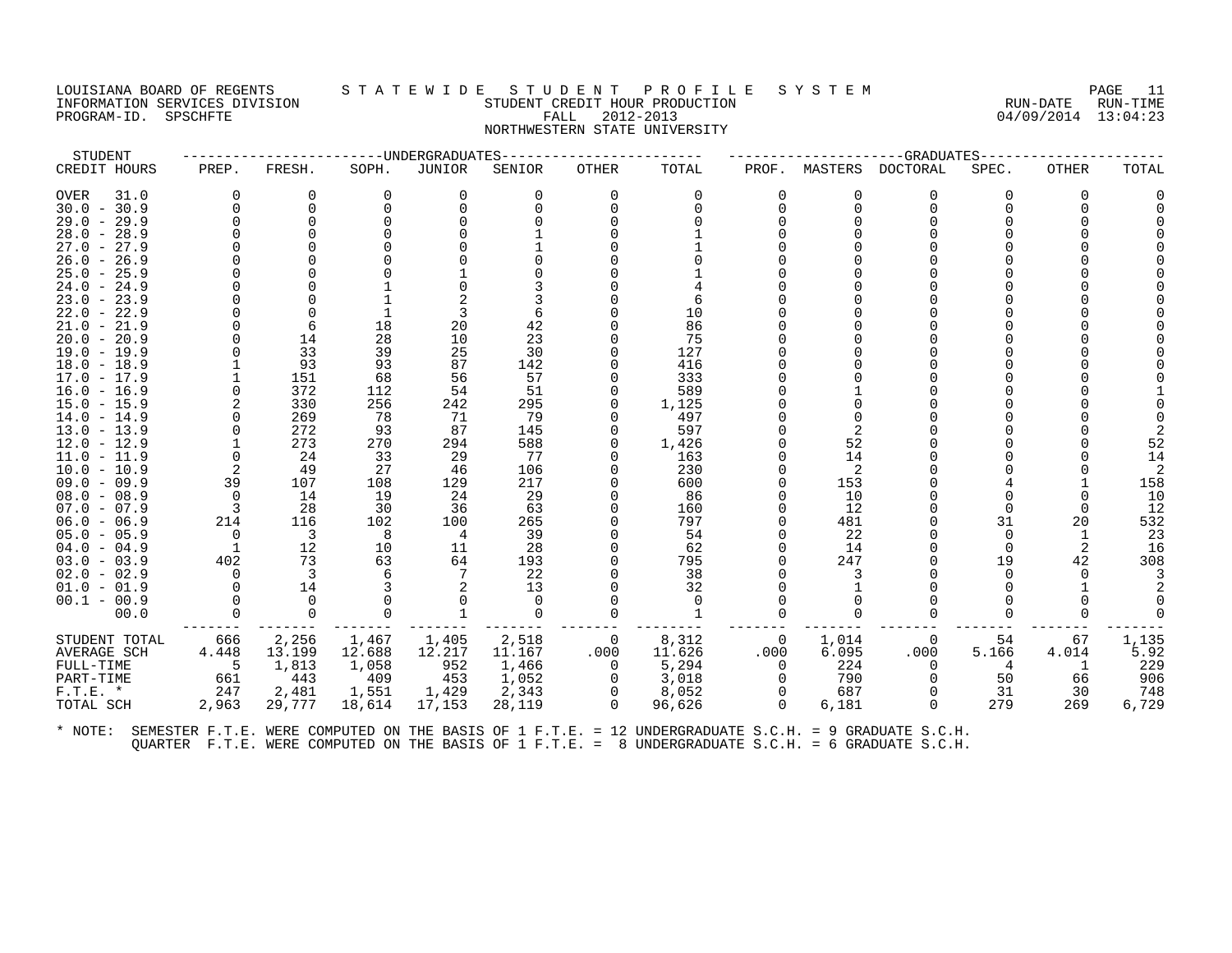# LOUISIANA BOARD OF REGENTS STATEWIDE STUDE NT PROFILE SYSTEM PAGE 11<br>INFORMATION SERVICES DIVISION STUDENT CREDIT HOUR PRODUCTION FORD PAGE RUN-DATE RUN-TIME INFORMATION SERVICES DIVISION SUNGLERICAL STUDENT CREDIT HOUR PRODUCTION SUNGLERIC RUN-DATE RUN-TIME<br>PROGRAM-ID. SPSCHFTE SUN-TIME SUNGLERICAL FALL 2012-2013 PROGRAM-ID. SPSCHFTE FALL 2012-2013 NORTHWESTERN STATE UNIVERSITY

| ----UNDERGRADUATES<br>CREDIT HOURS<br>FRESH.<br>JUNIOR<br><b>OTHER</b><br>TOTAL<br>PROF.<br>MASTERS DOCTORAL<br>PREP.<br>SOPH.<br>SENIOR<br>SPEC.<br>OTHER<br>31.0<br>0<br>0<br>$\Omega$<br>0<br>0<br>0<br>0<br>0<br>OVER<br>0<br>0<br>$\Omega$<br>0<br>$\Omega$<br>$\Omega$<br>$30.0 - 30.9$<br>$\Omega$<br>$\Omega$<br>$\Omega$<br>$\Omega$<br>$\Omega$<br>$\Omega$<br>$\Omega$<br><sup>0</sup><br>0<br>$\Omega$<br>$\Omega$<br>$29.0 - 29.9$<br>$\Omega$<br>0<br>$\Omega$<br>$28.0 - 28.9$<br>$27.0 - 27.9$<br>$26.0 - 26.9$<br>U<br>$25.0 - 25.9$<br>$24.0 - 24.9$<br>$23.0 - 23.9$<br>6<br>10<br>$22.0 - 22.9$<br>3<br>6<br>18<br>20<br>42<br>86<br>$21.0 - 21.9$<br>$20.0 - 20.9$<br>$\Omega$<br>14<br>28<br>10<br>23<br>75<br>33<br>25<br>30<br>127<br>$19.0 - 19.9$<br>$\Omega$<br>39<br>U<br>$18.0 - 18.9$<br>93<br>93<br>87<br>142<br>416<br>$17.0 - 17.9$<br>151<br>68<br>56<br>57<br>333<br>54<br>51<br>372<br>112<br>589<br>$16.0 - 16.9$<br>$15.0 - 15.9$<br>330<br>256<br>295<br>1,125<br>242<br>0<br>$\Omega$<br>269<br>79<br>497<br>$14.0 - 14.9$<br>78<br>71<br>$\Omega$<br>$\Omega$<br>2<br>$13.0 - 13.9$<br>272<br>93<br>87<br>145<br>597<br>$\Omega$<br>$\Omega$<br>52<br>273<br>270<br>588<br>$12.0 - 12.9$<br>294<br>1,426<br>0<br>$11.0 - 11.9$<br>$\mathbf 0$<br>33<br>29<br>77<br>163<br>14<br>24<br>$\Omega$<br>$\Omega$<br>2<br>49<br>27<br>230<br>2<br>$10.0 - 10.9$<br>46<br>106<br>39<br>$09.0 - 09.9$<br>107<br>108<br>129<br>217<br>600<br>153<br>$\overline{0}$<br>$08.0 - 08.9$<br>14<br>19<br>24<br>29<br>86<br>10<br><sup>n</sup><br>$\Omega$<br>$\overline{\mathbf{3}}$<br>$07.0 - 07.9$<br>63<br>12<br>$\Omega$<br>-28<br>30<br>36<br>160<br>$\Omega$<br>214<br>265<br>31<br>116<br>102<br>100<br>797<br>481<br>20<br>$06.0 - 06.9$<br><sup>n</sup><br>22<br>$05.0 - 05.9$<br>$\overline{0}$<br>$\overline{\phantom{a}}$<br>$\overline{4}$<br>39<br>54<br>$\Omega$<br>1<br>-8<br>0<br>$04.0 - 04.9$<br>$\overline{1}$<br>12<br>10<br>28<br>62<br>14<br>$\Omega$<br>2<br>11<br>$\Omega$ | TOTAL |
|-------------------------------------------------------------------------------------------------------------------------------------------------------------------------------------------------------------------------------------------------------------------------------------------------------------------------------------------------------------------------------------------------------------------------------------------------------------------------------------------------------------------------------------------------------------------------------------------------------------------------------------------------------------------------------------------------------------------------------------------------------------------------------------------------------------------------------------------------------------------------------------------------------------------------------------------------------------------------------------------------------------------------------------------------------------------------------------------------------------------------------------------------------------------------------------------------------------------------------------------------------------------------------------------------------------------------------------------------------------------------------------------------------------------------------------------------------------------------------------------------------------------------------------------------------------------------------------------------------------------------------------------------------------------------------------------------------------------------------------------------------------------------------------------------------------------------------------------------------------------------------------------------------------------------------------------------------------------------------------------------------------------------------|-------|
|                                                                                                                                                                                                                                                                                                                                                                                                                                                                                                                                                                                                                                                                                                                                                                                                                                                                                                                                                                                                                                                                                                                                                                                                                                                                                                                                                                                                                                                                                                                                                                                                                                                                                                                                                                                                                                                                                                                                                                                                                               |       |
|                                                                                                                                                                                                                                                                                                                                                                                                                                                                                                                                                                                                                                                                                                                                                                                                                                                                                                                                                                                                                                                                                                                                                                                                                                                                                                                                                                                                                                                                                                                                                                                                                                                                                                                                                                                                                                                                                                                                                                                                                               |       |
|                                                                                                                                                                                                                                                                                                                                                                                                                                                                                                                                                                                                                                                                                                                                                                                                                                                                                                                                                                                                                                                                                                                                                                                                                                                                                                                                                                                                                                                                                                                                                                                                                                                                                                                                                                                                                                                                                                                                                                                                                               |       |
|                                                                                                                                                                                                                                                                                                                                                                                                                                                                                                                                                                                                                                                                                                                                                                                                                                                                                                                                                                                                                                                                                                                                                                                                                                                                                                                                                                                                                                                                                                                                                                                                                                                                                                                                                                                                                                                                                                                                                                                                                               |       |
|                                                                                                                                                                                                                                                                                                                                                                                                                                                                                                                                                                                                                                                                                                                                                                                                                                                                                                                                                                                                                                                                                                                                                                                                                                                                                                                                                                                                                                                                                                                                                                                                                                                                                                                                                                                                                                                                                                                                                                                                                               |       |
|                                                                                                                                                                                                                                                                                                                                                                                                                                                                                                                                                                                                                                                                                                                                                                                                                                                                                                                                                                                                                                                                                                                                                                                                                                                                                                                                                                                                                                                                                                                                                                                                                                                                                                                                                                                                                                                                                                                                                                                                                               |       |
|                                                                                                                                                                                                                                                                                                                                                                                                                                                                                                                                                                                                                                                                                                                                                                                                                                                                                                                                                                                                                                                                                                                                                                                                                                                                                                                                                                                                                                                                                                                                                                                                                                                                                                                                                                                                                                                                                                                                                                                                                               |       |
|                                                                                                                                                                                                                                                                                                                                                                                                                                                                                                                                                                                                                                                                                                                                                                                                                                                                                                                                                                                                                                                                                                                                                                                                                                                                                                                                                                                                                                                                                                                                                                                                                                                                                                                                                                                                                                                                                                                                                                                                                               |       |
|                                                                                                                                                                                                                                                                                                                                                                                                                                                                                                                                                                                                                                                                                                                                                                                                                                                                                                                                                                                                                                                                                                                                                                                                                                                                                                                                                                                                                                                                                                                                                                                                                                                                                                                                                                                                                                                                                                                                                                                                                               |       |
|                                                                                                                                                                                                                                                                                                                                                                                                                                                                                                                                                                                                                                                                                                                                                                                                                                                                                                                                                                                                                                                                                                                                                                                                                                                                                                                                                                                                                                                                                                                                                                                                                                                                                                                                                                                                                                                                                                                                                                                                                               |       |
|                                                                                                                                                                                                                                                                                                                                                                                                                                                                                                                                                                                                                                                                                                                                                                                                                                                                                                                                                                                                                                                                                                                                                                                                                                                                                                                                                                                                                                                                                                                                                                                                                                                                                                                                                                                                                                                                                                                                                                                                                               |       |
|                                                                                                                                                                                                                                                                                                                                                                                                                                                                                                                                                                                                                                                                                                                                                                                                                                                                                                                                                                                                                                                                                                                                                                                                                                                                                                                                                                                                                                                                                                                                                                                                                                                                                                                                                                                                                                                                                                                                                                                                                               |       |
|                                                                                                                                                                                                                                                                                                                                                                                                                                                                                                                                                                                                                                                                                                                                                                                                                                                                                                                                                                                                                                                                                                                                                                                                                                                                                                                                                                                                                                                                                                                                                                                                                                                                                                                                                                                                                                                                                                                                                                                                                               |       |
|                                                                                                                                                                                                                                                                                                                                                                                                                                                                                                                                                                                                                                                                                                                                                                                                                                                                                                                                                                                                                                                                                                                                                                                                                                                                                                                                                                                                                                                                                                                                                                                                                                                                                                                                                                                                                                                                                                                                                                                                                               |       |
|                                                                                                                                                                                                                                                                                                                                                                                                                                                                                                                                                                                                                                                                                                                                                                                                                                                                                                                                                                                                                                                                                                                                                                                                                                                                                                                                                                                                                                                                                                                                                                                                                                                                                                                                                                                                                                                                                                                                                                                                                               |       |
|                                                                                                                                                                                                                                                                                                                                                                                                                                                                                                                                                                                                                                                                                                                                                                                                                                                                                                                                                                                                                                                                                                                                                                                                                                                                                                                                                                                                                                                                                                                                                                                                                                                                                                                                                                                                                                                                                                                                                                                                                               |       |
|                                                                                                                                                                                                                                                                                                                                                                                                                                                                                                                                                                                                                                                                                                                                                                                                                                                                                                                                                                                                                                                                                                                                                                                                                                                                                                                                                                                                                                                                                                                                                                                                                                                                                                                                                                                                                                                                                                                                                                                                                               |       |
|                                                                                                                                                                                                                                                                                                                                                                                                                                                                                                                                                                                                                                                                                                                                                                                                                                                                                                                                                                                                                                                                                                                                                                                                                                                                                                                                                                                                                                                                                                                                                                                                                                                                                                                                                                                                                                                                                                                                                                                                                               |       |
|                                                                                                                                                                                                                                                                                                                                                                                                                                                                                                                                                                                                                                                                                                                                                                                                                                                                                                                                                                                                                                                                                                                                                                                                                                                                                                                                                                                                                                                                                                                                                                                                                                                                                                                                                                                                                                                                                                                                                                                                                               |       |
|                                                                                                                                                                                                                                                                                                                                                                                                                                                                                                                                                                                                                                                                                                                                                                                                                                                                                                                                                                                                                                                                                                                                                                                                                                                                                                                                                                                                                                                                                                                                                                                                                                                                                                                                                                                                                                                                                                                                                                                                                               |       |
|                                                                                                                                                                                                                                                                                                                                                                                                                                                                                                                                                                                                                                                                                                                                                                                                                                                                                                                                                                                                                                                                                                                                                                                                                                                                                                                                                                                                                                                                                                                                                                                                                                                                                                                                                                                                                                                                                                                                                                                                                               | 52    |
|                                                                                                                                                                                                                                                                                                                                                                                                                                                                                                                                                                                                                                                                                                                                                                                                                                                                                                                                                                                                                                                                                                                                                                                                                                                                                                                                                                                                                                                                                                                                                                                                                                                                                                                                                                                                                                                                                                                                                                                                                               | 14    |
|                                                                                                                                                                                                                                                                                                                                                                                                                                                                                                                                                                                                                                                                                                                                                                                                                                                                                                                                                                                                                                                                                                                                                                                                                                                                                                                                                                                                                                                                                                                                                                                                                                                                                                                                                                                                                                                                                                                                                                                                                               |       |
|                                                                                                                                                                                                                                                                                                                                                                                                                                                                                                                                                                                                                                                                                                                                                                                                                                                                                                                                                                                                                                                                                                                                                                                                                                                                                                                                                                                                                                                                                                                                                                                                                                                                                                                                                                                                                                                                                                                                                                                                                               | 158   |
|                                                                                                                                                                                                                                                                                                                                                                                                                                                                                                                                                                                                                                                                                                                                                                                                                                                                                                                                                                                                                                                                                                                                                                                                                                                                                                                                                                                                                                                                                                                                                                                                                                                                                                                                                                                                                                                                                                                                                                                                                               | 10    |
|                                                                                                                                                                                                                                                                                                                                                                                                                                                                                                                                                                                                                                                                                                                                                                                                                                                                                                                                                                                                                                                                                                                                                                                                                                                                                                                                                                                                                                                                                                                                                                                                                                                                                                                                                                                                                                                                                                                                                                                                                               | 12    |
|                                                                                                                                                                                                                                                                                                                                                                                                                                                                                                                                                                                                                                                                                                                                                                                                                                                                                                                                                                                                                                                                                                                                                                                                                                                                                                                                                                                                                                                                                                                                                                                                                                                                                                                                                                                                                                                                                                                                                                                                                               | 532   |
|                                                                                                                                                                                                                                                                                                                                                                                                                                                                                                                                                                                                                                                                                                                                                                                                                                                                                                                                                                                                                                                                                                                                                                                                                                                                                                                                                                                                                                                                                                                                                                                                                                                                                                                                                                                                                                                                                                                                                                                                                               | 23    |
|                                                                                                                                                                                                                                                                                                                                                                                                                                                                                                                                                                                                                                                                                                                                                                                                                                                                                                                                                                                                                                                                                                                                                                                                                                                                                                                                                                                                                                                                                                                                                                                                                                                                                                                                                                                                                                                                                                                                                                                                                               | 16    |
| 402<br>73<br>63<br>64<br>247<br>19<br>42<br>$03.0 - 03.9$<br>193<br>795<br><sup>n</sup>                                                                                                                                                                                                                                                                                                                                                                                                                                                                                                                                                                                                                                                                                                                                                                                                                                                                                                                                                                                                                                                                                                                                                                                                                                                                                                                                                                                                                                                                                                                                                                                                                                                                                                                                                                                                                                                                                                                                       | 308   |
| 3<br>$02.0 - 02.9$<br>$\Omega$<br>-7<br>22<br>38<br>3<br>$\Omega$<br>6<br><sup>0</sup><br>$\Omega$                                                                                                                                                                                                                                                                                                                                                                                                                                                                                                                                                                                                                                                                                                                                                                                                                                                                                                                                                                                                                                                                                                                                                                                                                                                                                                                                                                                                                                                                                                                                                                                                                                                                                                                                                                                                                                                                                                                            |       |
| 14<br>$01.0 - 01.9$<br>0<br>13<br>32<br>U                                                                                                                                                                                                                                                                                                                                                                                                                                                                                                                                                                                                                                                                                                                                                                                                                                                                                                                                                                                                                                                                                                                                                                                                                                                                                                                                                                                                                                                                                                                                                                                                                                                                                                                                                                                                                                                                                                                                                                                     |       |
| $\Omega$<br>$00.1 - 00.9$<br>$\Omega$<br>$\Omega$                                                                                                                                                                                                                                                                                                                                                                                                                                                                                                                                                                                                                                                                                                                                                                                                                                                                                                                                                                                                                                                                                                                                                                                                                                                                                                                                                                                                                                                                                                                                                                                                                                                                                                                                                                                                                                                                                                                                                                             |       |
| $\Omega$<br>$\Omega$<br>$\Omega$<br>00.0<br>$\Omega$<br>$\Omega$<br>1<br>$\Omega$<br>$\Omega$<br>0<br>$\Omega$                                                                                                                                                                                                                                                                                                                                                                                                                                                                                                                                                                                                                                                                                                                                                                                                                                                                                                                                                                                                                                                                                                                                                                                                                                                                                                                                                                                                                                                                                                                                                                                                                                                                                                                                                                                                                                                                                                                |       |
| STUDENT TOTAL<br>666<br>2,256<br>1,405<br>2,518<br>8,312<br>1,014<br>1,467<br>0<br>0<br>67<br>$\Omega$<br>54                                                                                                                                                                                                                                                                                                                                                                                                                                                                                                                                                                                                                                                                                                                                                                                                                                                                                                                                                                                                                                                                                                                                                                                                                                                                                                                                                                                                                                                                                                                                                                                                                                                                                                                                                                                                                                                                                                                  | 1,135 |
| 13.199<br>12.688<br>12.217<br>11.626<br>.000<br>6.095<br>.000<br>5.166<br>AVERAGE SCH<br>4.448<br>11.167<br>.000<br>4.014                                                                                                                                                                                                                                                                                                                                                                                                                                                                                                                                                                                                                                                                                                                                                                                                                                                                                                                                                                                                                                                                                                                                                                                                                                                                                                                                                                                                                                                                                                                                                                                                                                                                                                                                                                                                                                                                                                     | 5.92  |
| 1,813<br>952<br>5,294<br>FULL-TIME<br>$-5$<br>1,058<br>1,466<br>224<br>0<br>$\Omega$<br>$\Omega$<br><sup>1</sup><br>4                                                                                                                                                                                                                                                                                                                                                                                                                                                                                                                                                                                                                                                                                                                                                                                                                                                                                                                                                                                                                                                                                                                                                                                                                                                                                                                                                                                                                                                                                                                                                                                                                                                                                                                                                                                                                                                                                                         | 229   |
| 443<br>453<br>661<br>409<br>1,052<br>3,018<br>790<br>PART-TIME<br>0<br>$\Omega$<br>50<br>66<br>$\Omega$                                                                                                                                                                                                                                                                                                                                                                                                                                                                                                                                                                                                                                                                                                                                                                                                                                                                                                                                                                                                                                                                                                                                                                                                                                                                                                                                                                                                                                                                                                                                                                                                                                                                                                                                                                                                                                                                                                                       | 906   |
| 8,052<br>1,429<br>2,343<br>687<br>$F.T.E. *$<br>247<br>2,481<br>1,551<br>0<br>$\Omega$<br>31<br>30<br>$\Omega$                                                                                                                                                                                                                                                                                                                                                                                                                                                                                                                                                                                                                                                                                                                                                                                                                                                                                                                                                                                                                                                                                                                                                                                                                                                                                                                                                                                                                                                                                                                                                                                                                                                                                                                                                                                                                                                                                                                | 748   |
| $\Omega$<br>2,963<br>29,777<br>18,614<br>17,153<br>28,119<br>96,626<br>6,181<br>$\Omega$<br>279<br>269<br>TOTAL SCH<br>$\Omega$                                                                                                                                                                                                                                                                                                                                                                                                                                                                                                                                                                                                                                                                                                                                                                                                                                                                                                                                                                                                                                                                                                                                                                                                                                                                                                                                                                                                                                                                                                                                                                                                                                                                                                                                                                                                                                                                                               | 6,729 |
|                                                                                                                                                                                                                                                                                                                                                                                                                                                                                                                                                                                                                                                                                                                                                                                                                                                                                                                                                                                                                                                                                                                                                                                                                                                                                                                                                                                                                                                                                                                                                                                                                                                                                                                                                                                                                                                                                                                                                                                                                               |       |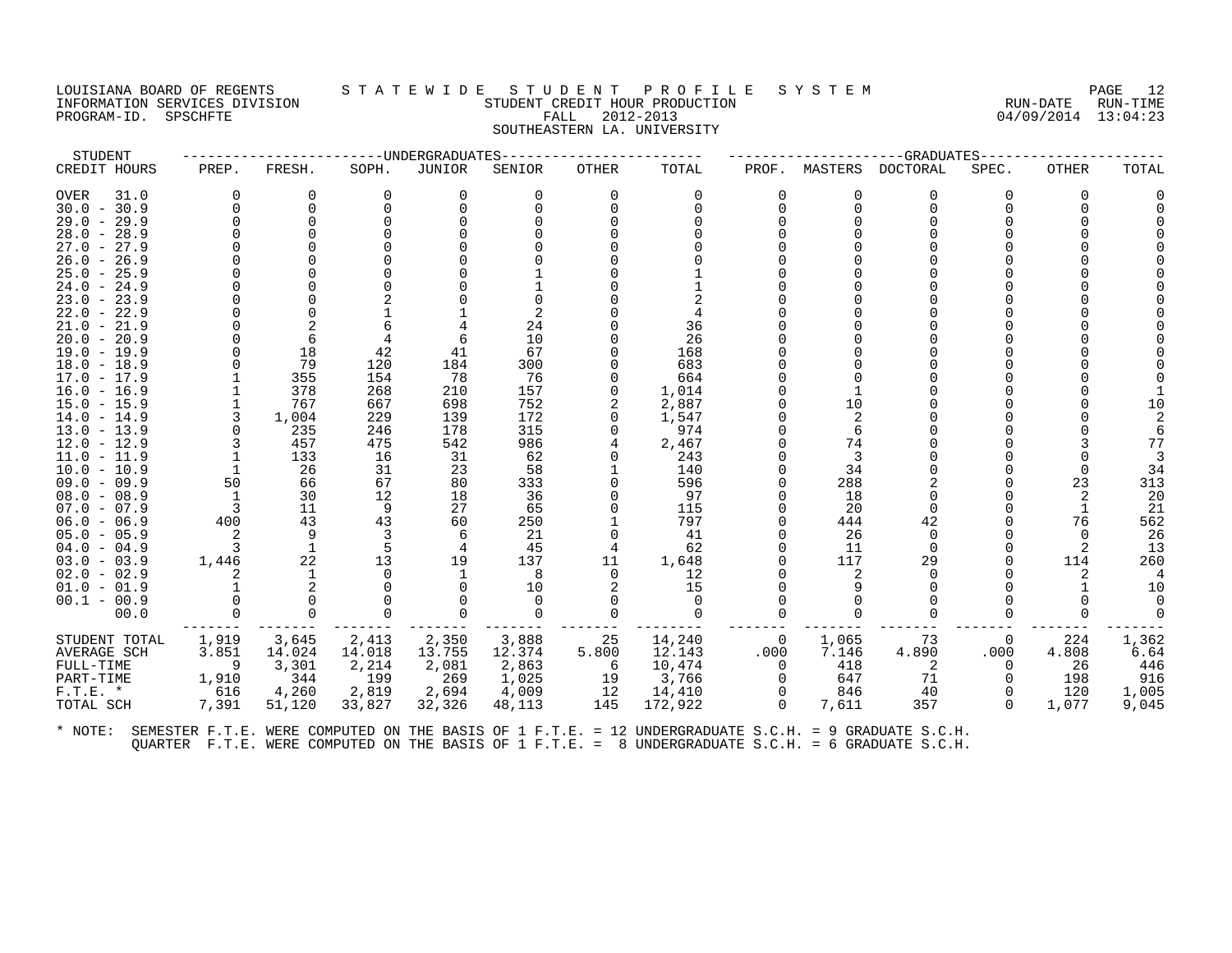## LOUISIANA BOARD OF REGENTS STATEWIDE STUDENT PROFILE SYSTEM PAGE 12<br>INFORMATION SERVICES DIVISION STUDENT CREDIT HOUR PRODUCTION FORD PROMETT AND RUN-DATE RUN-TIME INFORMATION SERVICES DIVISION SUNGLERICAL STUDENT CREDIT HOUR PRODUCTION SUNGLERIC RUN-DATE RUN-TIME<br>PROGRAM-ID. SPSCHFTE SUN-TIME SUNGLERICAL FALL 2012-2013 PROGRAM-ID. SPSCHFTE FALL 2012-2013 SOUTHEASTERN LA. UNIVERSITY

| STUDENT                        |          |              |            | ----UNDERGRADUATES |            |             |              |          |          | --GRADUATES |              |          |                |
|--------------------------------|----------|--------------|------------|--------------------|------------|-------------|--------------|----------|----------|-------------|--------------|----------|----------------|
| CREDIT HOURS                   | PREP.    | FRESH.       | SOPH.      | JUNIOR             | SENIOR     | OTHER       | TOTAL        | PROF.    | MASTERS  | DOCTORAL    | SPEC.        | OTHER    | TOTAL          |
| OVER<br>31.0                   | $\Omega$ | 0            | $\Omega$   | 0                  | $\Omega$   | $\Omega$    | $\Omega$     | ∩        | 0        | 0           | 0            | 0        |                |
| $30.0 - 30.9$                  | $\Omega$ | $\mathbf 0$  | $\Omega$   |                    |            | $\Omega$    | $\Omega$     |          | $\Omega$ | $\Omega$    | $\Omega$     | ∩        |                |
| $29.0 - 29.9$                  | ∩        | 0            |            |                    |            |             | $\Omega$     |          | 0        | ∩           |              |          |                |
| $28.0 - 28.9$                  |          | $\Omega$     |            |                    |            |             |              |          |          |             |              |          |                |
| $27.0 - 27.9$                  |          |              |            |                    |            |             |              |          |          |             |              |          |                |
| $26.0 - 26.9$                  |          | $\Omega$     |            |                    |            |             |              |          |          |             |              |          |                |
| $25.0 - 25.9$                  |          |              |            |                    |            |             |              |          |          |             |              |          |                |
| $24.0 - 24.9$                  |          |              |            |                    |            |             |              |          |          |             |              |          |                |
| $23.0 - 23.9$                  |          |              |            |                    |            |             |              |          |          | ∩           |              |          |                |
| $22.0 - 22.9$                  |          | $\mathbf 0$  |            |                    |            |             |              |          |          |             |              |          |                |
| $21.0 - 21.9$                  |          |              |            |                    | 24         |             | 36           |          |          |             |              |          |                |
| $20.0 - 20.9$                  | ∩        | 6            |            |                    | 10         |             | 26           |          |          |             |              |          |                |
| $19.0 - 19.9$                  | ∩        | 18           | 42         | 41                 | 67         |             | 168          |          | U        |             |              |          |                |
| $18.0 - 18.9$                  |          | 79           | 120        | 184                | 300        |             | 683          |          |          |             |              |          |                |
| $17.0 - 17.9$                  |          | 355<br>378   | 154<br>268 | 78                 | 76         | $\Omega$    | 664          |          |          |             |              |          |                |
| $16.0 - 16.9$                  |          | 767          | 667        | 210<br>698         | 157<br>752 |             | 1,014        |          | 10       |             |              |          | 10             |
| $15.0 - 15.9$<br>$14.0 - 14.9$ | 3        | 1,004        | 229        | 139                | 172        | $\Omega$    | 2,887        |          | 2        |             |              |          |                |
| $13.0 - 13.9$                  | $\Omega$ | 235          | 246        | 178                | 315        | $\Omega$    | 1,547<br>974 |          | 6        |             |              |          |                |
| $12.0 - 12.9$                  | 3        | 457          | 475        | 542                | 986        |             | 2,467        |          | 74       |             |              |          | 77             |
| $11.0 - 11.9$                  |          | 133          | 16         | 31                 | 62         | $\Omega$    | 243          |          | 3        |             |              |          |                |
| $10.0 - 10.9$                  |          | 26           | 31         | 23                 | 58         |             | 140          |          | 34       | $\Omega$    |              | $\Omega$ | 34             |
| $09.0 - 09.9$                  | 50       | 66           | 67         | 80                 | 333        |             | 596          |          | 288      |             |              | 23       | 313            |
| $08.0 - 08.9$                  | 1        | 30           | 12         | 18                 | 36         |             | 97           |          | 18       | $\Omega$    |              |          | 20             |
| $07.0 - 07.9$                  | 3        | 11           | -9         | 27                 | 65         |             | 115          |          | 20       | $\Omega$    |              | -1       | -21            |
| $06.0 - 06.9$                  | 400      | 43           | 43         | 60                 | 250        |             | 797          |          | 444      | 42          |              | 76       | 562            |
| $05.0 - 05.9$                  | 2        | 9            | 3          | 6                  | 21         | $\mathbf 0$ | 41           |          | 26       | 0           |              | $\Omega$ | 26             |
| $04.0 - 04.9$                  | 3        | $\mathbf{1}$ | 5          | 4                  | 45         | 4           | 62           |          | 11       | $\Omega$    | <sup>0</sup> |          | 13             |
| $03.0 - 03.9$                  | 1,446    | 22           | 13         | 19                 | 137        | 11          | 1,648        |          | 117      | 29          | <sup>n</sup> | 114      | 260            |
| $02.0 - 02.9$                  | 2        | 1            | $\Omega$   |                    | 8          | $\Omega$    | 12           |          | 2        | $\Omega$    |              | 2        | $\overline{4}$ |
| $01.0 - 01.9$                  |          | 2            |            |                    | 10         | 2           | 15           |          |          | $\Omega$    |              | -1       | 10             |
| $00.1 - 00.9$                  |          | $\Omega$     |            |                    | $\Omega$   | $\Omega$    | 0            |          |          | O           |              |          |                |
| 00.0                           | $\Omega$ | $\Omega$     | $\Omega$   | $\Omega$           | $\Omega$   | $\Omega$    | $\Omega$     |          | 0        | $\Omega$    | $\Omega$     | $\Omega$ | $\Omega$       |
| STUDENT TOTAL                  | 1,919    | 3,645        | 2,413      | 2,350              | 3,888      | 25          | 14,240       | 0        | 1,065    | 73          | $\mathbf{0}$ | 224      | 1,362          |
| AVERAGE SCH                    | 3.851    | 14.024       | 14.018     | 13.755             | 12.374     | 5.800       | 12.143       | .000     | 7.146    | 4.890       | .000         | 4.808    | 6.64           |
| FULL-TIME                      | 9        | 3,301        | 2,214      | 2,081              | 2,863      | 6           | 10,474       | $\Omega$ | 418      | -2          | $\Omega$     | 26       | 446            |
| PART-TIME                      | 1,910    | 344          | 199        | 269                | 1,025      | 19          | 3,766        | $\Omega$ | 647      | 71          | $\Omega$     | 198      | 916            |
| $F.T.E.$ *                     | 616      | 4,260        | 2,819      | 2,694              | 4,009      | 12          | 14,410       |          | 846      | 40          | $\Omega$     | 120      | 1,005          |
| TOTAL SCH                      | 7,391    | 51,120       | 33,827     | 32,326             | 48,113     | 145         | 172,922      | $\Omega$ | 7,611    | 357         | $\Omega$     | 1,077    | 9,045          |
|                                |          |              |            |                    |            |             |              |          |          |             |              |          |                |
|                                |          |              |            |                    |            |             |              |          |          |             |              |          |                |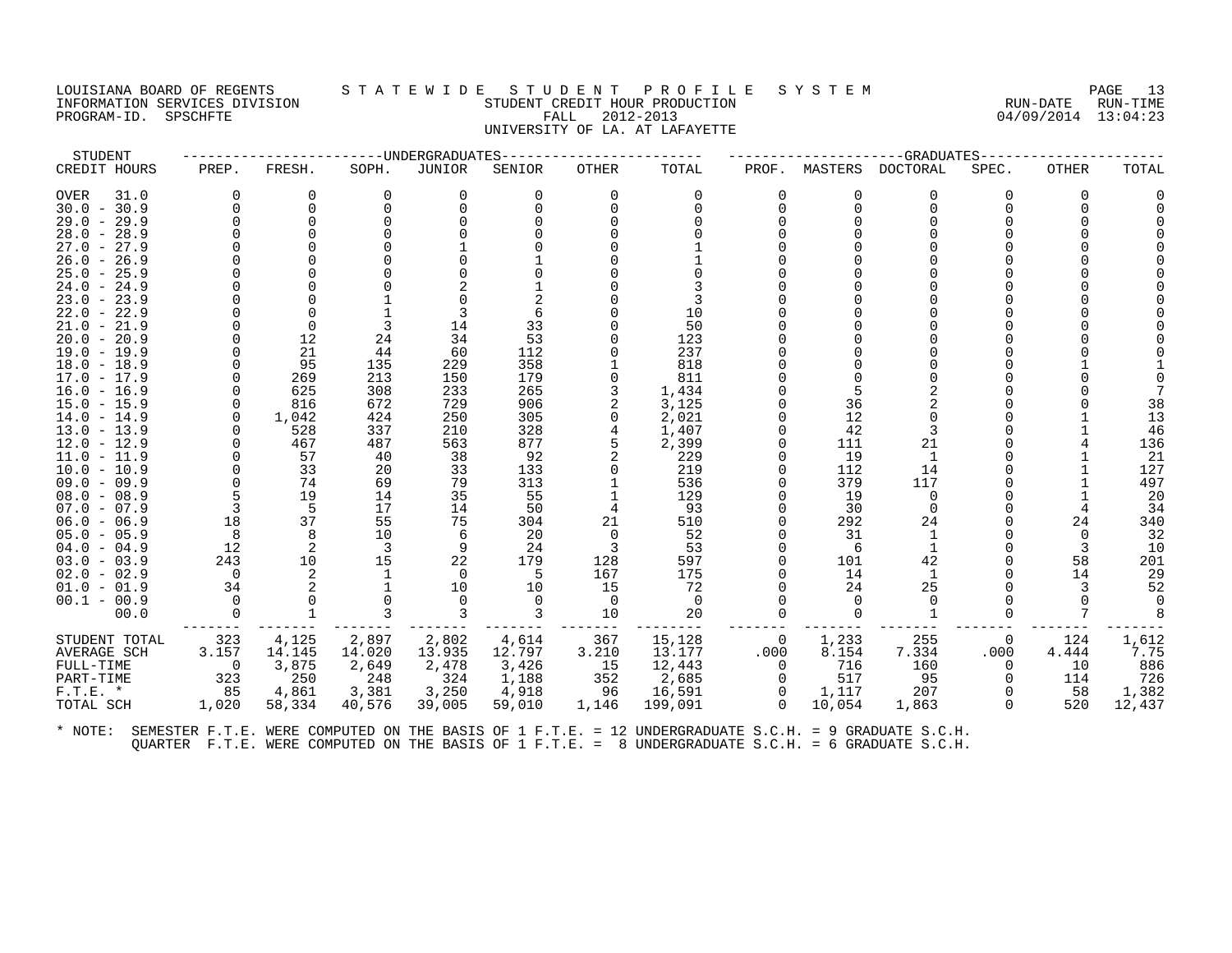#### LOUISIANA BOARD OF REGENTS S T A T E W I D E S T U D E N T P R O F I L E S Y S T E M PAGE 13 INFORMATION SERVICES DIVISION STUDENT CREDIT HOUR PRODUCTION RUN-DATE RUN-TIME PROGRAM-ID. SPSCHFTE FALL 2012-2013 04/09/2014 13:04:23 UNIVERSITY OF LA. AT LAFAYETTE

| STUDENT                        |                      |                      |          | -----UNDERGRADUATES |               |                                |                      |                |                      | ---GRADUATES-    |          |       |        |
|--------------------------------|----------------------|----------------------|----------|---------------------|---------------|--------------------------------|----------------------|----------------|----------------------|------------------|----------|-------|--------|
| CREDIT HOURS                   | PREP.                | FRESH.               | SOPH.    | JUNIOR              | SENIOR        | <b>OTHER</b>                   | TOTAL                | PROF.          |                      | MASTERS DOCTORAL | SPEC.    | OTHER | TOTAL  |
| OVER<br>31.0                   | $\Omega$             | 0                    | 0        | 0                   | $\Omega$      | $\Omega$                       | $\Omega$             | 0              | $\Omega$             | $\Omega$         | 0        | 0     |        |
| $30.0 - 30.9$                  | $\Omega$             | $\mathbf 0$          | $\Omega$ |                     |               |                                | $\Omega$             | $\Omega$       | $\Omega$             | $\Omega$         |          |       |        |
| $29.0 - 29.9$                  | $\Omega$             | $\Omega$             |          |                     |               |                                |                      | $\Omega$       |                      |                  |          |       |        |
| $28.0 - 28.9$                  |                      | $\Omega$             |          |                     |               |                                |                      |                |                      |                  |          |       |        |
| $27.0 - 27.9$                  |                      |                      |          |                     |               |                                |                      |                |                      |                  |          |       |        |
| $26.0 - 26.9$                  |                      |                      |          |                     |               |                                |                      |                |                      |                  |          |       |        |
| $25.0 - 25.9$                  |                      |                      |          |                     |               |                                |                      |                |                      |                  |          |       |        |
| $24.0 - 24.9$                  |                      |                      |          |                     |               |                                |                      |                |                      |                  |          |       |        |
| $23.0 - 23.9$                  |                      | $\Omega$<br>$\Omega$ |          | 3                   | 6             |                                | 10                   |                |                      |                  |          |       |        |
| $22.0 - 22.9$<br>$21.0 - 21.9$ | $\Omega$             | $\Omega$             |          | 14                  | 33            |                                | 50                   |                |                      |                  |          |       |        |
| $20.0 - 20.9$                  |                      | 12                   | 24       | 34                  | 53            |                                | 123                  |                |                      |                  |          |       |        |
| $19.0 - 19.9$                  | O                    | 21                   | 44       | 60                  | 112           |                                | 237                  |                |                      |                  |          |       |        |
| $18.0 - 18.9$                  | $\Omega$             | 95                   | 135      | 229                 | 358           |                                | 818                  |                |                      |                  |          |       |        |
| $17.0 - 17.9$                  |                      | 269                  | 213      | 150                 | 179           |                                | 811                  |                |                      |                  |          |       |        |
| $16.0 - 16.9$                  | $\Omega$             | 625                  | 308      | 233                 | 265           |                                | 1,434                |                |                      | $\mathfrak{D}$   |          |       |        |
| $15.0 - 15.9$                  | $\mathbf 0$          | 816                  | 672      | 729                 | 906           |                                | 3,125                |                | 36                   |                  |          |       | 38     |
| $14.0 - 14.9$                  | $\Omega$             | 1,042                | 424      | 250                 | 305           | $\Omega$                       | 2,021                | $\Omega$       | 12                   |                  |          |       | 13     |
| $13.0 - 13.9$                  | ∩                    | 528                  | 337      | 210                 | 328           |                                | 1,407                |                | 42                   |                  |          |       | 46     |
| $12.0 - 12.9$                  | $\Omega$             | 467                  | 487      | 563                 | 877           |                                | 2,399                |                | 111                  | 21               |          |       | 136    |
| $11.0 - 11.9$                  | $\Omega$             | 57                   | 40       | 38                  | 92            | 2                              | 229                  | $\Omega$       | 19                   | 1                |          |       | 21     |
| $10.0 - 10.9$                  |                      | 33                   | 20       | 33                  | 133           |                                | 219                  |                | 112                  | 14               |          |       | 127    |
| $09.0 - 09.9$                  | $\Omega$             | 74                   | 69       | 79                  | 313           |                                | 536                  | 0              | 379                  | 117              |          |       | 497    |
| $08.0 - 08.9$                  |                      | 19                   | 14       | 35                  | 55            |                                | 129                  |                | 19                   | $\overline{0}$   |          |       | 20     |
| $07.0 - 07.9$                  | 3                    | -5                   | 17       | 14                  | 50            | 4                              | 93                   |                | 30                   | $\Omega$         |          | 4     | 34     |
| $06.0 - 06.9$                  | 18                   | 37                   | 55       | 75                  | 304           | 21                             | 510                  |                | 292                  | 24               |          | 24    | 340    |
| $05.0 - 05.9$                  | 8                    | 8                    | 10       | 6                   | 20            | $\overline{0}$                 | 52                   |                | 31                   | 1                |          | 0     | 32     |
| $04.0 - 04.9$                  | 12                   | 2                    | -3       | 9                   | 24            | $\overline{3}$                 | 53                   | $\Omega$       | -6                   | 1                |          | 3     | 10     |
| $03.0 - 03.9$                  | 243                  | 10                   | 15       | 22                  | 179           | 128                            | 597                  | $\Omega$       | 101                  | 42               |          | 58    | 201    |
| $02.0 - 02.9$                  | $\bigcirc$<br>34     | 2<br>2               | 1        | $\Omega$<br>10      | -5            | 167<br>15                      | 175<br>72            | $\Omega$       | 14                   | 1<br>25          |          | 14    | 29     |
| $01.0 - 01.9$                  |                      |                      | -1       |                     | 10            |                                |                      | $\Omega$       | 24                   |                  |          | 3     | 52     |
| $00.1 - 00.9$<br>00.0          | $\Omega$<br>$\Omega$ | $\mathbf{1}$         |          | $\Omega$<br>3       | $\Omega$<br>3 | $\overline{\phantom{0}}$<br>10 | $\overline{0}$<br>20 | $\Omega$       | $\Omega$<br>$\Omega$ | $\mathbf{1}$     | $\Omega$ |       |        |
|                                |                      |                      |          |                     |               |                                |                      |                |                      |                  |          |       |        |
| STUDENT TOTAL                  | 323                  | 4,125                | 2,897    | 2,802               | 4,614         | 367                            | 15,128               | $\overline{0}$ | 1,233                | 255              | 0        | 124   | 1,612  |
| <b>AVERAGE SCH</b>             | 3.157                | 14.145               | 14.020   | 13.935              | 12.797        | 3.210                          | 13.177               | .000           | 8.154                | 7.334            | .000     | 4.444 | 7.75   |
| FULL-TIME                      | $\bigcirc$           | 3,875                | 2,649    | 2,478               | 3,426         | 15                             | 12,443               | $\overline{0}$ | 716                  | 160              | $\Omega$ | 10    | 886    |
| PART-TIME                      | 323                  | 250                  | 248      | 324                 | 1,188         | 352                            | 2,685                | $\overline{0}$ | 517                  | 95               | $\Omega$ | 114   | 726    |
| $F.T.E. *$                     | 85                   | 4,861                | 3,381    | 3,250               | 4,918         | 96                             | 16,591               | $\overline{0}$ | 1,117                | 207              |          | 58    | 1,382  |
| TOTAL SCH                      | 1,020                | 58,334               | 40,576   | 39,005              | 59,010        | 1,146                          | 199,091              | $\Omega$       | 10,054               | 1,863            | $\Omega$ | 520   | 12,437 |
|                                |                      |                      |          |                     |               |                                |                      |                |                      |                  |          |       |        |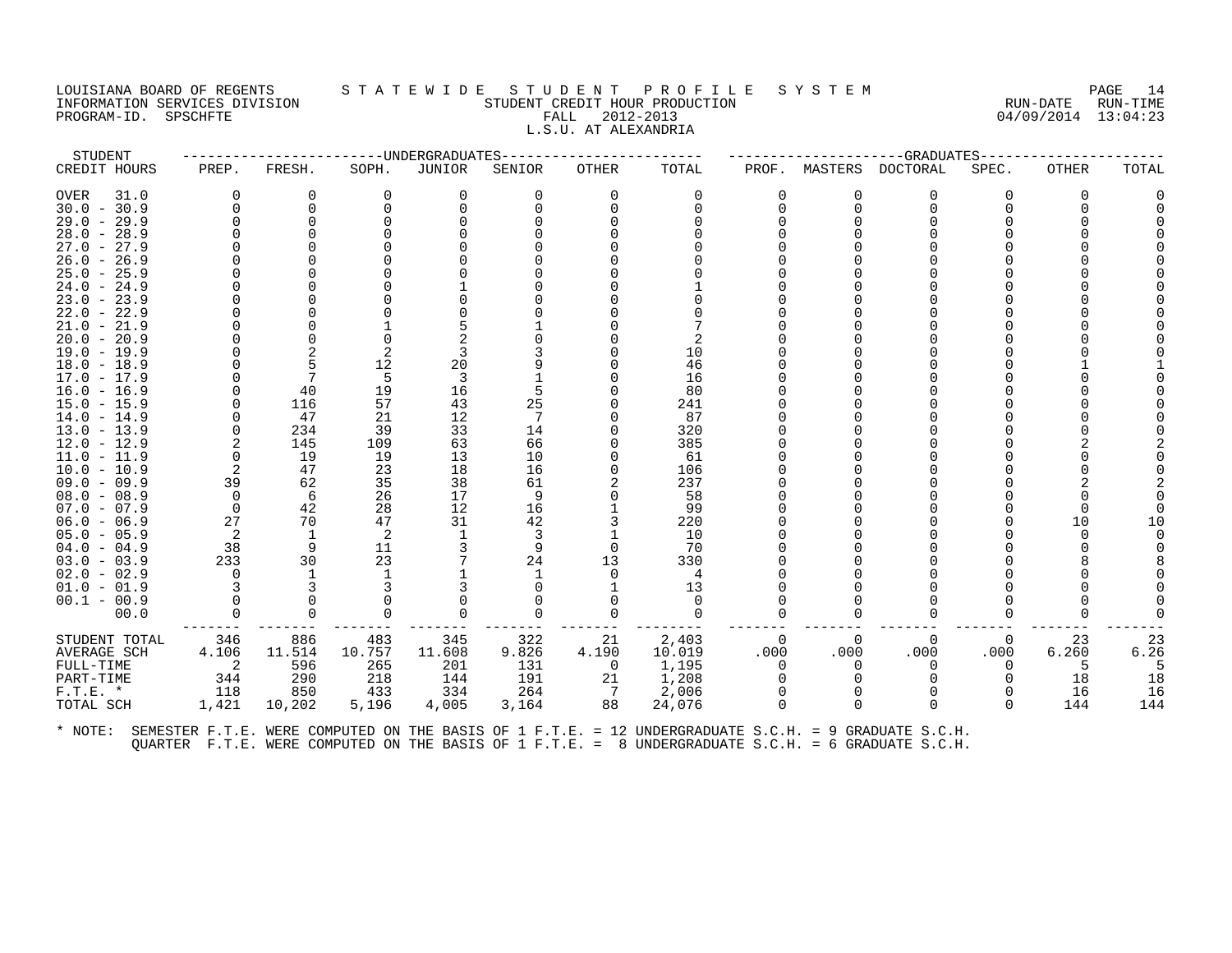#### LOUISIANA BOARD OF REGENTS S T A T E W I D E S T U D E N T P R O F I L E S Y S T E M PAGE 14 INFORMATION SERVICES DIVISION STUDENT CREDIT HOUR PRODUCTION RUN-DATE RUN-TIME PROGRAM-ID. SPSCHFTE FALL 2012-2013 04/09/2014 13:04:23 L.S.U. AT ALEXANDRIA

| TOTAL<br>SENIOR<br>OTHER<br>$\Omega$<br>$\Omega$<br>$\Omega$<br>$\Omega$<br>$\Omega$<br>10<br>46<br>16<br>80<br>5<br>25<br>241<br>87 | PROF.<br>MASTERS<br>$\Omega$<br>$\Omega$                                                                                                                    | <b>DOCTORAL</b><br>O<br>$\Omega$<br>$\Omega$<br>$\Omega$                                                                                | ---GRADUATES-----<br>SPEC.<br>0                                               | OTHER<br>0 | TOTAL       |
|--------------------------------------------------------------------------------------------------------------------------------------|-------------------------------------------------------------------------------------------------------------------------------------------------------------|-----------------------------------------------------------------------------------------------------------------------------------------|-------------------------------------------------------------------------------|------------|-------------|
|                                                                                                                                      |                                                                                                                                                             |                                                                                                                                         |                                                                               |            |             |
|                                                                                                                                      |                                                                                                                                                             |                                                                                                                                         |                                                                               |            |             |
|                                                                                                                                      |                                                                                                                                                             |                                                                                                                                         |                                                                               |            |             |
|                                                                                                                                      |                                                                                                                                                             |                                                                                                                                         |                                                                               |            |             |
|                                                                                                                                      |                                                                                                                                                             |                                                                                                                                         |                                                                               |            |             |
|                                                                                                                                      |                                                                                                                                                             |                                                                                                                                         |                                                                               |            |             |
|                                                                                                                                      |                                                                                                                                                             |                                                                                                                                         |                                                                               |            |             |
|                                                                                                                                      |                                                                                                                                                             |                                                                                                                                         |                                                                               |            |             |
|                                                                                                                                      |                                                                                                                                                             |                                                                                                                                         |                                                                               |            |             |
|                                                                                                                                      |                                                                                                                                                             |                                                                                                                                         |                                                                               |            |             |
|                                                                                                                                      |                                                                                                                                                             |                                                                                                                                         |                                                                               |            |             |
|                                                                                                                                      |                                                                                                                                                             |                                                                                                                                         |                                                                               |            |             |
|                                                                                                                                      |                                                                                                                                                             |                                                                                                                                         |                                                                               |            |             |
|                                                                                                                                      |                                                                                                                                                             |                                                                                                                                         |                                                                               |            |             |
|                                                                                                                                      |                                                                                                                                                             |                                                                                                                                         |                                                                               |            |             |
|                                                                                                                                      |                                                                                                                                                             |                                                                                                                                         |                                                                               |            |             |
|                                                                                                                                      |                                                                                                                                                             |                                                                                                                                         |                                                                               |            |             |
|                                                                                                                                      |                                                                                                                                                             |                                                                                                                                         |                                                                               |            |             |
|                                                                                                                                      |                                                                                                                                                             |                                                                                                                                         |                                                                               |            |             |
| 320<br>14                                                                                                                            |                                                                                                                                                             |                                                                                                                                         |                                                                               |            |             |
| 66<br>385                                                                                                                            |                                                                                                                                                             |                                                                                                                                         |                                                                               |            |             |
| 10<br>61                                                                                                                             |                                                                                                                                                             |                                                                                                                                         |                                                                               |            |             |
| 16<br>106                                                                                                                            |                                                                                                                                                             |                                                                                                                                         |                                                                               |            |             |
| 61<br>237                                                                                                                            |                                                                                                                                                             |                                                                                                                                         |                                                                               |            |             |
|                                                                                                                                      |                                                                                                                                                             |                                                                                                                                         |                                                                               |            |             |
|                                                                                                                                      |                                                                                                                                                             |                                                                                                                                         |                                                                               |            |             |
|                                                                                                                                      |                                                                                                                                                             |                                                                                                                                         |                                                                               |            | 10          |
|                                                                                                                                      |                                                                                                                                                             |                                                                                                                                         |                                                                               |            |             |
|                                                                                                                                      |                                                                                                                                                             |                                                                                                                                         |                                                                               |            |             |
|                                                                                                                                      |                                                                                                                                                             |                                                                                                                                         |                                                                               |            |             |
|                                                                                                                                      |                                                                                                                                                             |                                                                                                                                         |                                                                               |            |             |
|                                                                                                                                      |                                                                                                                                                             |                                                                                                                                         |                                                                               |            |             |
|                                                                                                                                      |                                                                                                                                                             |                                                                                                                                         |                                                                               |            |             |
|                                                                                                                                      |                                                                                                                                                             |                                                                                                                                         |                                                                               |            |             |
| 21                                                                                                                                   | 0                                                                                                                                                           | 0<br>$\Omega$                                                                                                                           | 0                                                                             | 23         | 23          |
|                                                                                                                                      |                                                                                                                                                             |                                                                                                                                         |                                                                               |            | 6.26        |
| $\overline{0}$                                                                                                                       | $\Omega$                                                                                                                                                    | <sup>0</sup><br>$\Omega$                                                                                                                | $\Omega$                                                                      | 5          |             |
| 21                                                                                                                                   |                                                                                                                                                             |                                                                                                                                         | $\Omega$                                                                      | 18         | 18          |
|                                                                                                                                      |                                                                                                                                                             |                                                                                                                                         |                                                                               | 16         | 16          |
|                                                                                                                                      |                                                                                                                                                             |                                                                                                                                         | $\Omega$                                                                      | 144        | 144         |
|                                                                                                                                      | 9<br>16<br>42<br>3<br>9<br>$\Omega$<br>24<br>13<br>$\mathbf 0$<br>0<br>$\Omega$<br>$\Omega$<br>322<br>9.826<br>4.190<br>131<br>191<br>264<br>$\overline{7}$ | 58<br>99<br>220<br>10<br>70<br>330<br>4<br>13<br>$\Omega$<br>$\Omega$<br>$\Omega$<br>2,403<br>10.019<br>.000<br>1,195<br>1,208<br>2,006 | <sup>0</sup><br>.000<br>.000<br>88<br>3,164<br>24,076<br>$\Omega$<br>$\Omega$ | 0<br>.000  | 10<br>6.260 |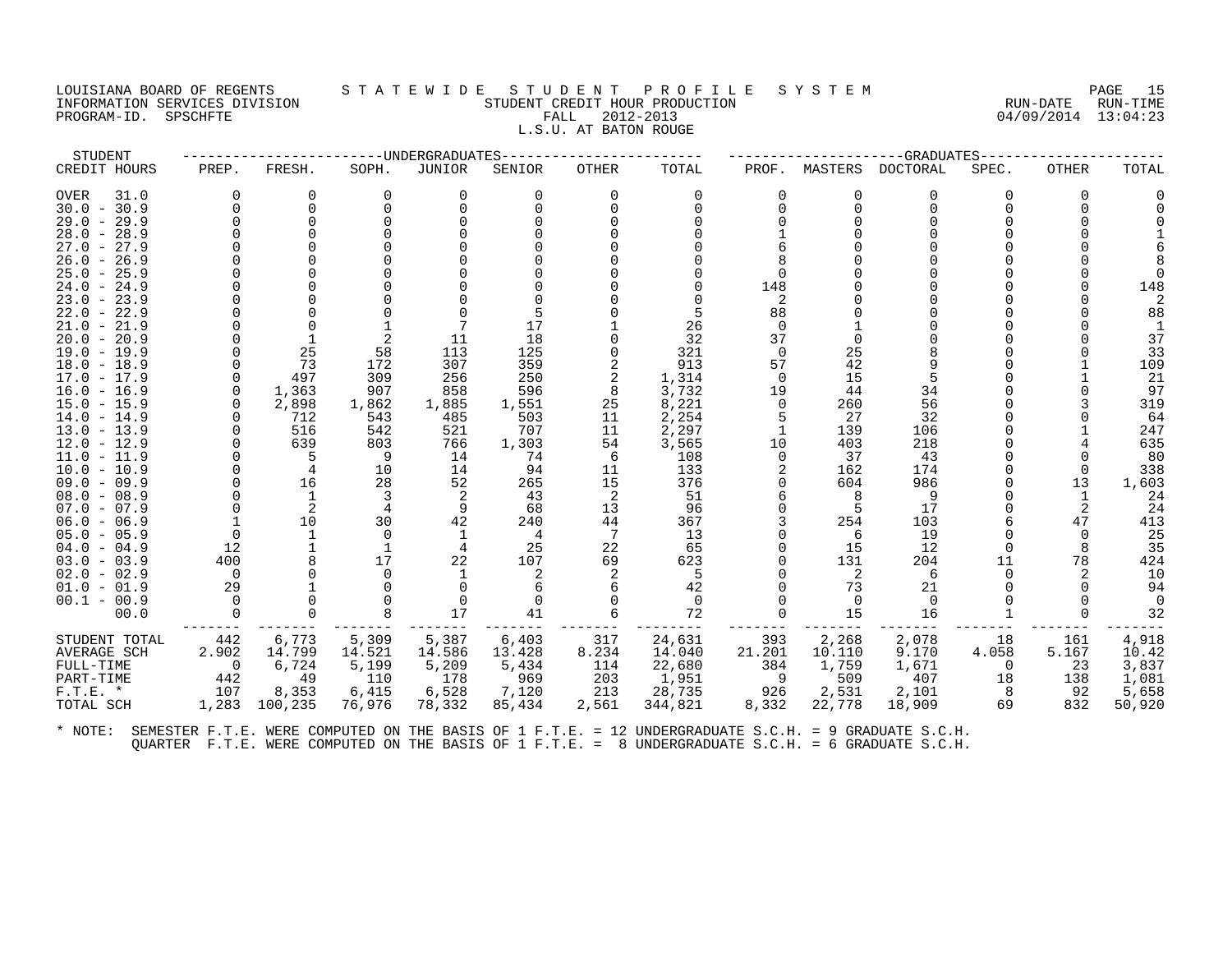## LOUISIANA BOARD OF REGENTS STATEWIDE STUDENT PROFILE SYSTEM PAGE 15<br>INFORMATION SERVICES DIVISION STATEWIST STUDENT CREDIT HOUR PRODUCTION INFORMATION STUDENT CREDIT HOUR PRODUCTION STUDENT CREDIT HOUR PRODUCTION RUN-DATE RUN-TIME<br>FALL 2012-2013 94/09/2014 13:04:23 PROGRAM-ID. SPSCHFTE FALL 2012-2013 L.S.U. AT BATON ROUGE

| STUDENT                                  |          |                |            | ---UNDERGRADUATES |            |              |                |                    |          | --GRADUATES-- |          |              |          |
|------------------------------------------|----------|----------------|------------|-------------------|------------|--------------|----------------|--------------------|----------|---------------|----------|--------------|----------|
| CREDIT HOURS                             | PREP.    | FRESH.         | SOPH.      | JUNIOR            | SENIOR     | <b>OTHER</b> | TOTAL          | PROF.              | MASTERS  | DOCTORAL      | SPEC.    | <b>OTHER</b> | TOTAL    |
| OVER<br>31.0                             |          | 0              | $\Omega$   | 0                 | 0          | 0            | $\Omega$       |                    | 0        | 0             | O        | $\Omega$     |          |
| $30.0 - 30.9$                            |          | $\mathbf 0$    |            | $\Omega$          |            |              | ∩              |                    | $\Omega$ | $\Omega$      |          |              |          |
| $29.0 - 29.9$                            |          | $\Omega$       |            |                   |            |              |                |                    |          |               |          |              |          |
| $28.0 - 28.9$                            |          |                |            |                   |            |              |                |                    |          |               |          |              |          |
| $27.0 - 27.9$                            |          |                |            |                   |            |              |                |                    |          |               |          |              |          |
| $26.0 - 26.9$                            |          |                |            |                   |            |              |                |                    |          |               |          |              |          |
| $25.0 - 25.9$                            |          |                |            |                   |            |              |                |                    |          |               |          |              |          |
| 24.0 - 24.9                              |          |                |            |                   |            |              |                | 148                |          |               |          |              | 148      |
| $23.0 - 23.9$                            |          |                |            |                   |            |              |                |                    |          |               |          |              |          |
| $22.0 - 22.9$                            |          |                |            |                   |            |              |                | 88                 |          |               |          |              | 88       |
| 21.0<br>21.9<br>$\overline{\phantom{0}}$ |          |                |            |                   | 17         |              | 26             |                    |          |               |          |              |          |
| $20.0 - 20.9$                            |          |                |            | 11                | 18         |              | 32             | 37                 |          |               |          |              | 37       |
| $19.0 - 19.9$                            |          | 25             | 58         | 113               | 125        |              | 321            | $\Omega$           | 25       |               |          |              | 33       |
| $18.0 - 18.9$                            |          | 73<br>497      | 172        | 307               | 359        |              | 913            | 57<br><sup>n</sup> | 42       |               |          |              | 109      |
| 17.0 - 17.9                              |          |                | 309<br>907 | 256<br>858        | 250<br>596 |              | 1,314          |                    | 15<br>44 | 34            |          |              | 21<br>97 |
| $16.0 - 16.9$<br>$15.0 - 15.9$           |          | 1,363<br>2,898 | 1,862      | 1,885             | 1,551      | 8<br>25      | 3,732<br>8,221 | 19<br>$\Omega$     | 260      | 56            |          |              | 319      |
| 14.0 - 14.9                              |          | 712            | 543        | 485               | 503        | 11           | 2,254          |                    | 27       | 32            |          |              | 64       |
| $13.0 - 13.9$                            |          | 516            | 542        | 521               | 707        | 11           | 2,297          |                    | 139      | 106           |          |              | 247      |
| $12.0 - 12.9$                            |          | 639            | 803        | 766               | 1,303      | 54           | 3,565          | 10                 | 403      | 218           |          |              | 635      |
| $11.0 - 11.9$                            |          | 5              | 9          | 14                | 74         | -6           | 108            |                    | 37       | 43            |          |              | 80       |
| $10.0 - 10.9$                            |          |                | 10         | 14                | 94         | 11           | 133            |                    | 162      | 174           |          |              | 338      |
| $09.0 - 09.9$                            |          | 16             | 28         | 52                | 265        | 15           | 376            |                    | 604      | 986           |          | 13           | 1,603    |
| $08.0 - 08.9$                            |          | 1              |            |                   | 43         | -2           | 51             |                    |          | 9             |          | 1            | 24       |
| $07.0 - 07.9$                            |          | 2              |            | 9                 | 68         | 13           | 96             |                    | .5       | 17            |          |              | 24       |
| $06.0 - 06.9$                            |          | 10             | 30         | 42                | 240        | 44           | 367            |                    | 254      | 103           |          | 47           | 413      |
| $05.0 - 05.9$                            | $\Omega$ |                | 0          |                   |            | 7            | 13             |                    | 6        | 19            |          | $\Omega$     | 25       |
| $04.0 - 04.9$                            | 12       |                |            |                   | 25         | 22           | 65             |                    | 15       | 12            |          |              | 35       |
| $03.0 - 03.9$                            | 400      |                | 17         | 22                | 107        | 69           | 623            |                    | 131      | 204           | 11       | 78           | 424      |
| $02.0 - 02.9$                            | $\Omega$ |                | $\Omega$   |                   |            | 2            | 5              |                    | 2        | 6             | $\Omega$ |              | 10       |
| $01.0 - 01.9$                            | 29       |                |            |                   |            |              | 42             |                    | 73       | 21            |          |              | 94       |
| $00.1 - 00.9$                            |          |                |            | $\Omega$          |            |              | $\Omega$       |                    | $\Omega$ | $\Omega$      |          |              |          |
| 00.0                                     |          |                |            | 17                | 41         |              | 72             |                    | 15       | 16            |          |              | 32       |
| STUDENT TOTAL                            | 442      | 6,773          | 5,309      | 5,387             | 6,403      | 317          | 24,631         | 393                | 2,268    | 2,078         | 18       | 161          | 4,918    |
| AVERAGE SCH                              | 2.902    | 14.799         | 14.521     | 14.586            | 13.428     | 8.234        | 14.040         | 21.201             | 10.110   | 9.170         | 4.058    | 5.167        | 10.42    |
| FULL-TIME                                | 0        | 6,724          | 5,199      | 5,209             | 5,434      | 114          | 22,680         | 384                | 1,759    | 1,671         | 0        | 23           | 3,837    |
| PART-TIME                                | 442      | 49             | 110        | 178               | 969        | 203          | 1,951          | 9                  | 509      | 407           | 18       | 138          | 1,081    |
| $F.T.E. *$                               | 107      | 8,353          | 6,415      | 6,528             | 7,120      | 213          | 28,735         | 926                | 2,531    | 2,101         |          | 92           | 5,658    |
| TOTAL SCH                                | 1,283    | 100,235        | 76,976     | 78,332            | 85,434     | 2,561        | 344,821        | 8,332              | 22,778   | 18,909        | 69       | 832          | 50,920   |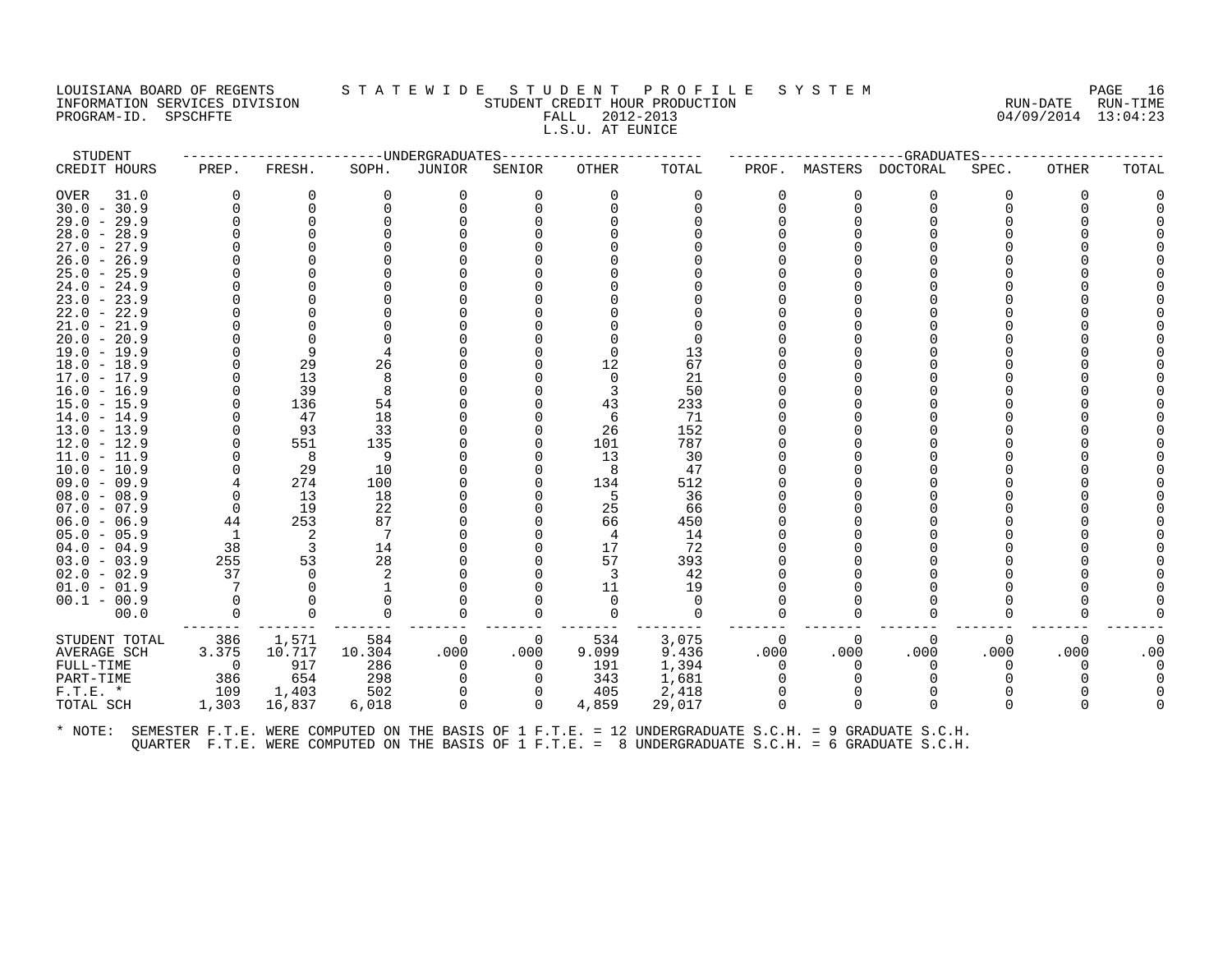## LOUISIANA BOARD OF REGENTS STATEWIDE STUDENT PROFILE SYSTEM NAGE 16 INFORMATION SERVICES DIVISION STUDENT CREDIT HOUR PRODUCTION RUN-DATE RUN-TIME PROGRAM-ID. SPSCHFTE FROGRAM-ID. SPSCHFTE FALL 2012-2013<br>PROGRAM-ID. SPSCHFTE FALL 2012-2013 L.S.U. AT EUNICE

STUDENT ------------------------UNDERGRADUATES------------------------ ---------------------GRADUATES----------------------

| CREDIT HOURS  | PREP.          | FRESH.   | SOPH.    | JUNIOR   | SENIOR   | <b>OTHER</b> | TOTAL    | PROF.    | MASTERS  | DOCTORAL | SPEC. | OTHER    | TOTAL |
|---------------|----------------|----------|----------|----------|----------|--------------|----------|----------|----------|----------|-------|----------|-------|
| OVER<br>31.0  | $\Omega$       | O        | 0        | 0        | 0        | $\Omega$     | 0        | 0        | 0        | 0        | 0     | $\Omega$ |       |
| $30.0 - 30.9$ | $\Omega$       | 0        |          |          |          |              | $\Omega$ | 0        | $\Omega$ | $\Omega$ |       |          |       |
| $29.0 - 29.9$ | O              |          |          |          |          |              |          |          |          |          |       |          |       |
| $28.0 - 28.9$ |                |          |          |          |          |              |          |          |          |          |       |          |       |
| $27.0 - 27.9$ |                |          |          |          |          |              |          |          |          |          |       |          |       |
| $26.0 - 26.9$ |                |          |          |          |          |              |          |          |          |          |       |          |       |
| $25.0 - 25.9$ |                |          |          |          |          |              |          |          |          |          |       |          |       |
| $24.0 - 24.9$ |                |          |          |          |          |              |          |          |          |          |       |          |       |
| $23.0 - 23.9$ |                |          |          |          |          |              |          |          |          |          |       |          |       |
| $22.0 - 22.9$ |                |          |          |          |          |              |          |          |          |          |       |          |       |
| $21.0 - 21.9$ |                |          |          |          |          |              |          |          |          |          |       |          |       |
| $20.0 - 20.9$ |                |          |          |          |          |              |          |          |          |          |       |          |       |
| $19.0 - 19.9$ |                | 9        |          |          |          |              | 13       |          |          |          |       |          |       |
| $18.0 - 18.9$ |                | 29       | 26       |          |          | 12           | 67       |          |          |          |       |          |       |
| $17.0 - 17.9$ |                | 13       | 8        |          |          |              | 21       |          |          |          |       |          |       |
| $16.0 - 16.9$ | O              | 39       | 8        |          |          |              | 50       |          |          |          |       |          |       |
| $15.0 - 15.9$ | $\Omega$       | 136      | 54       |          |          | 43           | 233      |          |          |          |       |          |       |
| $14.0 - 14.9$ | O              | 47       | 18       |          |          | 6            | 71       |          |          |          |       |          |       |
| $13.0 - 13.9$ | $\Omega$       | 93       | 33       |          |          | 26           | 152      |          |          |          |       |          |       |
| $12.0 - 12.9$ |                | 551      | 135      |          |          | 101          | 787      |          |          |          |       |          |       |
| $11.0 - 11.9$ |                | 8        | 9        |          |          | 13           | 30       |          |          |          |       |          |       |
| $10.0 - 10.9$ |                | 29       | 10       |          |          | 8            | 47       |          |          |          |       |          |       |
| $09.0 - 09.9$ |                | 274      | 100      |          |          | 134          | 512      |          |          |          |       |          |       |
| $08.0 - 08.9$ | 0              | 13       | 18       |          |          | -5           | 36       |          |          |          |       |          |       |
| $07.0 - 07.9$ | 0              | 19       | 22       |          |          | 25           | 66       |          |          |          |       |          |       |
| $06.0 - 06.9$ | 44             | 253      | 87       |          |          | 66           | 450      |          |          |          |       |          |       |
| $05.0 - 05.9$ | - 1            | 2        | 7        |          |          | 4            | 14       |          |          |          |       |          |       |
| $04.0 - 04.9$ | 38             | 3        | 14       |          |          | 17           | 72       |          |          |          |       |          |       |
| $03.0 - 03.9$ | 255            | 53       | 28       |          |          | 57           | 393      |          |          |          |       |          |       |
| $02.0 - 02.9$ | 37             | $\Omega$ |          |          |          | 3            | 42       |          |          |          |       |          |       |
| $01.0 - 01.9$ |                |          |          |          |          | 11           | 19       |          |          |          |       |          |       |
| $00.1 - 00.9$ |                |          |          |          |          |              | $\Omega$ |          |          |          |       |          |       |
| 00.0          | $\Omega$       | $\Omega$ | $\Omega$ |          | O        | $\Omega$     | $\Omega$ | 0        | O        | $\Omega$ |       |          |       |
|               |                |          |          |          |          |              |          |          |          |          |       |          |       |
| STUDENT TOTAL | 386            | 1,571    | 584      | 0        | 0        | 534          | 3,075    | 0        | $\Omega$ | 0        | 0     | 0        |       |
| AVERAGE SCH   | 3.375          | 10.717   | 10.304   | .000     | .000     | 9.099        | 9.436    | .000     | .000     | .000     | .000  | .000     | .00   |
| FULL-TIME     | $\overline{0}$ | 917      | 286      | $\Omega$ | $\Omega$ | 191          | 1,394    | $\Omega$ | $\Omega$ | 0        | 0     |          |       |
| PART-TIME     | 386            | 654      | 298      |          |          | 343          | 1,681    |          |          |          |       |          |       |
| $F.T.E. *$    | 109            | 1,403    | 502      |          |          | 405          | 2,418    |          |          |          |       |          |       |
| TOTAL SCH     | 1,303          | 16,837   | 6,018    | $\Omega$ | $\Omega$ | 4,859        | 29,017   | $\Omega$ | 0        | $\Omega$ | 0     | $\Omega$ |       |
|               |                |          |          |          |          |              |          |          |          |          |       |          |       |
|               |                |          |          |          |          |              |          |          |          |          |       |          |       |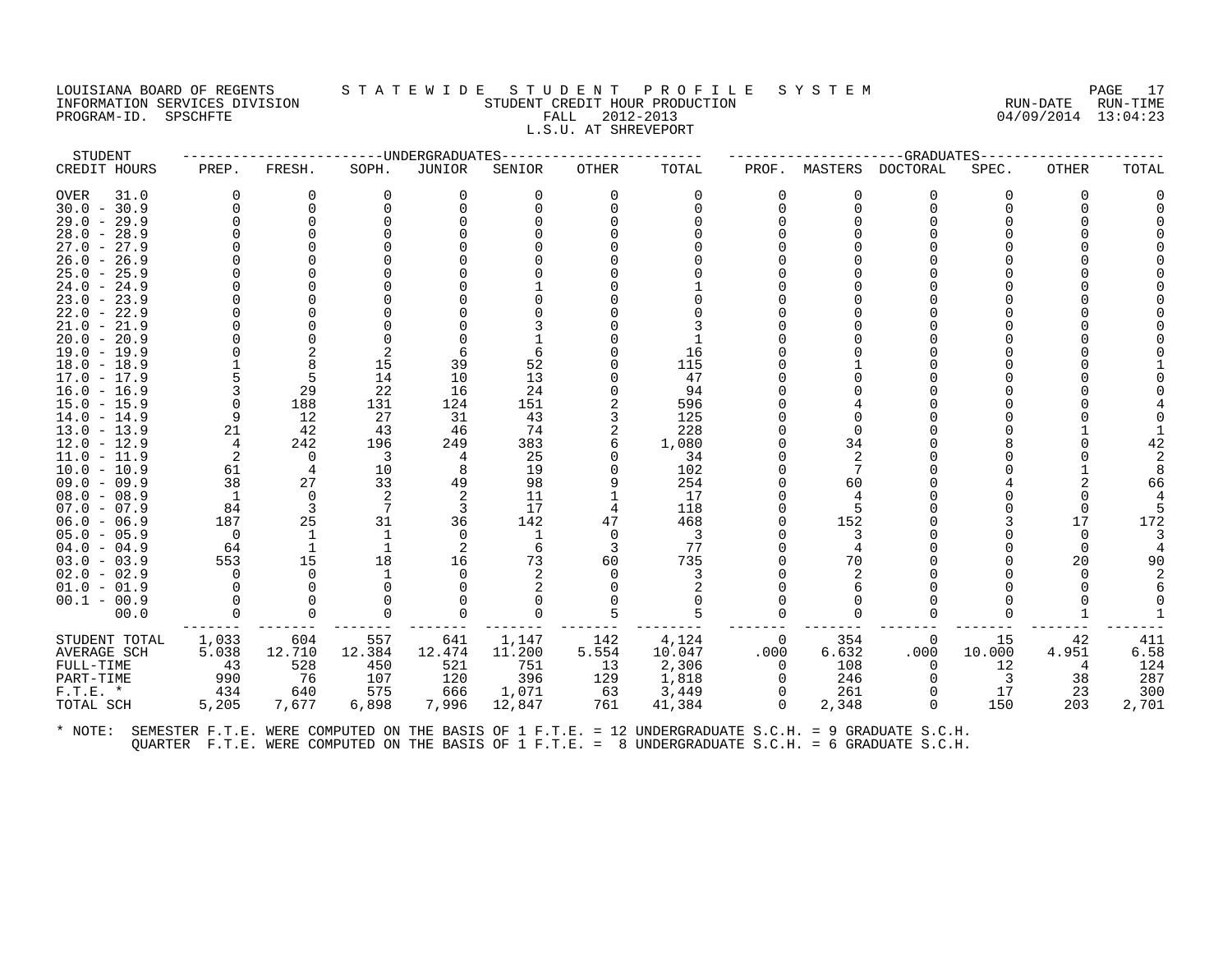#### LOUISIANA BOARD OF REGENTS S T A T E W I D E S T U D E N T P R O F I L E S Y S T E M PAGE 17 INFORMATION SERVICES DIVISION STUDENT CREDIT HOUR PRODUCTION RUN-DATE RUN-TIME PROGRAM-ID. SPSCHFTE FALL 2012-2013 04/09/2014 13:04:23 L.S.U. AT SHREVEPORT

| STUDENT<br>CREDIT HOURS<br>OVER<br>31.0<br>$30.0 - 30.9$<br>$29.0 - 29.9$<br>$28.0 - 28.9$ | PREP.<br>$\Omega$<br>$\Omega$ | FRESH.<br>0<br>$\Omega$<br>$\Omega$ | ------------------DNDERGRADUATES<br>SOPH.<br>0 | JUNIOR<br>$\Omega$ | SENIOR<br>0 | OTHER<br>$\Omega$ | TOTAL<br>0              | PROF.<br>$\Omega$ | MASTERS<br>0   | DOCTORAL<br>$\Omega$ | --GRADUATES-----<br>SPEC.<br>0 | <b>OTHER</b><br>$\Omega$ | TOTAL |
|--------------------------------------------------------------------------------------------|-------------------------------|-------------------------------------|------------------------------------------------|--------------------|-------------|-------------------|-------------------------|-------------------|----------------|----------------------|--------------------------------|--------------------------|-------|
|                                                                                            |                               |                                     |                                                |                    |             |                   |                         |                   |                |                      |                                |                          |       |
|                                                                                            |                               |                                     |                                                |                    |             |                   |                         |                   |                |                      |                                |                          |       |
|                                                                                            |                               |                                     |                                                |                    |             |                   |                         | 0                 | $\Omega$       | $\Omega$             |                                |                          |       |
|                                                                                            |                               |                                     |                                                |                    |             |                   |                         |                   |                |                      |                                |                          |       |
|                                                                                            |                               |                                     |                                                |                    |             |                   |                         |                   |                |                      |                                |                          |       |
| $27.0 - 27.9$                                                                              |                               |                                     |                                                |                    |             |                   |                         |                   |                |                      |                                |                          |       |
| $26.0 - 26.9$                                                                              |                               |                                     |                                                |                    |             |                   |                         |                   |                |                      |                                |                          |       |
| $25.0 - 25.9$                                                                              |                               |                                     |                                                |                    |             |                   |                         |                   |                |                      |                                |                          |       |
| $24.0 - 24.9$                                                                              |                               |                                     |                                                |                    |             |                   |                         |                   |                |                      |                                |                          |       |
| $23.0 - 23.9$                                                                              |                               |                                     |                                                |                    |             |                   |                         |                   |                |                      |                                |                          |       |
| $22.0 - 22.9$                                                                              |                               |                                     |                                                |                    |             |                   |                         |                   |                |                      |                                |                          |       |
| $21.0 - 21.9$                                                                              |                               |                                     |                                                |                    |             |                   |                         |                   |                |                      |                                |                          |       |
| $20.0 - 20.9$                                                                              |                               |                                     |                                                |                    |             |                   |                         |                   |                |                      |                                |                          |       |
| $19.0 - 19.9$                                                                              |                               | 2                                   |                                                |                    |             |                   | 16                      |                   |                |                      |                                |                          |       |
| $18.0 - 18.9$                                                                              |                               | 8                                   | 15                                             | 39                 | 52          |                   | 115                     |                   |                |                      |                                |                          |       |
| 17.0 - 17.9                                                                                |                               | 5                                   | 14                                             | 10                 | 13          |                   | 47                      |                   |                |                      |                                |                          |       |
| $16.0 - 16.9$                                                                              |                               | 29                                  | 22                                             | 16                 | 24          |                   | 94                      |                   |                |                      |                                |                          |       |
| $15.0 - 15.9$<br>$14.0 - 14.9$                                                             | $\mathbf 0$<br>9              | 188<br>12                           | 131<br>27                                      | 124<br>31          | 151<br>43   |                   | 596<br>125              |                   |                |                      |                                |                          |       |
| $13.0 - 13.9$                                                                              | 21                            | 42                                  | 43                                             | 46                 | 74          |                   | 228                     |                   |                |                      |                                |                          |       |
| $12.0 - 12.9$                                                                              | 4                             | 242                                 | 196                                            | 249                | 383         |                   | 1,080                   |                   | 34             |                      |                                |                          |       |
| $11.0 - 11.9$                                                                              | 2                             | $\Omega$                            | 3                                              | 4                  | 25          |                   | 34                      |                   | $\mathfrak{D}$ |                      |                                |                          |       |
| $10.0 - 10.9$                                                                              | 61                            | 4                                   | 10                                             | 8                  | 19          |                   | 102                     |                   |                |                      |                                |                          |       |
| $09.0 - 09.9$                                                                              | 38                            | 27                                  | 33                                             | 49                 | 98          |                   | 254                     |                   | 60             |                      |                                |                          | 66    |
| $08.0 - 08.9$                                                                              | $\mathbf{1}$                  | $\mathbf 0$                         |                                                | 2                  | 11          |                   | 17                      |                   |                |                      |                                |                          |       |
| $07.0 - 07.9$                                                                              | 84                            | 3                                   |                                                | 3                  | 17          | 4                 | 118                     |                   |                |                      |                                |                          |       |
| $06.0 - 06.9$                                                                              | 187                           | 25                                  | 31                                             | 36                 | 142         | 47                | 468                     |                   | 152            |                      |                                | 17                       | 172   |
| $05.0 - 05.9$                                                                              | $\overline{0}$                | 1                                   | -1                                             | $\Omega$           | -1          | $\Omega$          | $\overline{\mathbf{3}}$ |                   | 3              |                      |                                |                          |       |
| $04.0 - 04.9$                                                                              | 64                            | <sup>1</sup>                        | -1                                             | 2                  | 6           | 3                 | 77                      |                   |                |                      |                                |                          |       |
| $03.0 - 03.9$                                                                              | 553                           | 15                                  | 18                                             | 16                 | 73          | 60                | 735                     |                   | 70             |                      |                                | 20                       | 90    |
| $02.0 - 02.9$                                                                              | $\Omega$                      | $\Omega$                            |                                                |                    |             |                   |                         |                   |                |                      |                                |                          |       |
| $01.0 - 01.9$                                                                              | $\Omega$                      | $\Omega$                            |                                                |                    |             |                   |                         |                   |                |                      |                                |                          |       |
| $00.1 - 00.9$                                                                              |                               |                                     |                                                |                    |             |                   |                         |                   |                |                      |                                |                          |       |
| 00.0                                                                                       | $\Omega$                      | $\Omega$                            |                                                |                    | 0           |                   |                         | 0                 | ∩              | $\Omega$             |                                |                          |       |
| STUDENT TOTAL                                                                              | 1,033                         | 604                                 | 557                                            | 641                | 1,147       | 142               | 4,124                   | $\Omega$          | 354            | 0                    | 15                             | 42                       | 411   |
| AVERAGE SCH                                                                                | 5.038                         | 12.710                              | 12.384                                         | 12.474             | 11,200      | 5.554             | 10.047                  | .000              | 6.632          | .000                 | 10.000                         | 4.951                    | 6.58  |
| FULL-TIME                                                                                  | 43                            | 528                                 | 450                                            | 521                | 751         | 13                | 2,306                   | $\Omega$          | 108            | $\Omega$             | 12                             |                          | 124   |
| PART-TIME                                                                                  | 990                           | 76                                  | 107                                            | 120                | 396         | 129               | 1,818                   | $\Omega$          | 246            | $\Omega$             | 3                              | 38                       | 287   |
| $F.T.E. *$                                                                                 | 434                           | 640                                 | 575                                            | 666                | 1,071       | 63                | 3,449                   | $\Omega$          | 261            | $\Omega$             | 17                             | 23                       | 300   |
| TOTAL SCH                                                                                  | 5,205                         | 7,677                               | 6,898                                          | 7,996              | 12,847      | 761               | 41,384                  | $\Omega$          | 2,348          | $\Omega$             | 150                            | 203                      | 2,701 |
|                                                                                            |                               |                                     |                                                |                    |             |                   |                         |                   |                |                      |                                |                          |       |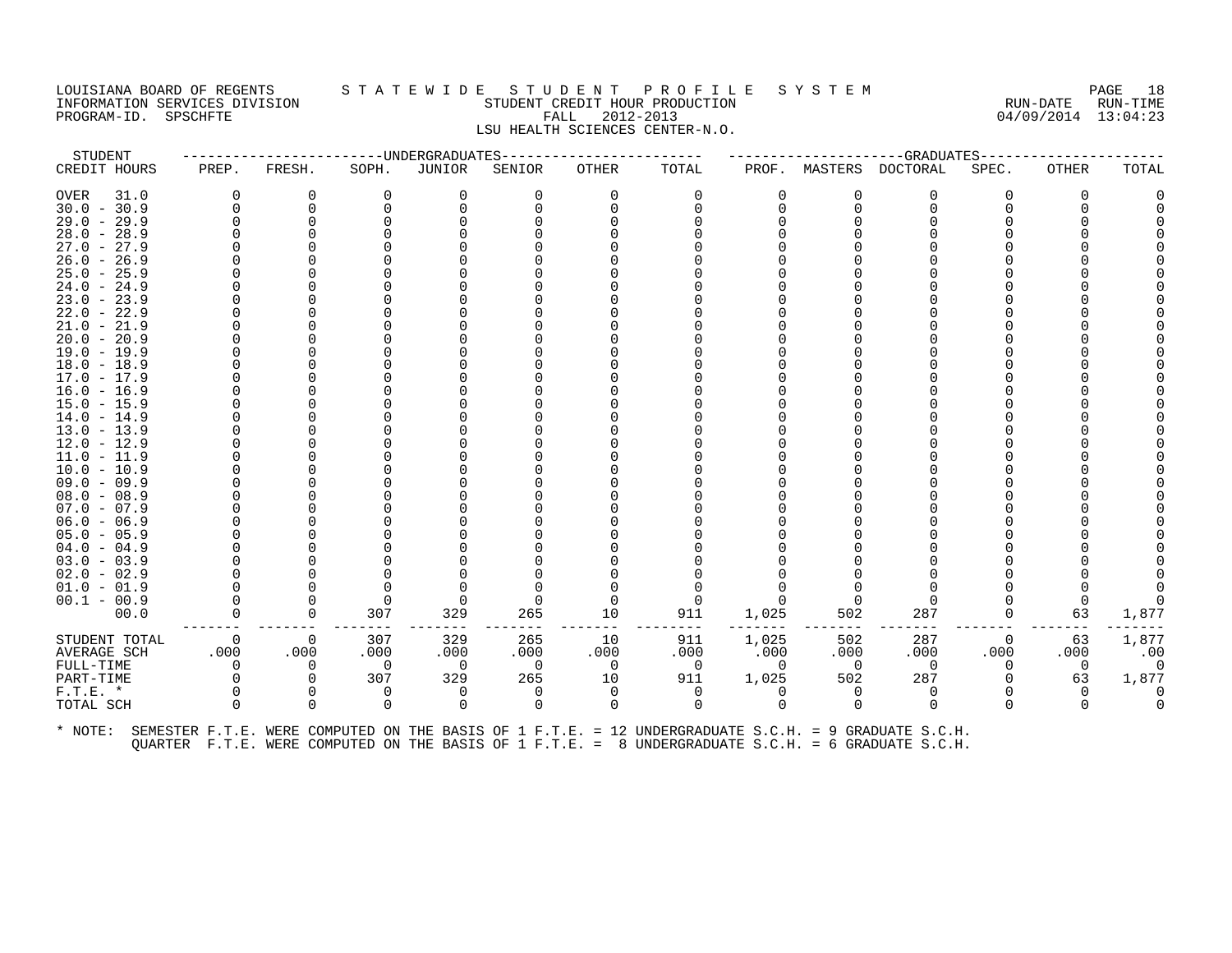# LOUISIANA BOARD OF REGENTS STATEWIDE STUDE NT PROFILE SYSTEM MANUSIANA BOARD OF REGENTS STATEWIDE STUDENT CREDIT HOUR PRODUCTION THE RUN-DATE RUN-TIME INFORMATION SERVICES DIVISION STUDENT CREDIT HOUR PRODUCTION RUN-DATE RUN-TIME PROGRAM-ID. SPSCHFTE FALL 2012-2013 04/09/2014 13:04:23 LSU HEALTH SCIENCES CENTER-N.O.

STUDENT ------------------------UNDERGRADUATES------------------------ ---------------------GRADUATES----------------------

CREDIT HOURS PREP. FRESH. SOPH. JUNIOR SENIOR OTHER TOTAL PROF. MASTERS DOCTORAL SPEC. OTHER TOTAL OVER 31.0 0 0 0 0 0 0 0 0 0 0 0 0 0 30.0 - 30.9 0 0 0 0 0 0 0 0 0 0 0 0 0 29.0 - 29.9 0 0 0 0 0 0 0 0 0 0 0 0 0 28.0 - 28.9 0 0 0 0 0 0 0 0 0 0 0 0 0 27.0 - 27.9 0 0 0 0 0 0 0 0 0 0 0 0 0 26.0 - 26.9 0 0 0 0 0 0 0 0 0 0 0 0 0 25.0 - 25.9 0 0 0 0 0 0 0 0 0 0 0 0 0 24.0 - 24.9 0 0 0 0 0 0 0 0 0 0 0 0 0 23.0 - 23.9 0 0 0 0 0 0 0 0 0 0 0 0 0 22.0 - 22.9 0 0 0 0 0 0 0 0 0 0 0 0 0 21.0 - 21.9 0 0 0 0 0 0 0 0 0 0 0 0 0 20.0 - 20.9 0 0 0 0 0 0 0 0 0 0 0 0 0 19.0 - 19.9 0 0 0 0 0 0 0 0 0 0 0 0 0 18.0 - 18.9 0 0 0 0 0 0 0 0 0 0 0 0 0 17.0 - 17.9 0 0 0 0 0 0 0 0 0 0 0 0 0 16.0 - 16.9 0 0 0 0 0 0 0 0 0 0 0 0 0 15.0 - 15.9 0 0 0 0 0 0 0 0 0 0 0 0 0 14.0 - 14.9 0 0 0 0 0 0 0 0 0 0 0 0 0 13.0 - 13.9 0 0 0 0 0 0 0 0 0 0 0 0 0 12.0 - 12.9 0 0 0 0 0 0 0 0 0 0 0 0 0 11.0 - 11.9 0 0 0 0 0 0 0 0 0 0 0 0 0 10.0 - 10.9 0 0 0 0 0 0 0 0 0 0 0 0 0 09.0 - 09.9 0 0 0 0 0 0 0 0 0 0 0 0 0 08.0 - 08.9 0 0 0 0 0 0 0 0 0 0 0 0 0 07.0 - 07.9 0 0 0 0 0 0 0 0 0 0 0 0 0 06.0 - 06.9 0 0 0 0 0 0 0 0 0 0 0 0 0 05.0 - 05.9 0 0 0 0 0 0 0 0 0 0 0 0 0 04.0 - 04.9 0 0 0 0 0 0 0 0 0 0 0 0 0 03.0 - 03.9 0 0 0 0 0 0 0 0 0 0 0 0 0 02.0 - 02.9 0 0 0 0 0 0 0 0 0 0 0 0 0 01.0 - 01.9 0 0 0 0 0 0 0 0 0 0 0 0 0 00.1 - 00.9 0 0 0 0 0 0 0 0 0 0 0 0 0 00.0 0 0 307 329 265 10 911 1,025 502 287 0 63 1,877 ------- ------- ------- ------- ------- ------- -------- ------- ------- ------- ------- ------- ------- STUDENT TOTAL 0 0 307 329 265 10 911 1,025 502 287 0 63 1,877 AVERAGE SCH .000 .000 .000 .000 .000 .000 .000 .000 .000 .000 .000 .000 .00 FULL-TIME 0 0 0 0 0 0 0 0 0 0 0 0 0 PART-TIME 0 0 307 329 265 10 911 1,025 502 287 0 63 1,877 F.T.E. \* 0 0 0 0 0 0 0 0 0 0 0 0 0 TOTAL SCH 0 0 0 0 0 0 0 0 0 0 0 0 0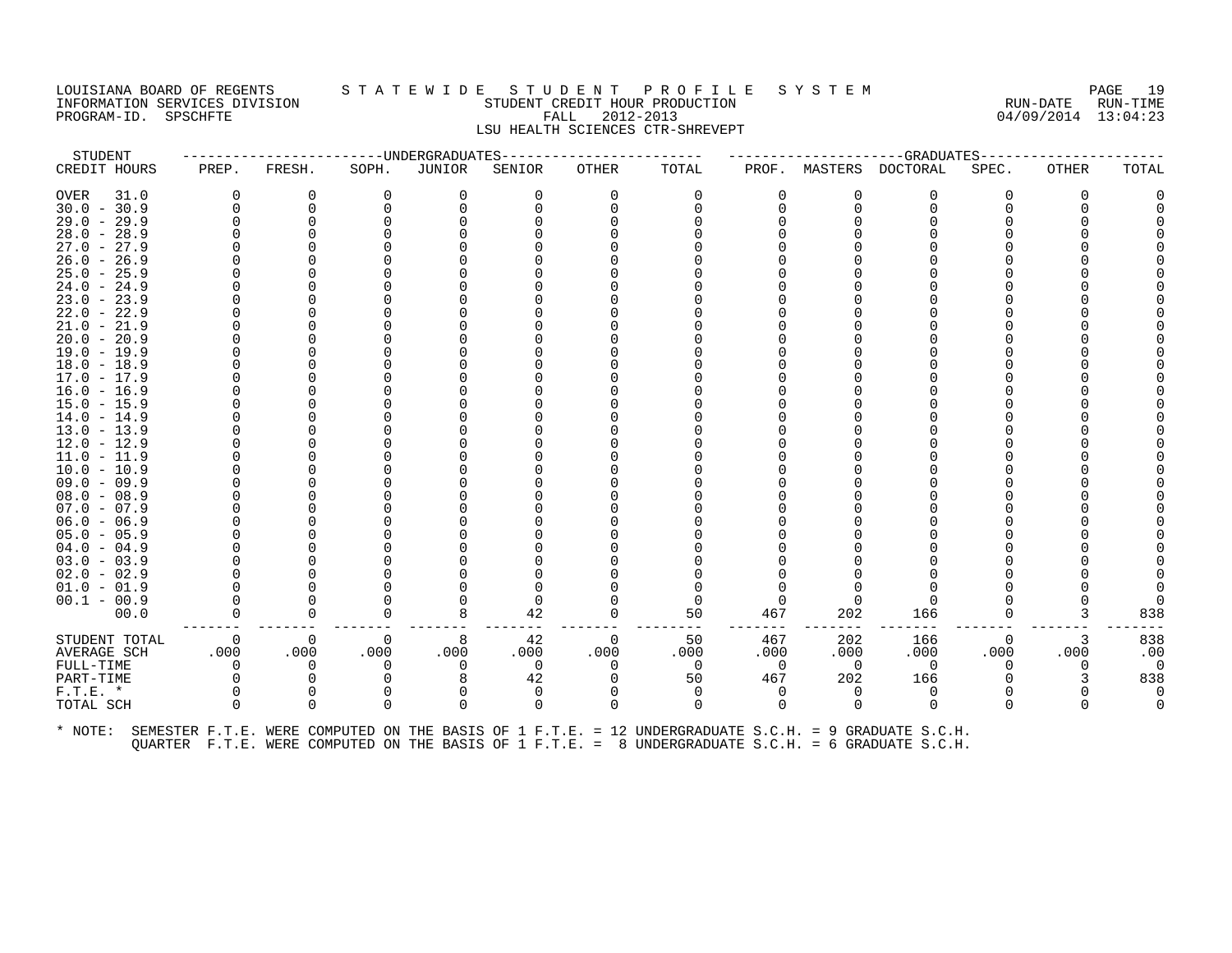# LOUISIANA BOARD OF REGENTS STATEWIDE STUDENT PROFILE SYSTEM PAGE 19<br>INFORMATION SERVICES DIVISION STUDENT CREDIT HOUR PRODUCTION PROTOCOLOGY CONTROLLER RUN-DATE RUN-TIME INFORMATION SERVICES DIVISION STUDENT CREDIT HOUR PRODUCTION RUN-DATE RUN-TIME PROGRAM-ID. SPSCHFTE FALL 2012-2013 04/09/2014 13:04:23 LSU HEALTH SCIENCES CTR-SHREVEPT

STUDENT ------------------------UNDERGRADUATES------------------------ ---------------------GRADUATES---------------------- CREDIT HOURS PREP. FRESH. SOPH. JUNIOR SENIOR OTHER TOTAL PROF. MASTERS DOCTORAL SPEC. OTHER TOTAL OVER 31.0 0 0 0 0 0 0 0 0 0 0 0 0 0 30.0 - 30.9 0 0 0 0 0 0 0 0 0 0 0 0 0 29.0 - 29.9 0 0 0 0 0 0 0 0 0 0 0 0 0 28.0 - 28.9 0 0 0 0 0 0 0 0 0 0 0 0 0 27.0 - 27.9 0 0 0 0 0 0 0 0 0 0 0 0 0 26.0 - 26.9 0 0 0 0 0 0 0 0 0 0 0 0 0 25.0 - 25.9 0 0 0 0 0 0 0 0 0 0 0 0 0 24.0 - 24.9 0 0 0 0 0 0 0 0 0 0 0 0 0 23.0 - 23.9 0 0 0 0 0 0 0 0 0 0 0 0 0 22.0 - 22.9 0 0 0 0 0 0 0 0 0 0 0 0 0 21.0 - 21.9 0 0 0 0 0 0 0 0 0 0 0 0 0 20.0 - 20.9 0 0 0 0 0 0 0 0 0 0 0 0 0 19.0 - 19.9 0 0 0 0 0 0 0 0 0 0 0 0 0 18.0 - 18.9 0 0 0 0 0 0 0 0 0 0 0 0 0 17.0 - 17.9 0 0 0 0 0 0 0 0 0 0 0 0 0 16.0 - 16.9 0 0 0 0 0 0 0 0 0 0 0 0 0 15.0 - 15.9 0 0 0 0 0 0 0 0 0 0 0 0 0 14.0 - 14.9 0 0 0 0 0 0 0 0 0 0 0 0 0 13.0 - 13.9 0 0 0 0 0 0 0 0 0 0 0 0 0 12.0 - 12.9 0 0 0 0 0 0 0 0 0 0 0 0 0 11.0 - 11.9 0 0 0 0 0 0 0 0 0 0 0 0 0 10.0 - 10.9 0 0 0 0 0 0 0 0 0 0 0 0 0 09.0 - 09.9 0 0 0 0 0 0 0 0 0 0 0 0 0 08.0 - 08.9 0 0 0 0 0 0 0 0 0 0 0 0 0 07.0 - 07.9 0 0 0 0 0 0 0 0 0 0 0 0 0 06.0 - 06.9 0 0 0 0 0 0 0 0 0 0 0 0 0 05.0 - 05.9 0 0 0 0 0 0 0 0 0 0 0 0 0 04.0 - 04.9 0 0 0 0 0 0 0 0 0 0 0 0 0 03.0 - 03.9 0 0 0 0 0 0 0 0 0 0 0 0 0 02.0 - 02.9 0 0 0 0 0 0 0 0 0 0 0 0 0 01.0 - 01.9 0 0 0 0 0 0 0 0 0 0 0 0 0 00.1 - 00.9 0 0 0 0 0 0 0 0 0 0 0 0 0 00.0 0 0 0 8 42 0 50 467 202 166 0 3 838 ------- ------- ------- ------- ------- ------- -------- ------- ------- ------- ------- ------- ------- STUDENT TOTAL 0 0 0 8 42 0 50 467 202 166 0 3 838 AVERAGE SCH .000 .000 .000 .000 .000 .000 .000 .000 .000 .000 .000 .000 .00 FULL-TIME 0 0 0 0 0 0 0 0 0 0 0 0 0 PART-TIME 0 0 0 8 42 0 50 467 202 166 0 3 838 F.T.E. \* 0 0 0 0 0 0 0 0 0 0 0 0 0 TOTAL SCH 0 0 0 0 0 0 0 0 0 0 0 0 0 \* NOTE: SEMESTER F.T.E. WERE COMPUTED ON THE BASIS OF 1 F.T.E. = 12 UNDERGRADUATE S.C.H. = 9 GRADUATE S.C.H.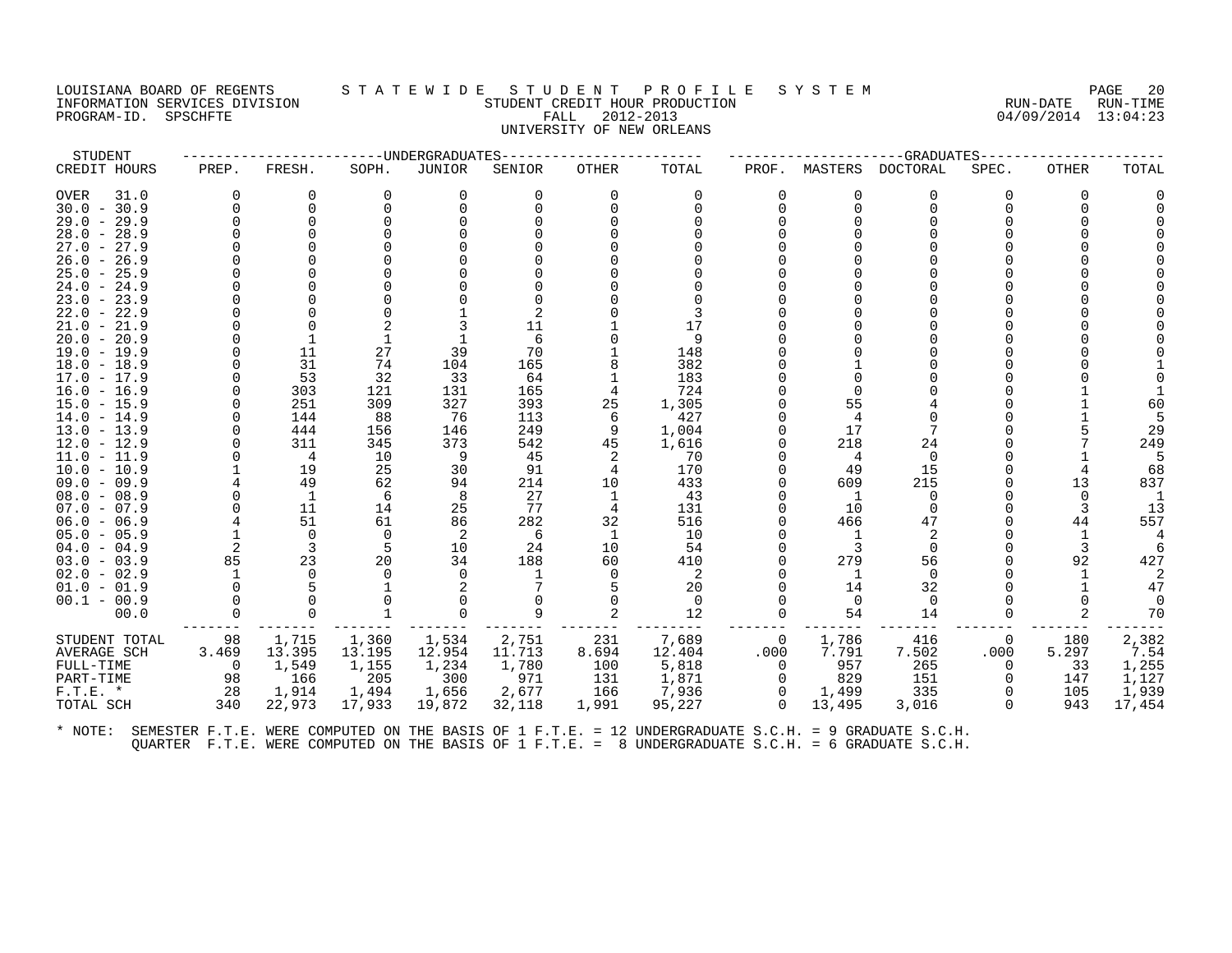#### LOUISIANA BOARD OF REGENTS STATEWIDE STUDENT PROFILE SYSTEM PAGE 20<br>INFORMATION SERVICES DIVISION STATEWIDENT CREDIT HOUR PRODUCTION INFORMATION STUDENT CREDIT HOUR PRODUCTION STUDENT CREDIT HOUR PRODUCTION RUN-DATE RUN-TIME<br>FALL 2012-2013 94/09/2014 13:04:23 PROGRAM-ID. SPSCHFTE FALL 2012-2013 04/09/2014 13:04:23 UNIVERSITY OF NEW ORLEANS

| STUDENT       |          |              |          | -----UNDERGRADUATES |        |          |          |          |          | $--$ GRADUATES---- |          |          |          |
|---------------|----------|--------------|----------|---------------------|--------|----------|----------|----------|----------|--------------------|----------|----------|----------|
| CREDIT HOURS  | PREP.    | FRESH.       | SOPH.    | JUNIOR              | SENIOR | OTHER    | TOTAL    | PROF.    | MASTERS  | DOCTORAL           | SPEC.    | OTHER    | TOTAL    |
| OVER<br>31.0  | $\Omega$ | 0            | 0        | 0                   | 0      | 0        | 0        |          | 0        | 0                  | O        | $\Omega$ |          |
| $30.0 - 30.9$ |          | $\Omega$     | ∩        | $\Omega$            | 0      | $\Omega$ | ∩        |          | 0        | $\Omega$           |          | $\Omega$ |          |
| $29.0 - 29.9$ |          | $\Omega$     |          |                     |        |          |          |          |          |                    |          |          |          |
| $28.0 - 28.9$ |          |              |          |                     |        |          |          |          |          |                    |          |          |          |
| $27.0 - 27.9$ |          |              |          |                     |        |          |          |          |          |                    |          |          |          |
| $26.0 - 26.9$ |          |              |          |                     |        |          |          |          |          |                    |          |          |          |
| $25.0 - 25.9$ |          |              |          |                     |        |          |          |          |          |                    |          |          |          |
| $24.0 - 24.9$ |          |              |          |                     |        |          |          |          |          |                    |          |          |          |
| $23.0 - 23.9$ |          |              |          |                     |        |          |          |          |          |                    |          |          |          |
| $22.0 - 22.9$ |          |              |          |                     |        |          |          |          |          |                    |          |          |          |
| $21.0 - 21.9$ |          |              |          |                     | 11     |          | 17       |          |          |                    |          |          |          |
| $20.0 - 20.9$ |          |              |          |                     | 6      |          | 9        |          |          |                    |          |          |          |
| $19.0 - 19.9$ |          | 11           | 27       | 39                  | 70     |          | 148      |          |          |                    |          |          |          |
| $18.0 - 18.9$ |          | 31           | 74       | 104                 | 165    |          | 382      |          |          |                    |          |          |          |
| $17.0 - 17.9$ |          | 53           | 32       | 33                  | 64     |          | 183      |          |          |                    |          |          |          |
| $16.0 - 16.9$ |          | 303          | 121      | 131                 | 165    |          | 724      |          |          |                    |          |          |          |
| $15.0 - 15.9$ |          | 251          | 309      | 327                 | 393    | 25       | 1,305    |          | 55       |                    |          |          | 60       |
| $14.0 - 14.9$ |          | 144          | 88       | 76                  | 113    | 6        | 427      |          | 4        |                    |          |          |          |
| $13.0 - 13.9$ |          | 444          | 156      | 146                 | 249    | 9        | 1,004    |          | 17       |                    |          |          | 29       |
| 12.0 - 12.9   |          | 311          | 345      | 373                 | 542    | 45       | 1,616    |          | 218      | 24                 |          |          | 249      |
| $11.0 - 11.9$ |          | 4            | 10       | 9                   | 45     | 2        | 70       |          |          | 0                  |          |          |          |
| $10.0 - 10.9$ |          | 19           | 25       | 30                  | 91     | 4        | 170      |          | 49       | 15                 |          |          | 68       |
| $09.0 - 09.9$ |          | 49           | 62       | 94                  | 214    | 10       | 433      |          | 609      | 215                |          | 13       | 837      |
| $08.0 - 08.9$ |          | <sup>1</sup> | 6        | 8                   | 27     | 1        | 43       |          | -1       | $\Omega$           |          | $\Omega$ |          |
| $07.0 - 07.9$ |          | 11           | 14       | 25                  | 77     | 4        | 131      |          | 10       | $\Omega$           |          |          | 13       |
| $06.0 - 06.9$ |          | 51           | 61       | 86                  | 282    | 32       | 516      |          | 466      | 47                 |          | 44       | 557      |
| $05.0 - 05.9$ |          | $\Omega$     | $\Omega$ | 2                   | -6     | 1        | 10       |          |          |                    |          |          |          |
| $04.0 - 04.9$ | 2        | 3            | -5       | 10                  | 24     | 10       | 54       |          | 3        | $\Omega$           |          |          |          |
| $03.0 - 03.9$ | 85       | 23           | 20       | 34                  | 188    | 60       | 410      |          | 279      | 56                 |          | 92       | 427      |
| $02.0 - 02.9$ |          | $\cap$       |          | $\Omega$            |        | $\Omega$ | 2        |          |          | $\Omega$           |          |          |          |
| $01.0 - 01.9$ |          |              |          | 2                   |        | 5        | 20       |          | 14       | 32                 |          |          | 47       |
| $00.1 - 00.9$ |          | $\Omega$     |          |                     |        | $\Omega$ | $\Omega$ |          | $\Omega$ | $\Omega$           |          |          | $\Omega$ |
| 00.0          |          | $\Omega$     |          | $\Omega$            | 9      | 2        | 12       |          | 54       | 14                 |          |          | 70       |
| STUDENT TOTAL | 98       | 1,715        | 1,360    | 1,534               | 2,751  | 231      | 7,689    | $\Omega$ | 1,786    | 416                | 0        | 180      | 2,382    |
| AVERAGE SCH   | 3.469    | 13.395       | 13.195   | 12.954              | 11.713 | 8.694    | 12.404   | .000     | 7.791    | 7.502              | .000     | 5.297    | 7.54     |
| FULL-TIME     | $\Omega$ | 1,549        | 1,155    | 1,234               | 1,780  | 100      | 5,818    | $\Omega$ | 957      | 265                | $\Omega$ | 33       | 1,255    |
| PART-TIME     | 98       | 166          | 205      | 300                 | 971    | 131      | 1,871    | $\Omega$ | 829      | 151                | $\Omega$ | 147      | 1,127    |
| $F.T.E. *$    | 28       | 1,914        | 1,494    | 1,656               | 2,677  | 166      | 7,936    | $\Omega$ | 1,499    | 335                | $\Omega$ | 105      | 1,939    |
| TOTAL SCH     | 340      | 22,973       | 17,933   | 19,872              | 32,118 | 1,991    | 95,227   | $\Omega$ | 13,495   | 3,016              | $\Omega$ | 943      | 17,454   |
|               |          |              |          |                     |        |          |          |          |          |                    |          |          |          |
|               |          |              |          |                     |        |          |          |          |          |                    |          |          |          |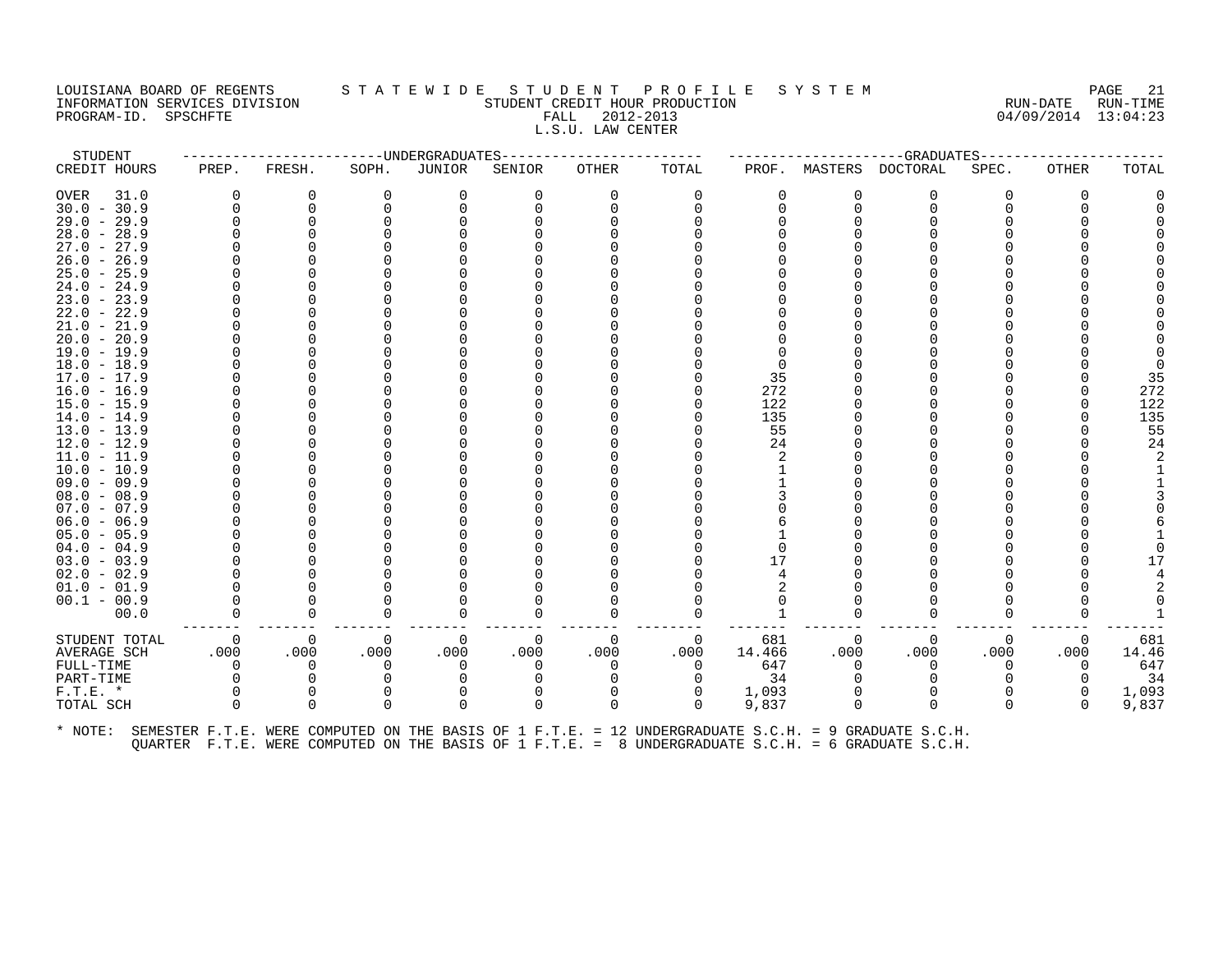#### LOUISIANA BOARD OF REGENTS STATEWIDE STUDENT PROFILE SYSTEM PAGE 21<br>INFORMATION SERVICES DIVISION STUDENT OUR PRODUCTION SERVICE SOME DESPART ON TIME INFORMATION SERVICES DIVISION STUDENT CREDIT HOUR PRODUCTION RUN-DATE RUN-TIME PROGRAM-ID. SPSCHFTE FALL 2012-2013 L.S.U. LAW CENTER

| STUDENT                                                                                                      |       |          |          | --------------UNDERGRADUATES |          |          |          |        |          | -------------GRADUATES----- |          |          |       |
|--------------------------------------------------------------------------------------------------------------|-------|----------|----------|------------------------------|----------|----------|----------|--------|----------|-----------------------------|----------|----------|-------|
| CREDIT HOURS                                                                                                 | PREP. | FRESH.   | SOPH.    | JUNIOR                       | SENIOR   | OTHER    | TOTAL    |        |          | PROF. MASTERS DOCTORAL      | SPEC.    | OTHER    | TOTAL |
| OVER<br>31.0                                                                                                 |       | $\Omega$ | $\Omega$ | 0                            | $\Omega$ | $\Omega$ | 0        |        | O        | 0                           | ∩        | $\Omega$ |       |
| $30.0 - 30.9$                                                                                                |       | $\Omega$ |          | 0                            |          |          | ∩        |        | $\Omega$ | $\Omega$                    |          |          |       |
| $29.0 - 29.9$                                                                                                |       | $\Omega$ |          |                              |          |          |          |        |          |                             |          |          |       |
| $28.0 - 28.9$                                                                                                |       |          |          |                              |          |          |          |        |          |                             |          |          |       |
| $27.0 - 27.9$                                                                                                |       |          |          |                              |          |          |          |        |          |                             |          |          |       |
| $26.0 - 26.9$                                                                                                |       |          |          |                              |          |          |          |        |          |                             |          |          |       |
| $25.0 - 25.9$                                                                                                |       |          |          |                              |          |          |          |        |          |                             |          |          |       |
| $24.0 - 24.9$                                                                                                |       |          |          |                              |          |          |          |        |          |                             |          |          |       |
| $23.0 - 23.9$                                                                                                |       |          |          |                              |          |          |          |        |          |                             |          |          |       |
| $22.0 - 22.9$                                                                                                |       |          |          |                              |          |          |          |        |          |                             |          |          |       |
| $21.0 - 21.9$                                                                                                |       |          |          |                              |          |          |          |        |          |                             |          |          |       |
| $20.0 - 20.9$                                                                                                |       |          |          |                              |          |          |          |        |          |                             |          |          |       |
| $19.0 - 19.9$                                                                                                |       |          |          |                              |          |          |          |        |          |                             |          |          |       |
| $18.0 - 18.9$                                                                                                |       |          |          |                              |          |          |          |        |          |                             |          |          |       |
| $17.0 - 17.9$                                                                                                |       |          |          |                              |          |          |          | 35     |          |                             |          |          | 35    |
| $16.0 - 16.9$                                                                                                |       |          |          |                              |          |          |          | 272    |          |                             |          |          | 272   |
| $15.0 - 15.9$                                                                                                |       |          |          |                              |          |          |          | 122    |          |                             |          |          | 122   |
| $14.0 - 14.9$                                                                                                |       |          |          |                              |          |          |          | 135    |          |                             |          |          | 135   |
| $13.0 - 13.9$                                                                                                |       |          |          |                              |          |          |          | 55     |          |                             |          |          | 55    |
| $12.0 - 12.9$                                                                                                |       |          |          |                              |          |          |          | 24     |          |                             |          |          | 24    |
| 11.0 - 11.9                                                                                                  |       |          |          |                              |          |          |          |        |          |                             |          |          |       |
| $10.0 - 10.9$                                                                                                |       |          |          |                              |          |          |          |        |          |                             |          |          |       |
| $09.0 - 09.9$                                                                                                |       |          |          |                              |          |          |          |        |          |                             |          |          |       |
| $08.0 - 08.9$                                                                                                |       |          |          |                              |          |          |          |        |          |                             |          |          |       |
| $07.0 - 07.9$                                                                                                |       |          |          |                              |          |          |          |        |          |                             |          |          |       |
| $06.0 - 06.9$                                                                                                |       |          |          |                              |          |          |          |        |          |                             |          |          |       |
| $05.0 - 05.9$                                                                                                |       |          |          |                              |          |          |          |        |          |                             |          |          |       |
| $04.0 - 04.9$                                                                                                |       |          |          |                              |          |          |          |        |          |                             |          |          |       |
| $03.0 - 03.9$                                                                                                |       |          |          |                              |          |          |          | 17     |          |                             |          |          |       |
| $02.0 - 02.9$                                                                                                |       |          |          |                              |          |          |          |        |          |                             |          |          |       |
| $01.0 - 01.9$                                                                                                |       |          |          |                              |          |          |          |        |          |                             |          |          |       |
| $00.1 - 00.9$                                                                                                |       |          |          |                              |          |          |          |        |          |                             |          |          |       |
| 00.0                                                                                                         |       | $\Omega$ |          |                              |          |          |          |        |          | ∩                           |          |          |       |
| STUDENT TOTAL                                                                                                | 0     | $\Omega$ | 0        | 0                            | 0        | 0        | 0        | 681    | 0        | $\Omega$                    | 0        | 0        | 681   |
| AVERAGE SCH                                                                                                  | .000  | .000     | .000     | .000                         | .000     | .000     | .000     | 14.466 | .000     | .000                        | .000     | .000     | 14.46 |
| FULL-TIME                                                                                                    | O     | $\Omega$ | $\Omega$ | $\Omega$                     | $\Omega$ | $\Omega$ | 0        | 647    | $\Omega$ | $\Omega$                    | $\Omega$ | $\Omega$ | 647   |
| PART-TIME                                                                                                    |       | $\Omega$ |          |                              |          |          | $\Omega$ | 34     |          |                             |          | $\Omega$ | 34    |
| $F.T.E. *$                                                                                                   |       | 0        |          | 0                            |          | 0        | 0        | 1,093  |          | $\Omega$                    |          | 0        | 1,093 |
| TOTAL SCH                                                                                                    |       | $\Omega$ | $\Omega$ | 0                            | $\Omega$ | $\Omega$ | $\Omega$ | 9,837  | $\Omega$ | $\Omega$                    | $\Omega$ | $\Omega$ | 9,837 |
| * NOTE: SEMESTER F.T.E. WERE COMPUTED ON THE BASIS OF 1 F.T.E. = 12 UNDERGRADUATE S.C.H. = 9 GRADUATE S.C.H. |       |          |          |                              |          |          |          |        |          |                             |          |          |       |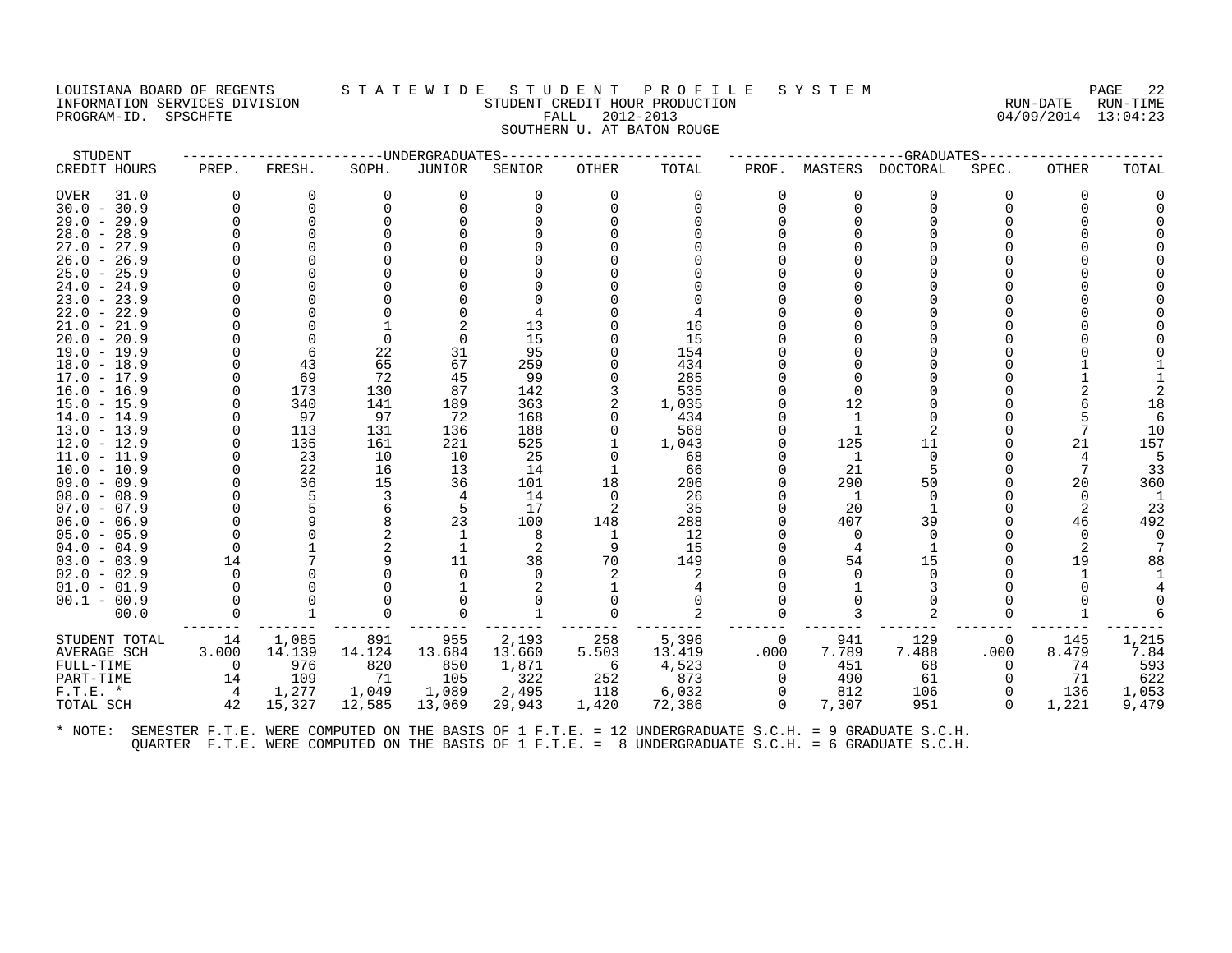#### LOUISIANA BOARD OF REGENTS S T A T E W I D E S T U D E N T P R O F I L E S Y S T E M PAGE 22 INFORMATION SERVICES DIVISION STUDENT CREDIT HOUR PRODUCTION RUN-DATE RUN-TIME PROGRAM-ID. SPSCHFTE FALL 2012-2013 04/09/2014 13:04:23 SOUTHERN U. AT BATON ROUGE

| STUDENT                        |       |            | -----------UNDERGRADUATES |            |            |              |             |                |         | --GRADUATES-    |                |              |           |
|--------------------------------|-------|------------|---------------------------|------------|------------|--------------|-------------|----------------|---------|-----------------|----------------|--------------|-----------|
| CREDIT HOURS                   | PREP. | FRESH.     | SOPH.                     | JUNIOR     | SENIOR     | <b>OTHER</b> | TOTAL       | PROF.          | MASTERS | <b>DOCTORAL</b> | SPEC.          | <b>OTHER</b> | TOTAL     |
| OVER<br>31.0                   |       | $\Omega$   | $\Omega$                  | $\Omega$   | $\Omega$   | $\Omega$     | $\Omega$    | $\Omega$       |         | O               | O              | 0            |           |
| $30.0 - 30.9$                  |       | $\Omega$   |                           |            |            |              |             |                |         |                 |                |              |           |
| $29.0 - 29.9$                  |       | $\Omega$   |                           |            |            |              |             |                |         |                 |                |              |           |
| $28.0 - 28.9$                  |       |            |                           |            |            |              |             |                |         |                 |                |              |           |
| $27.0 - 27.9$                  |       |            |                           |            |            |              |             |                |         |                 |                |              |           |
| $26.0 - 26.9$                  |       |            |                           |            |            |              |             |                |         |                 |                |              |           |
| $25.0 - 25.9$                  |       |            |                           |            |            |              |             |                |         |                 |                |              |           |
| $24.0 - 24.9$                  |       |            |                           |            |            |              |             |                |         |                 |                |              |           |
| $23.0 - 23.9$                  |       |            |                           |            |            |              |             |                |         |                 |                |              |           |
| $22.0 - 22.9$                  |       |            |                           |            |            |              |             |                |         |                 |                |              |           |
| $21.0 - 21.9$                  |       |            |                           |            | 13         |              | 16          |                |         |                 |                |              |           |
| $20.0 - 20.9$                  |       |            | $\Omega$                  |            | 15         |              | 15          |                |         |                 |                |              |           |
| $19.0 - 19.9$                  |       | 6          | 22                        | 31         | 95         |              | 154         |                |         |                 |                |              |           |
| $18.0 - 18.9$                  |       | 43         | 65                        | 67         | 259        |              | 434         |                |         |                 |                |              |           |
| $17.0 - 17.9$                  |       | 69         | 72                        | 45         | 99         |              | 285         |                |         |                 |                |              |           |
| $16.0 - 16.9$                  |       | 173        | 130                       | 87         | 142        |              | 535         |                |         |                 |                |              |           |
| $15.0 - 15.9$                  |       | 340        | 141                       | 189        | 363        |              | 1,035       |                | 12      |                 |                |              | 18        |
| $14.0 - 14.9$                  |       | 97         | 97                        | 72         | 168        |              | 434         |                |         |                 |                |              |           |
| $13.0 - 13.9$                  |       | 113<br>135 | 131<br>161                | 136<br>221 | 188<br>525 |              | 568         |                | 125     | 11              |                | 21           | 10<br>157 |
| $12.0 - 12.9$<br>$11.0 - 11.9$ |       | 23         | 10                        | 10         | 25         |              | 1,043<br>68 |                | -1      | $\Omega$        |                |              |           |
| $10.0 - 10.9$                  |       | 22         | 16                        | 13         | 14         |              | 66          |                | 21      |                 |                |              | 33        |
| $09.0 - 09.9$                  |       | 36         | 15                        | 36         | 101        | 18           | 206         |                | 290     | 50              |                | 20           | 360       |
| $08.0 - 08.9$                  |       | 5          | 3                         | 4          | 14         | $\Omega$     | 26          |                | -1      | ∩               |                | $\Omega$     |           |
| $07.0 - 07.9$                  |       |            | 6                         | 5          | 17         | 2            | 35          |                | 20      |                 |                |              | 23        |
| $06.0 - 06.9$                  |       | q          |                           | 23         | 100        | 148          | 288         |                | 407     | 39              |                | 46           | 492       |
| $05.0 - 05.9$                  |       |            |                           |            | 8          | 1            | 12          |                | 0       | $\Omega$        |                |              |           |
| $04.0 - 04.9$                  |       |            |                           |            | 2          | 9            | 15          |                |         |                 |                |              |           |
| $03.0 - 03.9$                  | 14    |            |                           | 11         | 38         | 70           | 149         |                | 54      | 15              |                | 19           | 88        |
| $02.0 - 02.9$                  |       |            |                           |            |            |              |             |                |         |                 |                |              |           |
| $01.0 - 01.9$                  |       |            |                           |            |            |              |             |                |         |                 |                |              |           |
| $00.1 - 00.9$                  |       |            |                           |            |            |              |             |                |         |                 |                |              |           |
| 00.0                           |       |            |                           |            |            |              |             |                | 3       |                 |                |              |           |
| STUDENT TOTAL                  | 14    | 1,085      | 891                       | 955        | 2,193      | 258          | 5,396       | $\overline{0}$ | 941     | 129             | $\overline{0}$ | 145          | 1,215     |
| AVERAGE SCH                    | 3.000 | 14.139     | 14.124                    | 13.684     | 13.660     | 5.503        | 13.419      | .000           | 7.789   | 7.488           | .000           | 8.479        | 7.84      |
| FULL-TIME                      | 0     | 976        | 820                       | 850        | 1,871      | - 6          | 4,523       | $\Omega$       | 451     | 68              | $\Omega$       | 74           | 593       |
| PART-TIME                      | 14    | 109        | 71                        | 105        | 322        | 252          | 873         | $\Omega$       | 490     | 61              |                | 71           | 622       |
| $F.T.E. *$                     | 4     | 1,277      | 1,049                     | 1,089      | 2,495      | 118          | 6,032       | 0              | 812     | 106             |                | 136          | 1,053     |
| TOTAL SCH                      | 42    | 15,327     | 12,585                    | 13,069     | 29,943     | 1,420        | 72,386      | $\Omega$       | 7,307   | 951             | $\Omega$       | 1,221        | 9,479     |
|                                |       |            |                           |            |            |              |             |                |         |                 |                |              |           |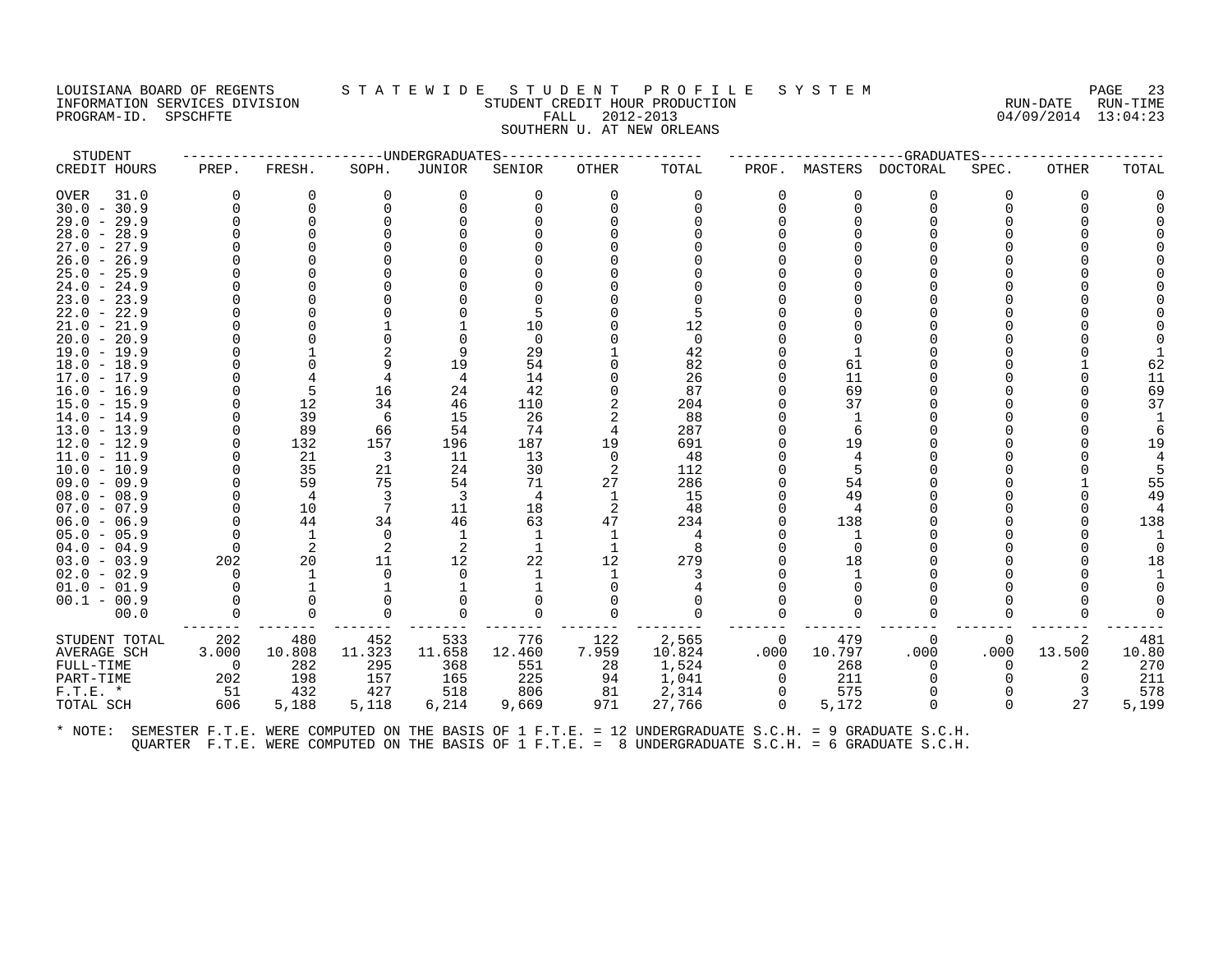## LOUISIANA BOARD OF REGENTS STATEWIDE STUDENT PROFILE SYSTEM PAGE 23 INFORMATION SERVICES DIVISION SUN-TIME STUDENT CREDIT HOUR PRODUCTION SUNGLE RUN-DATE RUN-TIME<br>PROGRAM-ID. SPSCHFTE SERVICES SUNGLESS SUNGLESS FALL 2012-2013 PROGRAM-ID. SPSCHFTE FALL 2012-2013 SOUTHERN U. AT NEW ORLEANS

| STUDENT       |                |                | ---------------UNDERGRADUATES |          |          |              |          |                |          | --GRADUATES----- |          |              |       |
|---------------|----------------|----------------|-------------------------------|----------|----------|--------------|----------|----------------|----------|------------------|----------|--------------|-------|
| CREDIT HOURS  | PREP.          | FRESH.         | SOPH.                         | JUNIOR   | SENIOR   | OTHER        | TOTAL    | PROF.          | MASTERS  | DOCTORAL         | SPEC.    | <b>OTHER</b> | TOTAL |
| OVER<br>31.0  | $\Omega$       | 0              | 0                             | $\Omega$ | 0        | $\Omega$     | 0        | $\Omega$       | 0        | $\Omega$         | 0        | $\Omega$     |       |
| $30.0 - 30.9$ | $\Omega$       | $\Omega$       |                               |          |          |              |          | 0              | $\Omega$ | $\Omega$         |          |              |       |
| $29.0 - 29.9$ |                | $\Omega$       |                               |          |          |              |          |                |          |                  |          |              |       |
| $28.0 - 28.9$ |                |                |                               |          |          |              |          |                |          |                  |          |              |       |
| $27.0 - 27.9$ |                |                |                               |          |          |              |          |                |          |                  |          |              |       |
| $26.0 - 26.9$ |                |                |                               |          |          |              |          |                |          |                  |          |              |       |
| $25.0 - 25.9$ |                |                |                               |          |          |              |          |                |          |                  |          |              |       |
| $24.0 - 24.9$ |                |                |                               |          |          |              |          |                |          |                  |          |              |       |
| $23.0 - 23.9$ |                |                |                               |          |          |              |          |                |          |                  |          |              |       |
| $22.0 - 22.9$ |                |                |                               |          |          |              |          |                |          |                  |          |              |       |
| $21.0 - 21.9$ |                |                |                               |          | 10       |              | 12       |                |          |                  |          |              |       |
| $20.0 - 20.9$ |                |                |                               |          | $\Omega$ |              | $\Omega$ |                |          |                  |          |              |       |
| $19.0 - 19.9$ |                |                |                               |          | 29       |              | 42       |                |          |                  |          |              |       |
| $18.0 - 18.9$ |                |                |                               | 19       | 54       |              | 82       |                | 61       |                  |          |              | 62    |
| 17.0 - 17.9   |                |                |                               |          | 14       |              | 26       |                | 11       |                  |          |              | 11    |
| $16.0 - 16.9$ |                | 5              | 16                            | 24       | 42       |              | 87       |                | 69       |                  |          |              | 69    |
| $15.0 - 15.9$ |                | 12             | 34                            | 46       | 110      |              | 204      |                | 37       |                  |          |              | 37    |
| $14.0 - 14.9$ |                | 39             | 6                             | 15       | 26       |              | 88       |                |          |                  |          |              |       |
| 13.0 - 13.9   |                | 89             | 66                            | 54       | 74       |              | 287      |                |          |                  |          |              |       |
| $12.0 - 12.9$ | $\Omega$       | 132            | 157                           | 196      | 187      | 19           | 691      |                | 19       |                  |          |              | 19    |
| $11.0 - 11.9$ |                | 21             | 3                             | 11       | 13       | $\Omega$     | 48       |                |          |                  |          |              |       |
| $10.0 - 10.9$ |                | 35             | 21                            | 24       | 30       |              | 112      |                |          |                  |          |              |       |
| $09.0 - 09.9$ |                | 59             | 75                            | 54       | 71       | 27           | 286      |                | 54       |                  |          |              | 55    |
| $08.0 - 08.9$ |                | $\overline{4}$ |                               | 3        | 4        | $\mathbf{1}$ | 15       |                | 49       |                  |          |              | 49    |
| $07.0 - 07.9$ | $\Omega$       | 10             |                               | 11       | 18       | 2            | 48       |                | 4        |                  |          |              |       |
| $06.0 - 06.9$ | $\Omega$       | 44             | 34                            | 46       | 63       | 47           | 234      | 0              | 138      |                  |          |              | 138   |
| $05.0 - 05.9$ | $\mathbf 0$    | 1              | $\Omega$                      | 1        |          |              | 4        |                |          |                  |          |              |       |
| $04.0 - 04.9$ | 0              | 2              |                               | 2        |          |              | 8        |                | $\Omega$ |                  |          |              |       |
| $03.0 - 03.9$ | 202            | 20             | 11                            | 12       | 22       | 12           | 279      |                | 18       |                  |          |              | 18    |
| $02.0 - 02.9$ | $\Omega$       | 1              | $\Omega$                      | $\Omega$ |          |              |          |                |          |                  |          |              |       |
| $01.0 - 01.9$ |                |                |                               |          |          |              |          |                |          |                  |          |              |       |
| $00.1 - 00.9$ |                |                |                               |          |          |              |          |                |          |                  |          |              |       |
| 00.0          | $\Omega$       | $\Omega$       | $\Omega$                      |          | O        |              | $\Omega$ | 0              | $\Omega$ | ∩                |          |              |       |
| STUDENT TOTAL | 202            | 480            | 452                           | 533      | 776      | 122          | 2,565    | $\Omega$       | 479      | 0                | $\Omega$ | -2           | 481   |
| AVERAGE SCH   | 3.000          | 10.808         | 11.323                        | 11.658   | 12.460   | 7.959        | 10.824   | .000           | 10.797   | .000             | .000     | 13.500       | 10.80 |
| FULL-TIME     | $\overline{0}$ | 282            | 295                           | 368      | 551      | 28           | 1,524    | $\overline{0}$ | 268      | 0                | $\Omega$ | 2            | 270   |
| PART-TIME     | 202            | 198            | 157                           | 165      | 225      | 94           | 1,041    | 0              | 211      | $\Omega$         | 0        | $\Omega$     | 211   |
| $F.T.E. *$    | 51             | 432            | 427                           | 518      | 806      | 81           | 2,314    | $\Omega$       | 575      |                  |          |              | 578   |
| TOTAL SCH     | 606            | 5,188          | 5,118                         | 6,214    | 9,669    | 971          | 27,766   | $\Omega$       | 5,172    | $\Omega$         | $\Omega$ | 27           | 5,199 |
|               |                |                |                               |          |          |              |          |                |          |                  |          |              |       |
|               |                |                |                               |          |          |              |          |                |          |                  |          |              |       |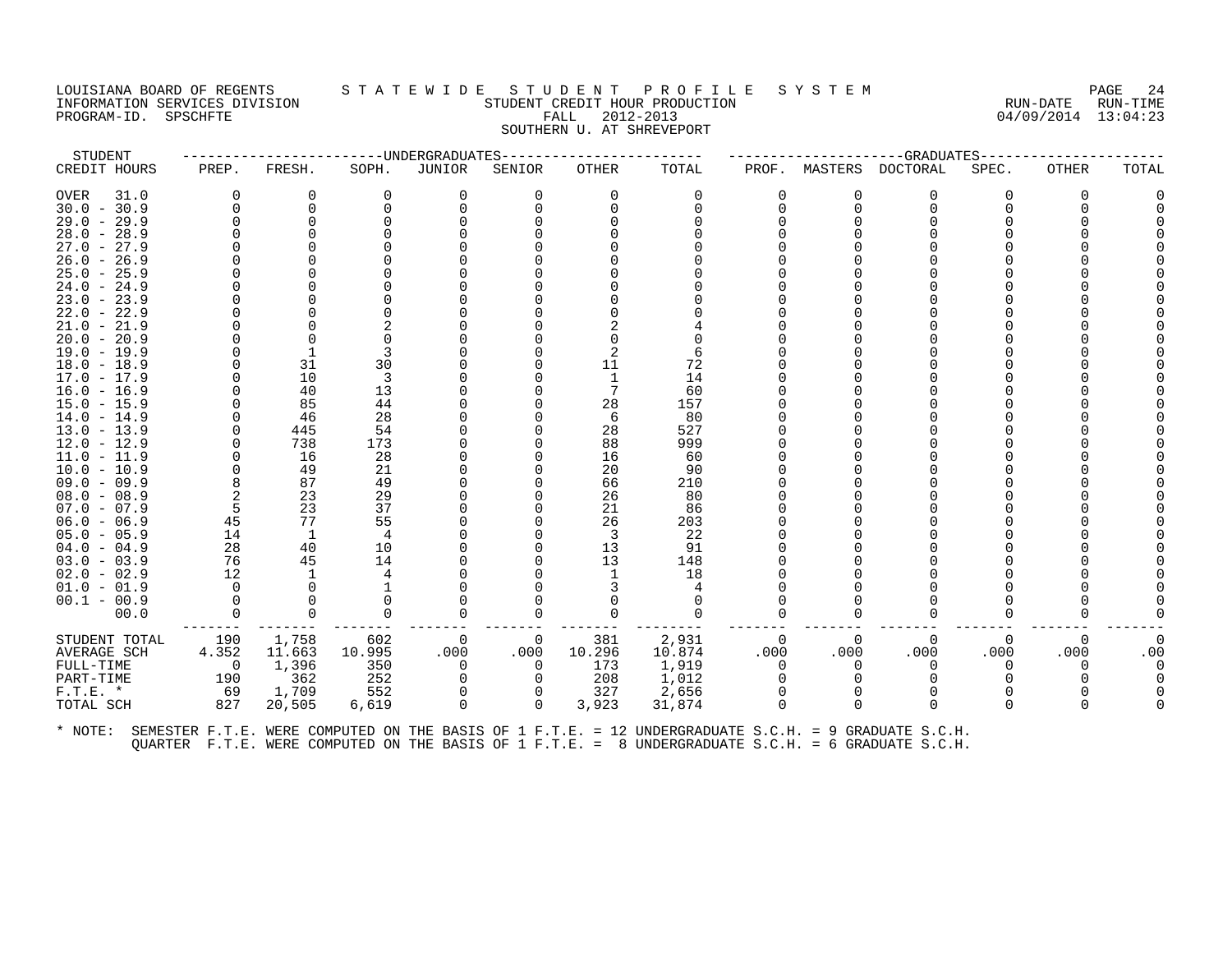## LOUISIANA BOARD OF REGENTS STATEWIDE STUDENT PROFILE SYSTEM PAGE 24 INFORMATION SERVICES DIVISION SUN-TIME STUDENT CREDIT HOUR PRODUCTION SUNGLE RUN-DATE RUN-TIME<br>PROGRAM-ID. SPSCHFTE SERVICES SUNGLESS SUNGLESS FALL 2012-2013 PROGRAM-ID. SPSCHFTE FALL 2012-2013 SOUTHERN U. AT SHREVEPORT

| STUDENT                        |          |                    |          | -----UNDERGRADUATES |             |                |          |          |          | --GRADUATES                                                                                          |          |          |       |
|--------------------------------|----------|--------------------|----------|---------------------|-------------|----------------|----------|----------|----------|------------------------------------------------------------------------------------------------------|----------|----------|-------|
| CREDIT HOURS                   | PREP.    | FRESH.             | SOPH.    | JUNIOR              | SENIOR      | <b>OTHER</b>   | TOTAL    | PROF.    | MASTERS  | DOCTORAL                                                                                             | SPEC.    | OTHER    | TOTAL |
| <b>OVER</b><br>31.0            | $\Omega$ | 0                  | $\Omega$ | $\Omega$            | $\Omega$    | $\Omega$       | $\Omega$ | $\Omega$ | $\Omega$ | $\Omega$                                                                                             | O        | 0        |       |
| $30.0 - 30.9$                  |          |                    |          | 0                   | $\Omega$    | $\Omega$       | 0        | 0        | $\Omega$ | $\Omega$                                                                                             |          |          |       |
| $29.0 - 29.9$                  |          |                    |          |                     |             |                |          |          |          |                                                                                                      |          |          |       |
| $28.0 - 28.9$                  |          |                    |          |                     |             |                |          |          |          |                                                                                                      |          |          |       |
| $27.0 -$<br>27.9               |          |                    |          |                     |             |                |          |          |          |                                                                                                      |          |          |       |
| $26.0 - 26.9$                  |          |                    |          |                     |             |                |          |          |          |                                                                                                      |          |          |       |
| $25.0 - 25.9$                  |          |                    |          |                     |             |                |          |          |          |                                                                                                      |          |          |       |
| $24.0 -$<br>24.9               |          |                    |          |                     |             |                |          | ∩        |          |                                                                                                      |          |          |       |
| $23.0 - 23.9$                  |          |                    |          |                     |             |                |          |          |          |                                                                                                      |          |          |       |
| $22.0 - 22.9$<br>$21.0 - 21.9$ |          |                    |          |                     |             |                |          | ∩        |          |                                                                                                      |          |          |       |
| $20.0 - 20.9$                  |          |                    |          |                     |             |                |          |          |          |                                                                                                      |          |          |       |
| $19.0 - 19.9$                  |          |                    |          |                     |             |                | 6        |          |          |                                                                                                      |          |          |       |
| $18.0 - 18.9$                  |          | 31                 | 30       |                     |             | 11             | 72       |          |          |                                                                                                      |          |          |       |
| $17.0 - 17.9$                  |          | 10                 | 3        |                     |             | $\overline{1}$ | 14       |          |          |                                                                                                      |          |          |       |
| $16.0 - 16.9$                  |          | 40                 | 13       |                     |             |                | 60       |          |          |                                                                                                      |          |          |       |
| $15.0 - 15.9$                  |          | 85                 | 44       |                     |             | 28             | 157      |          |          |                                                                                                      |          |          |       |
| $14.0 - 14.9$                  |          | 46                 | 28       |                     |             | 6              | 80       |          |          |                                                                                                      |          |          |       |
| $13.0 - 13.9$                  |          | 445                | 54       |                     |             | 28             | 527      |          |          |                                                                                                      |          |          |       |
| $12.0 - 12.9$                  |          | 738                | 173      |                     |             | 88             | 999      |          |          |                                                                                                      |          |          |       |
| $11.0 - 11.9$                  |          | 16                 | 28       |                     |             | 16             | 60       |          |          |                                                                                                      |          |          |       |
| $10.0 - 10.9$                  |          | 49                 | 21       |                     |             | 20             | 90       |          |          |                                                                                                      |          |          |       |
| $09.0 - 09.9$                  |          | 87                 | 49       |                     |             | 66             | 210      |          |          |                                                                                                      |          |          |       |
| $08.0 - 08.9$                  |          | 23                 | 29       |                     |             | 26             | 80       |          |          |                                                                                                      |          |          |       |
| $07.0 - 07.9$                  |          | 23                 | 37       |                     |             | 21             | 86       |          |          |                                                                                                      |          |          |       |
| $06.0 - 06.9$                  | 45       | 77                 | 55       |                     |             | 26             | 203      |          |          |                                                                                                      |          |          |       |
| $05.0 - 05.9$<br>$04.0 - 04.9$ | 14<br>28 | <sup>1</sup><br>40 | 4<br>10  |                     |             | 3<br>13        | 22<br>91 |          |          |                                                                                                      |          |          |       |
| $03.0 - 03.9$                  | 76       | 45                 | 14       |                     |             | 13             | 148      |          |          |                                                                                                      |          |          |       |
| $02.0 - 02.9$                  | 12       |                    |          |                     |             |                | 18       |          |          |                                                                                                      |          |          |       |
| $01.0 - 01.9$                  |          |                    |          |                     |             |                |          |          |          |                                                                                                      |          |          |       |
| $00.1 - 00.9$                  |          |                    |          |                     |             |                | $\Omega$ |          |          |                                                                                                      |          |          |       |
| 00.0                           |          |                    | $\Omega$ | ∩                   | $\Omega$    |                | $\Omega$ | ∩        | $\Omega$ | $\Omega$                                                                                             |          |          |       |
| STUDENT TOTAL                  | 190      | 1,758              | 602      | 0                   | 0           | 381            | 2,931    | 0        | 0        | 0                                                                                                    | $\Omega$ | 0        |       |
| AVERAGE SCH                    | 4.352    | 11.663             | 10.995   | .000                | .000        | 10.296         | 10.874   | .000     | .000     | .000                                                                                                 | .000     | .000     | .00   |
| FULL-TIME                      | 0        | 1,396              | 350      | 0                   | 0           | 173            | 1,919    | 0        | $\Omega$ | 0                                                                                                    |          | $\Omega$ |       |
| PART-TIME                      | 190      | 362                | 252      | $\Omega$            | $\Omega$    | 208            | 1,012    | $\Omega$ |          |                                                                                                      |          |          |       |
| $F.T.E.$ *                     | 69       | 1,709              | 552      | 0                   | 0           | 327            | 2,656    | $\Omega$ |          | 0                                                                                                    |          |          |       |
| TOTAL SCH                      | 827      | 20,505             | 6,619    | $\Omega$            | $\mathbf 0$ | 3,923          | 31,874   | $\Omega$ | $\Omega$ | $\Omega$                                                                                             |          |          |       |
| $*$ NOTE:                      |          |                    |          |                     |             |                |          |          |          | SEMESTER F.T.E. WERE COMPUTED ON THE BASIS OF 1 F.T.E. = 12 UNDERGRADUATE S.C.H. = 9 GRADUATE S.C.H. |          |          |       |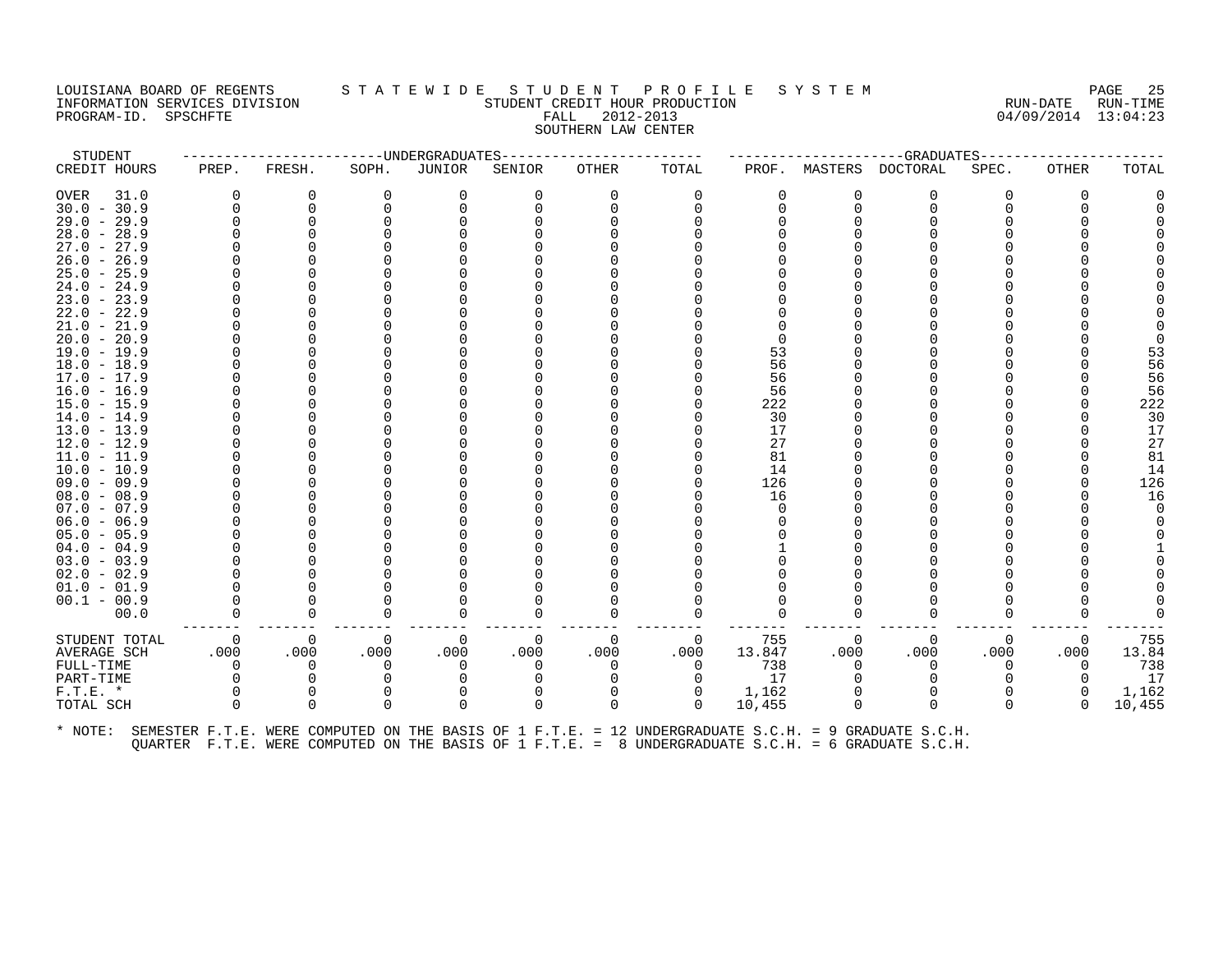## LOUISIANA BOARD OF REGENTS STATEWIDE STUDENT PROFILE SYSTEM NAGE 25 INFORMATION SERVICES DIVISION SUNGLERICAL STUDENT CREDIT HOUR PRODUCTION SUNGLERIC RUN-DATE RUN-TIME<br>PROGRAM-ID. SPSCHFTE SUN-TIME SUNGLERICAL FALL 2012-2013 PROGRAM-ID. SPSCHFTE FALL 2012-2013 SOUTHERN LAW CENTER

| STUDENT       |          |          |              | ------------------DNDERGRADUATES |          | -------------- |          |          |          | ----------GRADUATES-----                                                                             |       |              |        |
|---------------|----------|----------|--------------|----------------------------------|----------|----------------|----------|----------|----------|------------------------------------------------------------------------------------------------------|-------|--------------|--------|
| CREDIT HOURS  | PREP.    | FRESH.   | SOPH.        | <b>JUNIOR</b>                    | SENIOR   | OTHER          | TOTAL    | PROF.    | MASTERS  | DOCTORAL                                                                                             | SPEC. | <b>OTHER</b> | TOTAL  |
| OVER<br>31.0  | 0        | 0        | 0            |                                  |          |                | 0        | 0        |          | 0                                                                                                    | O     | $\Omega$     |        |
| $30.0 - 30.9$ | $\Omega$ | $\Omega$ |              |                                  |          |                |          | 0        | $\Omega$ | O                                                                                                    |       |              |        |
| $29.0 - 29.9$ |          |          |              |                                  |          |                |          |          |          |                                                                                                      |       |              |        |
| $28.0 - 28.9$ |          |          |              |                                  |          |                |          |          |          |                                                                                                      |       |              |        |
| $27.0 - 27.9$ |          |          |              |                                  |          |                |          |          |          |                                                                                                      |       |              |        |
| $26.0 - 26.9$ |          |          |              |                                  |          |                |          |          |          |                                                                                                      |       |              |        |
| $25.0 - 25.9$ |          |          |              |                                  |          |                |          |          |          |                                                                                                      |       |              |        |
| $24.0 - 24.9$ |          |          |              |                                  |          |                |          |          |          |                                                                                                      |       |              |        |
| $23.0 - 23.9$ |          |          |              |                                  |          |                |          |          |          |                                                                                                      |       |              |        |
| $22.0 - 22.9$ |          |          |              |                                  |          |                |          |          |          |                                                                                                      |       |              |        |
| $21.0 - 21.9$ |          |          |              |                                  |          |                |          |          |          |                                                                                                      |       |              |        |
| $20.0 - 20.9$ |          |          |              |                                  |          |                |          |          |          |                                                                                                      |       |              |        |
| $19.0 - 19.9$ |          |          |              |                                  |          |                |          | 53       |          |                                                                                                      |       |              | 53     |
| $18.0 - 18.9$ |          |          |              |                                  |          |                |          | 56       |          |                                                                                                      |       |              | 56     |
| $17.0 - 17.9$ |          |          |              |                                  |          |                |          | 56       |          |                                                                                                      |       |              | 56     |
| $16.0 - 16.9$ |          |          |              |                                  |          |                |          | 56       |          |                                                                                                      |       |              | 56     |
| $15.0 - 15.9$ |          |          |              |                                  |          |                |          | 222      |          |                                                                                                      |       |              | 222    |
| $14.0 - 14.9$ |          |          |              |                                  |          |                |          | 30       |          |                                                                                                      |       |              | 30     |
| $13.0 - 13.9$ |          |          |              |                                  |          |                |          | 17       |          |                                                                                                      |       |              | 17     |
| $12.0 - 12.9$ |          |          |              |                                  |          |                |          | 27       |          |                                                                                                      |       |              | 27     |
| $11.0 - 11.9$ |          |          |              |                                  |          |                |          | 81       |          |                                                                                                      |       |              | 81     |
| $10.0 - 10.9$ |          |          |              |                                  |          |                |          | 14       |          |                                                                                                      |       |              | 14     |
| $09.0 - 09.9$ |          |          |              |                                  |          |                |          | 126      |          |                                                                                                      |       |              | 126    |
| $08.0 - 08.9$ |          |          |              |                                  |          |                |          | 16       |          |                                                                                                      |       |              | 16     |
| $07.0 - 07.9$ |          |          |              |                                  |          |                |          | $\Omega$ |          |                                                                                                      |       |              |        |
| $06.0 - 06.9$ |          |          |              |                                  |          |                |          |          |          |                                                                                                      |       |              |        |
| $05.0 - 05.9$ |          |          |              |                                  |          |                |          |          |          |                                                                                                      |       |              |        |
| $04.0 - 04.9$ |          |          |              |                                  |          |                |          |          |          |                                                                                                      |       |              |        |
| $03.0 - 03.9$ |          |          |              |                                  |          |                |          |          |          |                                                                                                      |       |              |        |
| $02.0 - 02.9$ |          |          |              |                                  |          |                |          |          |          |                                                                                                      |       |              |        |
| $01.0 - 01.9$ |          |          |              |                                  |          |                |          |          |          |                                                                                                      |       |              |        |
| $00.1 - 00.9$ |          |          |              |                                  |          |                |          |          |          |                                                                                                      |       |              |        |
| 00.0          |          | 0        | 0            |                                  |          |                |          |          |          | O                                                                                                    |       |              |        |
| STUDENT TOTAL | 0        | 0        | 0            | $\Omega$                         | $\Omega$ | $\Omega$       | 0        | 755      | 0        | 0                                                                                                    | 0     | 0            | 755    |
| AVERAGE SCH   | .000     | .000     | .000         | .000                             | .000     | .000           | .000     | 13.847   | .000     | .000                                                                                                 | .000  | .000         | 13.84  |
| FULL-TIME     | $\Omega$ | $\Omega$ |              |                                  |          |                | $\Omega$ | 738      | ∩        | $\Omega$                                                                                             | 0     | $\Omega$     | 738    |
| PART-TIME     |          |          |              |                                  |          |                | 0        | 17       |          |                                                                                                      |       |              | 17     |
| $F.T.E. *$    | $\Omega$ | $\Omega$ |              |                                  |          |                | 0        | 1,162    |          | $\Omega$                                                                                             |       | $\Omega$     | 1,162  |
| TOTAL SCH     | $\Omega$ | $\Omega$ | <sup>n</sup> | $\Omega$                         | 0        | $\Omega$       | $\Omega$ | 10,455   | $\Omega$ | $\Omega$                                                                                             | 0     | $\cap$       | 10,455 |
| * NOTE:       |          |          |              |                                  |          |                |          |          |          | SEMESTER F.T.E. WERE COMPUTED ON THE BASIS OF 1 F.T.E. = 12 UNDERGRADUATE S.C.H. = 9 GRADUATE S.C.H. |       |              |        |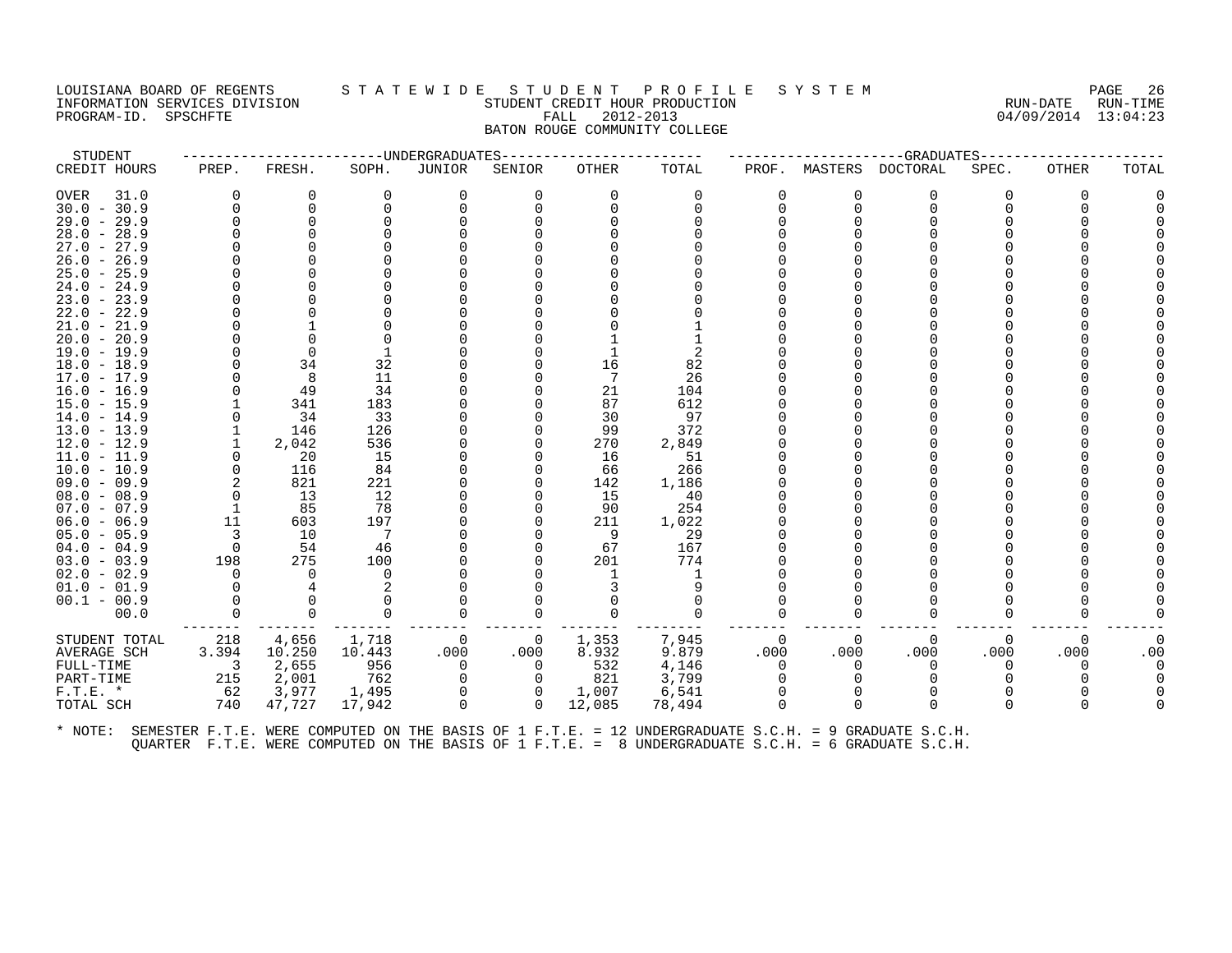#### LOUISIANA BOARD OF REGENTS STATEWIDE STUDENT PROFILE SYSTEM NAGE 26 INFORMATION SERVICES DIVISION SUN-TIME STUDENT CREDIT HOUR PRODUCTION SUNGLE RUN-DATE RUN-TIME<br>PROGRAM-ID. SPSCHFTE SERVICES SUNGLESS SUNGLESS FALL 2012-2013 PROGRAM-ID. SPSCHFTE FALL 2012-2013 BATON ROUGE COMMUNITY COLLEGE

| STUDENT                        |                         |           |                | ----------------------DNDERGRADUATES |          | --------------- |            |          |          | -------------------GRADUATES----- |          |              |       |
|--------------------------------|-------------------------|-----------|----------------|--------------------------------------|----------|-----------------|------------|----------|----------|-----------------------------------|----------|--------------|-------|
| CREDIT HOURS                   | PREP.                   | FRESH.    | SOPH.          | JUNIOR                               | SENIOR   | OTHER           | TOTAL      | PROF.    |          | MASTERS DOCTORAL                  | SPEC.    | <b>OTHER</b> | TOTAL |
| OVER<br>31.0                   | $\Omega$                | 0         | 0              | 0                                    | 0        | $\Omega$        | 0          | $\Omega$ | 0        | 0                                 | 0        | $\Omega$     |       |
| $30.0 - 30.9$                  | $\Omega$                | $\Omega$  |                |                                      |          |                 |            | 0        | $\Omega$ | $\Omega$                          |          |              |       |
| $29.0 - 29.9$                  | $\Omega$                | $\Omega$  |                |                                      |          |                 |            |          |          |                                   |          |              |       |
| $28.0 - 28.9$                  |                         |           |                |                                      |          |                 |            |          |          |                                   |          |              |       |
| $27.0 - 27.9$                  |                         |           |                |                                      |          |                 |            |          |          |                                   |          |              |       |
| $26.0 - 26.9$                  |                         |           |                |                                      |          |                 |            |          |          |                                   |          |              |       |
| $25.0 - 25.9$                  |                         |           |                |                                      |          |                 |            |          |          |                                   |          |              |       |
| $24.0 - 24.9$                  |                         |           |                |                                      |          |                 |            |          |          |                                   |          |              |       |
| $23.0 - 23.9$                  |                         |           |                |                                      |          |                 |            |          |          |                                   |          |              |       |
| $22.0 - 22.9$                  |                         |           |                |                                      |          |                 |            |          |          |                                   |          |              |       |
| $21.0 - 21.9$                  |                         |           |                |                                      |          |                 |            |          |          |                                   |          |              |       |
| $20.0 - 20.9$                  |                         |           |                |                                      |          |                 |            |          |          |                                   |          |              |       |
| $19.0 - 19.9$                  |                         | $\Omega$  |                |                                      |          |                 | 2          |          |          |                                   |          |              |       |
| $18.0 - 18.9$                  | $\Omega$                | 34        | 32             |                                      |          | 16              | 82         |          |          |                                   |          |              |       |
| 17.0 - 17.9                    | $\Omega$                | 8         | 11             |                                      |          |                 | 26         |          |          |                                   |          |              |       |
| $16.0 - 16.9$                  |                         | 49<br>341 | 34             |                                      |          | 21<br>87        | 104<br>612 |          |          |                                   |          |              |       |
| $15.0 - 15.9$<br>$14.0 - 14.9$ | 0                       | 34        | 183<br>33      |                                      |          | 30              | 97         |          |          |                                   |          |              |       |
| 13.0 - 13.9                    | 1                       | 146       | 126            |                                      |          | 99              | 372        |          |          |                                   |          |              |       |
| $12.0 - 12.9$                  | 1                       | 2,042     | 536            |                                      |          | 270             | 2,849      |          |          |                                   |          |              |       |
| $11.0 - 11.9$                  | $\Omega$                | 20        | 15             |                                      |          | 16              | 51         |          |          |                                   |          |              |       |
| $10.0 - 10.9$                  | $\mathbf 0$             | 116       | 84             |                                      |          | 66              | 266        |          |          |                                   |          |              |       |
| $09.0 - 09.9$                  | 2                       | 821       | 221            |                                      |          | 142             | 1,186      |          |          |                                   |          |              |       |
| $08.0 - 08.9$                  | $\Omega$                | 13        | 12             |                                      |          | 15              | 40         |          |          |                                   |          |              |       |
| $07.0 - 07.9$                  | - 1                     | 85        | -78            |                                      |          | -90             | 254        |          |          |                                   |          |              |       |
| $06.0 - 06.9$                  | 11                      | 603       | 197            |                                      |          | 211             | 1,022      |          |          |                                   |          |              |       |
| $05.0 - 05.9$                  | 3                       | 10        | $\overline{7}$ |                                      |          | 9               | 29         |          |          |                                   |          |              |       |
| $04.0 - 04.9$                  | $\overline{0}$          | 54        | 46             |                                      |          | 67              | 167        |          |          |                                   |          |              |       |
| $03.0 - 03.9$                  | 198                     | 275       | 100            |                                      |          | 201             | 774        |          |          |                                   |          |              |       |
| $02.0 - 02.9$                  | $\Omega$                | $\Omega$  | $\Omega$       |                                      |          |                 |            |          |          |                                   |          |              |       |
| $01.0 - 01.9$                  | $\Omega$                |           |                |                                      |          |                 |            |          |          |                                   |          |              |       |
| $00.1 - 00.9$                  |                         |           |                |                                      |          |                 |            |          |          |                                   |          |              |       |
| 00.0                           | $\Omega$                | $\Omega$  | $\Omega$       | $\Omega$                             | 0        |                 | $\Omega$   | $\Omega$ | 0        | $\Omega$                          | 0        |              |       |
| STUDENT TOTAL                  | 218                     | 4,656     | 1,718          | - 0                                  | 0        | 1,353           | 7,945      | $\Omega$ | $\Omega$ | $\Omega$                          | $\Omega$ | $\Omega$     |       |
| AVERAGE SCH                    | 3.394                   | 10.250    | 10.443         | .000                                 | .000     | 8.932           | 9.879      | .000     | .000     | .000                              | .000     | .000         | .00   |
| FULL-TIME                      | $\overline{\mathbf{3}}$ | 2,655     | 956            | $\overline{0}$                       | 0        | 532             | 4,146      | 0        | $\Omega$ | 0                                 | 0        |              |       |
| PART-TIME                      | 215                     | 2,001     | 762            | 0                                    | $\Omega$ | 821             | 3,799      | $\Omega$ |          | $\Omega$                          |          |              |       |
| $F.T.E. *$                     | 62                      | 3,977     | 1,495          |                                      | 0        | 1,007           | 6,541      |          |          |                                   |          |              |       |
| TOTAL SCH                      | 740                     | 47,727    | 17,942         | $\Omega$                             | $\Omega$ | 12,085          | 78,494     | $\Omega$ | $\Omega$ | $\Omega$                          | 0        |              |       |
|                                |                         |           |                |                                      |          |                 |            |          |          |                                   |          |              |       |
|                                |                         |           |                |                                      |          |                 |            |          |          |                                   |          |              |       |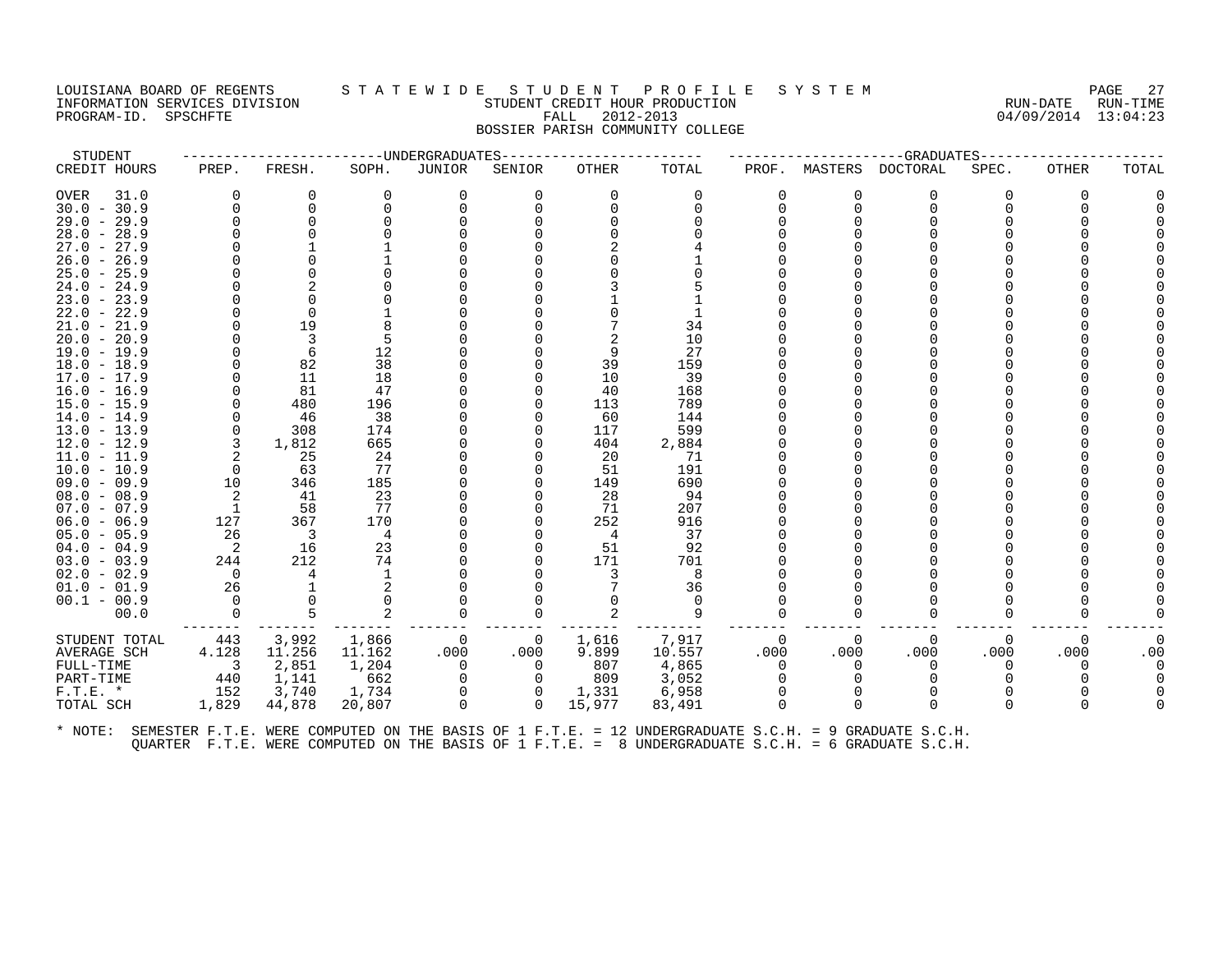# LOUISIANA BOARD OF REGENTS STATEWIDE STUDE NT PROFILE SYSTEM PAGE 27<br>INFORMATION SERVICES DIVISION STUDENT CREDIT HOUR PRODUCTION FORD PAGE RUN-DATE RUN-TIME INFORMATION SERVICES DIVISION SUNGLERICAL STUDENT CREDIT HOUR PRODUCTION SUNGLERIC RUN-DATE RUN-TIME<br>PROGRAM-ID. SPSCHFTE SUN-TIME SERVICES SUNGLERICAL PALL 2012-2013 PROGRAM-ID. SPSCHFTE FALL 2012-2013 BOSSIER PARISH COMMUNITY COLLEGE

| STUDENT            |                            |                          |          | -----UNDERGRADUATES |          |          |          |          |              | --GRADUATES-     |       |       |       |
|--------------------|----------------------------|--------------------------|----------|---------------------|----------|----------|----------|----------|--------------|------------------|-------|-------|-------|
| CREDIT HOURS       | PREP.                      | FRESH.                   | SOPH.    | <b>JUNIOR</b>       | SENIOR   | OTHER    | TOTAL    | PROF.    |              | MASTERS DOCTORAL | SPEC. | OTHER | TOTAL |
| 31.0<br>OVER       | $\Omega$                   | 0                        | $\Omega$ | 0                   | 0        | $\Omega$ | 0        | 0        | 0            | O                | 0     | 0     |       |
| $30.0 - 30.9$      |                            | $\Omega$                 |          | 0                   |          |          | $\Omega$ | O        | $\Omega$     |                  |       |       |       |
| $29.0 - 29.9$      |                            | $\Omega$                 |          |                     |          |          |          | U        |              |                  |       |       |       |
| $28.0 - 28.9$      |                            |                          |          |                     |          |          |          |          |              |                  |       |       |       |
| $27.0 - 27.9$      |                            |                          |          |                     |          |          |          |          |              |                  |       |       |       |
| $26.0 - 26.9$      |                            |                          |          |                     |          |          |          |          |              |                  |       |       |       |
| $25.0 - 25.9$      |                            | $\Omega$                 |          |                     |          |          |          |          |              |                  |       |       |       |
| $24.0 - 24.9$      |                            |                          |          |                     |          |          |          |          |              |                  |       |       |       |
| $23.0 - 23.9$      |                            | $\cap$                   |          |                     |          |          |          |          |              |                  |       |       |       |
| $22.0 - 22.9$      |                            | $\Omega$                 |          |                     |          |          |          |          |              |                  |       |       |       |
| $21.0 - 21.9$      |                            | 19                       |          |                     |          |          | 34       |          |              |                  |       |       |       |
| $20.0 - 20.9$      |                            | 3                        |          |                     |          |          | 10       |          |              |                  |       |       |       |
| $19.0 - 19.9$      |                            | 6                        | 12       |                     |          | 9        | 27       |          |              |                  |       |       |       |
| $18.0 - 18.9$      |                            | 82                       | 38       |                     |          | 39       | 159      |          |              |                  |       |       |       |
| $17.0 - 17.9$      |                            | 11                       | 18       |                     |          | 10       | 39       |          |              |                  |       |       |       |
| $16.0 - 16.9$      |                            | 81                       | 47       |                     |          | 40       | 168      |          |              |                  |       |       |       |
| $15.0 - 15.9$      |                            | 480                      | 196      |                     |          | 113      | 789      |          |              |                  |       |       |       |
| $14.0 - 14.9$      |                            | 46                       | 38       |                     |          | 60       | 144      |          |              |                  |       |       |       |
| $13.0 - 13.9$      | $\Omega$                   | 308                      | 174      |                     |          | 117      | 599      |          |              |                  |       |       |       |
| $12.0 - 12.9$      | 3                          | 1,812                    | 665      |                     |          | 404      | 2,884    |          |              |                  |       |       |       |
| $11.0 - 11.9$      |                            | 25                       | 24       |                     |          | 20       | 71       |          |              |                  |       |       |       |
| $10.0 - 10.9$      |                            | 63                       | 77       |                     |          | 51       | 191      |          |              |                  |       |       |       |
| $09.0 - 09.9$      | 10                         | 346                      | 185      |                     |          | 149      | 690      |          |              |                  |       |       |       |
| $08.0 - 08.9$      | $\overline{2}$             | 41                       | 23       |                     |          | 28       | 94       |          |              |                  |       |       |       |
| $07.0 - 07.9$      | $\mathbf{1}$               | 58                       | 77       |                     |          | 71       | 207      |          |              |                  |       |       |       |
| $06.0 - 06.9$      | 127                        | 367                      | 170      |                     |          | 252      | 916      |          |              |                  |       |       |       |
| $05.0 - 05.9$      | 26                         | $\overline{\phantom{a}}$ | 4        |                     |          | 4        | 37       |          |              |                  |       |       |       |
| $04.0 - 04.9$      | $\overline{\phantom{0}}^2$ | 16                       | 23       |                     |          | 51       | 92       |          |              |                  |       |       |       |
| $03.0 - 03.9$      | 244                        | 212                      | 74       |                     |          | 171      | 701      |          |              |                  |       |       |       |
| $02.0 - 02.9$      | $\bigcirc$                 | 4                        |          |                     |          |          | -8       |          |              |                  |       |       |       |
| $01.0 - 01.9$      | 26                         |                          |          |                     |          |          | 36       |          |              |                  |       |       |       |
| $00.1 - 00.9$      |                            | $\Omega$                 |          |                     |          |          | $\Omega$ |          |              |                  |       |       |       |
| 00.0               | $\Omega$                   | 5                        |          | $\Omega$            | $\Omega$ | 2        | 9        | ∩        | <sup>0</sup> | ∩                |       |       |       |
| STUDENT TOTAL      | 443                        | 3,992                    | 1,866    | 0                   | 0        | 1,616    | 7,917    | $\Omega$ | 0            | $\Omega$         | 0     | 0     |       |
| <b>AVERAGE SCH</b> | 4.128                      | 11.256                   | 11.162   | .000                | .000     | 9.899    | 10.557   | .000     | .000         | .000             | .000  | .000  | .00   |
| FULL-TIME          | $\overline{\phantom{a}}$ 3 | 2,851                    | 1,204    | 0                   | $\Omega$ | 807      | 4,865    | $\Omega$ | $\Omega$     | $\Omega$         |       |       |       |
| PART-TIME          | 440                        | 1,141                    | 662      | 0                   | $\Omega$ | 809      | 3,052    | $\Omega$ |              |                  |       |       |       |
| $F.T.E.$ *         | 152                        | 3,740                    | 1,734    | $\Omega$            | 0        | 1,331    | 6,958    | $\Omega$ |              |                  |       |       |       |
| TOTAL SCH          | 1,829                      | 44,878                   | 20,807   | $\mathbf 0$         | $\Omega$ | 15,977   | 83,491   | $\Omega$ | $\Omega$     | $\Omega$         |       |       |       |
|                    |                            |                          |          |                     |          |          |          |          |              |                  |       |       |       |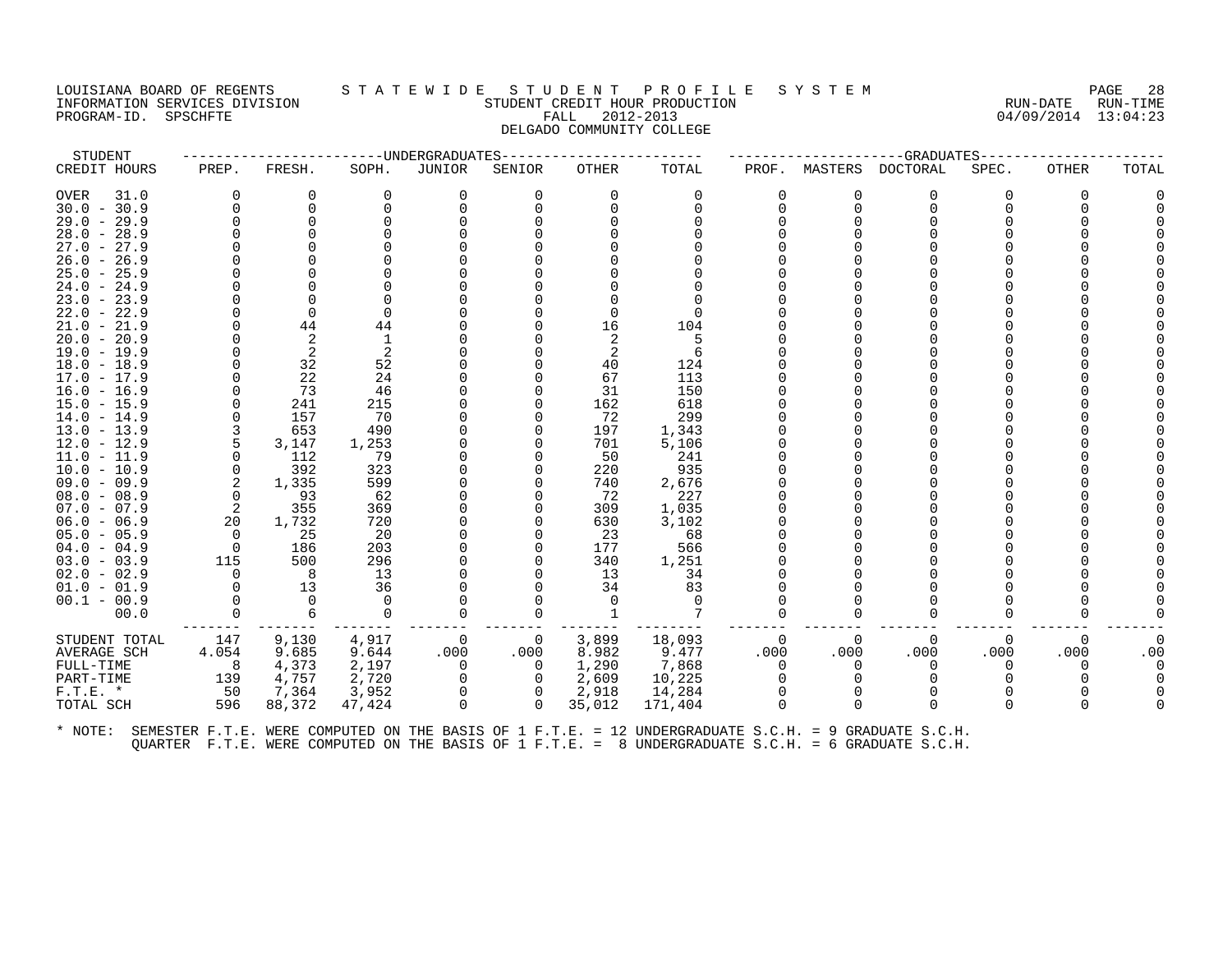#### LOUISIANA BOARD OF REGENTS STATEWIDE STUDENT PROFILE SYSTEM PAGE 28<br>INFORMATION SERVICES DIVISION STATEWIDES STUDENT CREDIT HOUR PRODUCTION AND CALCOLOGY AUNTINE -<br>INFORMATION STUDENT CREDIT HOUR PRODUCTION STUDENT CREDIT HOUR PALL 2012-2013 PROGRAM-ID. SPSCHFTE FALL 2012-2013 DELGADO COMMUNITY COLLEGE

| STUDENT       |          |          |          | -------UNDERGRADUATES |                |          |          |          |              | -----------GRADUATES---- |          |          |          |
|---------------|----------|----------|----------|-----------------------|----------------|----------|----------|----------|--------------|--------------------------|----------|----------|----------|
| CREDIT HOURS  | PREP.    | FRESH.   | SOPH.    | JUNIOR                | SENIOR         | OTHER    | TOTAL    | PROF.    |              | MASTERS DOCTORAL         | SPEC.    | OTHER    | TOTAL    |
| OVER<br>31.0  | $\Omega$ | 0        | 0        | 0                     | 0              | 0        | 0        |          | 0            | 0                        | $\Omega$ | $\Omega$ |          |
| $30.0 - 30.9$ |          | $\Omega$ | $\Omega$ | $\Omega$              | $\Omega$       | $\Omega$ | $\Omega$ |          | $\Omega$     | $\Omega$                 | ∩        | $\Omega$ |          |
| $29.0 - 29.9$ |          | $\Omega$ |          |                       |                |          |          |          |              | ∩                        |          |          |          |
| $28.0 - 28.9$ |          |          |          |                       |                |          |          |          |              |                          |          |          |          |
| $27.0 - 27.9$ |          |          |          |                       |                |          |          |          |              |                          |          |          |          |
| $26.0 - 26.9$ |          |          |          |                       |                |          |          |          |              |                          |          |          |          |
| $25.0 - 25.9$ |          |          |          |                       |                |          |          |          |              |                          |          |          |          |
| $24.0 - 24.9$ |          |          |          |                       |                |          |          |          |              |                          |          |          |          |
| $23.0 - 23.9$ |          |          |          |                       |                |          |          |          |              |                          |          |          |          |
| $22.0 - 22.9$ |          | $\Omega$ | $\Omega$ |                       |                | $\Omega$ | $\Omega$ |          |              |                          |          |          |          |
| $21.0 - 21.9$ |          | 44       | 44       |                       |                | 16       | 104      |          |              |                          |          |          |          |
| $20.0 - 20.9$ |          | 2        |          |                       |                |          | 5        |          |              |                          |          |          |          |
| $19.0 - 19.9$ |          | 2        | 2        |                       |                |          | 6        |          |              |                          |          |          |          |
| $18.0 - 18.9$ |          | 32       | 52       |                       |                | 40       | 124      |          |              |                          |          |          |          |
| $17.0 - 17.9$ |          | 22       | 24       |                       |                | 67       | 113      |          |              |                          |          |          |          |
| 16.0 - 16.9   |          | 73       | 46       |                       |                | 31       | 150      |          |              |                          |          |          |          |
| $15.0 - 15.9$ |          | 241      | 215      |                       |                | 162      | 618      |          |              |                          |          |          |          |
| $14.0 - 14.9$ |          | 157      | 70       |                       |                | 72       | 299      |          |              |                          |          |          |          |
| $13.0 - 13.9$ | 3        | 653      | 490      |                       |                | 197      | 1,343    |          |              |                          |          |          |          |
| $12.0 - 12.9$ | 5        | 3,147    | 1,253    |                       | 0              | 701      | 5,106    |          |              |                          |          |          |          |
| $11.0 - 11.9$ | $\Omega$ | 112      | 79       |                       |                | 50       | 241      |          |              |                          |          |          |          |
| $10.0 - 10.9$ | 0        | 392      | 323      |                       |                | 220      | 935      |          |              |                          |          |          |          |
| $09.0 - 09.9$ | 2        | 1,335    | 599      |                       |                | 740      | 2,676    |          |              |                          |          |          |          |
| $08.0 - 08.9$ | $\Omega$ | 93       | 62       |                       |                | 72       | 227      |          |              |                          |          |          |          |
| $07.0 - 07.9$ | 2        | 355      | 369      |                       |                | 309      | 1,035    |          |              |                          |          |          |          |
| $06.0 - 06.9$ | 20       | 1,732    | 720      |                       |                | 630      | 3,102    |          |              |                          |          |          |          |
| $05.0 - 05.9$ | $\Omega$ | 25       | 20       |                       |                | 23       | 68       |          |              |                          |          |          |          |
| $04.0 - 04.9$ | $\Omega$ | 186      | 203      |                       |                | 177      | 566      |          |              |                          |          |          |          |
| $03.0 - 03.9$ | 115      | 500      | 296      |                       |                | 340      | 1,251    |          |              |                          |          |          |          |
| $02.0 - 02.9$ | $\Omega$ | - 8      | 13       |                       |                | 13       | 34       |          |              |                          |          |          |          |
| $01.0 - 01.9$ | $\Omega$ | 13       | 36       |                       |                | 34       | 83       |          |              |                          |          |          |          |
| $00.1 - 00.9$ |          | - 0      | - 0      |                       |                | $\Omega$ | $\Omega$ |          |              |                          |          |          |          |
| 00.0          | $\Omega$ | 6        | $\Omega$ | 0                     | $\Omega$       |          | 7        |          | U            | ∩                        | $\Omega$ |          |          |
| STUDENT TOTAL | 147      | 9,130    | 4,917    | 0                     | $\mathbf{0}$   | 3,899    | 18,093   | $\Omega$ | 0            | 0                        | 0        | 0        | $\Omega$ |
| AVERAGE SCH   | 4.054    | 9.685    | 9.644    | .000                  | .000           | 8.982    | 9.477    | .000     | .000         | .000                     | .000     | .000     | .00      |
| FULL-TIME     | 8        | 4,373    | 2,197    | 0                     | $\overline{0}$ | 1,290    | 7,868    | $\Omega$ | $\Omega$     | $\Omega$                 | $\Omega$ | $\Omega$ |          |
| PART-TIME     | 139      | 4,757    | 2,720    | 0                     | $\Omega$       | 2,609    | 10,225   |          | 0            | $\Omega$                 |          |          |          |
| $F.T.E.$ *    | 50       | 7,364    | 3,952    | 0                     |                | 2,918    | 14,284   |          |              |                          |          |          |          |
| TOTAL SCH     | 596      | 88,372   | 47,424   | $\Omega$              | $\Omega$       | 35,012   | 171,404  |          | <sup>0</sup> | $\Omega$                 | $\Omega$ | $\Omega$ |          |
|               |          |          |          |                       |                |          |          |          |              |                          |          |          |          |
|               |          |          |          |                       |                |          |          |          |              |                          |          |          |          |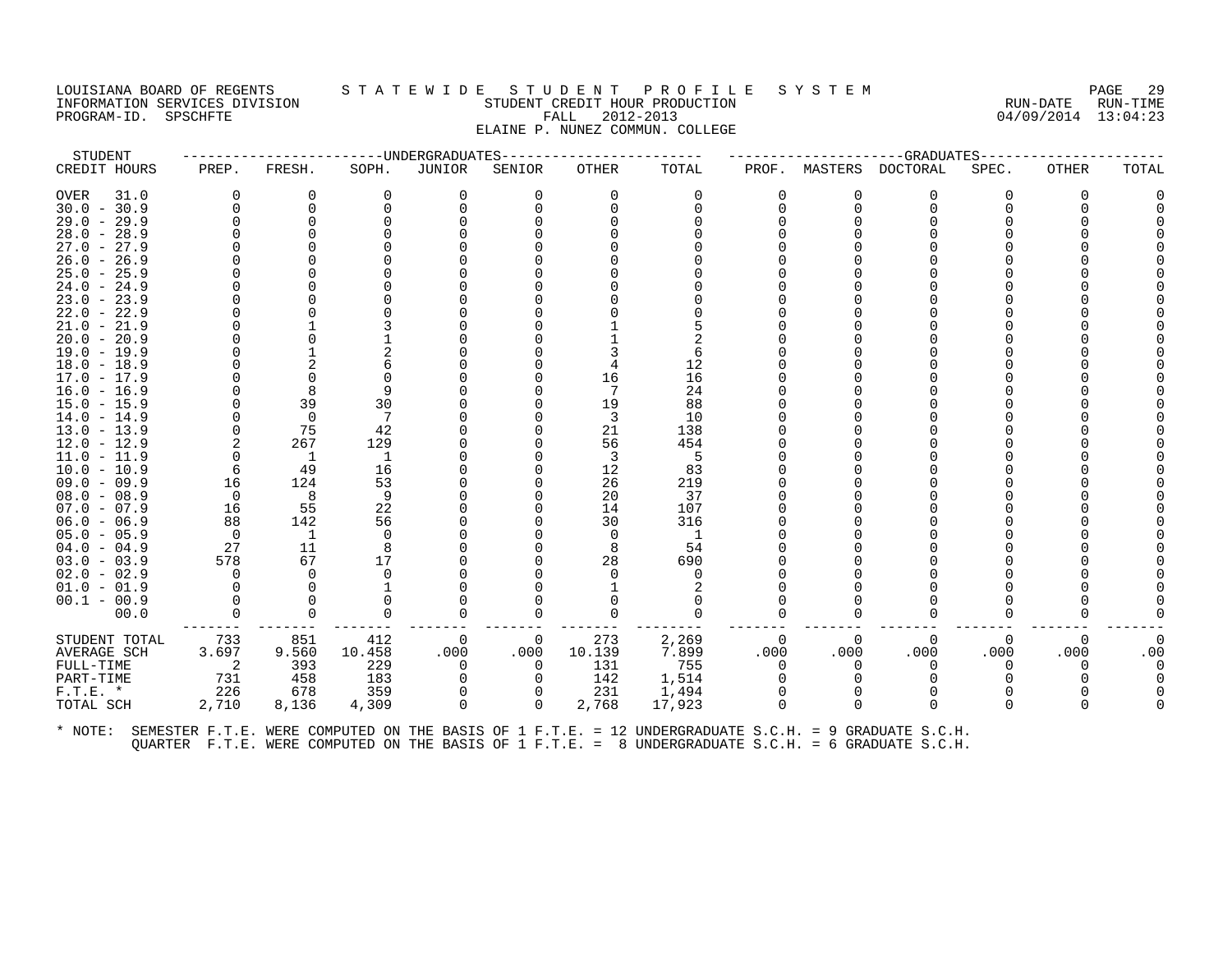# LOUISIANA BOARD OF REGENTS STATEWIDE STUDENT PROFILE SYSTEM PAGE 29 INFORMATION SERVICES DIVISION STUDENT CREDIT HOUR PRODUCTION RUN-DATE RUN-TIME PROGRAM-ID. SPSCHFTE FALL 2012-2013 04/09/2014 13:04:23 ELAINE P. NUNEZ COMMUN. COLLEGE

| STUDENT                        |          |                |           | --------------DNDERGRADUATES |                      |          |                                                                                                      |                      |                      | -----------------GRADUATES |          |          |       |
|--------------------------------|----------|----------------|-----------|------------------------------|----------------------|----------|------------------------------------------------------------------------------------------------------|----------------------|----------------------|----------------------------|----------|----------|-------|
| CREDIT HOURS                   | PREP.    | FRESH.         | SOPH.     | JUNIOR                       | SENIOR               | OTHER    | TOTAL                                                                                                | PROF.                |                      | MASTERS DOCTORAL           | SPEC.    | OTHER    | TOTAL |
| <b>OVER</b><br>31.0            | $\Omega$ | 0              | $\Omega$  | 0                            | $\Omega$             | $\Omega$ | $\Omega$                                                                                             | $\Omega$             | O                    | 0                          | $\Omega$ | $\Omega$ |       |
| $30.0 - 30.9$                  |          |                |           | 0                            |                      |          |                                                                                                      | $\Omega$             | $\Omega$             | $\mathbf 0$                |          |          |       |
| $29.0 - 29.9$                  |          |                |           |                              |                      |          |                                                                                                      |                      |                      | $\Omega$                   |          |          |       |
| $28.0 - 28.9$                  |          |                |           |                              |                      |          |                                                                                                      |                      |                      |                            |          |          |       |
| $27.0 - 27.9$                  |          |                |           |                              |                      |          |                                                                                                      |                      |                      |                            |          |          |       |
| $26.0 - 26.9$<br>$25.0 - 25.9$ |          |                |           |                              |                      |          |                                                                                                      |                      |                      |                            |          |          |       |
| $24.0 - 24.9$                  |          |                |           |                              |                      |          |                                                                                                      |                      |                      |                            |          |          |       |
| $23.0 - 23.9$                  |          |                |           |                              |                      |          |                                                                                                      |                      |                      |                            |          |          |       |
| $22.0 - 22.9$                  |          |                |           |                              |                      |          |                                                                                                      |                      |                      |                            |          |          |       |
| $21.0 - 21.9$                  |          |                |           |                              |                      |          |                                                                                                      |                      |                      |                            |          |          |       |
| $20.0 - 20.9$                  |          |                |           |                              |                      |          |                                                                                                      |                      |                      |                            |          |          |       |
| $19.0 - 19.9$                  |          |                |           |                              |                      |          |                                                                                                      |                      |                      |                            |          |          |       |
| $18.0 - 18.9$                  |          |                |           |                              |                      |          | 12                                                                                                   |                      |                      |                            |          |          |       |
| $17.0 - 17.9$                  |          |                |           |                              |                      | 16       | 16                                                                                                   |                      |                      |                            |          |          |       |
| $16.0 - 16.9$                  |          |                | 9         |                              |                      | -7       | 24                                                                                                   |                      |                      |                            |          |          |       |
| $15.0 - 15.9$                  |          | 39             | 30        |                              |                      | 19       | 88                                                                                                   |                      |                      |                            |          |          |       |
| $14.0 - 14.9$                  |          | $\Omega$       | 7         |                              |                      | -3       | 10                                                                                                   |                      |                      |                            |          |          |       |
| $13.0 - 13.9$<br>$12.0 - 12.9$ |          | 75<br>267      | 42<br>129 |                              |                      | 21<br>56 | 138<br>454                                                                                           |                      |                      |                            |          |          |       |
| $11.0 - 11.9$                  |          | $\overline{1}$ | 1         |                              |                      | -3       | 5                                                                                                    |                      |                      |                            |          |          |       |
| $10.0 - 10.9$                  | 6        | 49             | 16        |                              |                      | 12       | 83                                                                                                   |                      |                      |                            |          |          |       |
| $09.0 - 09.9$                  | 16       | 124            | 53        |                              |                      | 26       | 219                                                                                                  |                      |                      |                            |          |          |       |
| $08.0 - 08.9$                  | $\Omega$ | 8              | 9         |                              |                      | 20       | 37                                                                                                   |                      |                      |                            |          |          |       |
| $07.0 - 07.9$                  | 16       | 55             | 22        |                              |                      | 14       | 107                                                                                                  |                      |                      |                            |          |          |       |
| $06.0 - 06.9$                  | 88       | 142            | 56        |                              |                      | 30       | 316                                                                                                  |                      |                      |                            |          |          |       |
| $05.0 - 05.9$                  | $\Omega$ | $\overline{1}$ | $\Omega$  |                              |                      | $\Omega$ | -1                                                                                                   |                      |                      |                            |          |          |       |
| $04.0 - 04.9$                  | 27       | 11             | 8         |                              |                      | 8        | 54                                                                                                   |                      |                      |                            |          |          |       |
| $03.0 - 03.9$                  | 578      | 67             | 17        |                              |                      | 28       | 690                                                                                                  |                      |                      |                            |          |          |       |
| $02.0 - 02.9$                  | $\Omega$ | $\Omega$       | ∩         |                              |                      | $\Omega$ | $\Omega$                                                                                             |                      |                      |                            |          |          |       |
| $01.0 - 01.9$                  |          |                |           |                              |                      |          |                                                                                                      |                      |                      |                            |          |          |       |
| $00.1 - 00.9$<br>00.0          |          |                | $\Omega$  | U                            |                      |          |                                                                                                      |                      | $\Omega$             | $\Omega$                   |          |          |       |
|                                |          |                |           |                              |                      |          |                                                                                                      |                      |                      |                            |          |          |       |
| STUDENT TOTAL                  | 733      | 851            | 412       | 0                            | 0                    | 273      | 2,269                                                                                                | 0                    | $\Omega$             | $\Omega$                   | $\Omega$ | $\Omega$ |       |
| AVERAGE SCH                    | 3.697    | 9.560          | 10.458    | .000                         | .000                 | 10.139   | 7.899                                                                                                | .000                 | .000                 | .000                       | .000     | .000     | .00   |
| FULL-TIME                      | 2        | 393            | 229       | 0                            | $\Omega$             | 131      | 755                                                                                                  | $\Omega$             | $\Omega$             | $\Omega$                   | $\Omega$ |          |       |
| PART-TIME                      | 731      | 458            | 183       | $\Omega$                     |                      | 142      | 1,514                                                                                                | $\Omega$             |                      |                            |          |          |       |
| $F.T.E.$ *                     | 226      | 678            | 359       | 0<br>$\Omega$                | $\Omega$<br>$\Omega$ | 231      | 1,494                                                                                                | $\Omega$<br>$\Omega$ | $\Omega$<br>$\Omega$ | $\Omega$<br>$\Omega$       | $\Omega$ |          |       |
| TOTAL SCH                      | 2,710    | 8,136          | 4,309     |                              |                      | 2,768    | 17,923                                                                                               |                      |                      |                            |          |          |       |
| * NOTE:                        |          |                |           |                              |                      |          | SEMESTER F.T.E. WERE COMPUTED ON THE BASIS OF 1 F.T.E. = 12 UNDERGRADUATE S.C.H. = 9 GRADUATE S.C.H. |                      |                      |                            |          |          |       |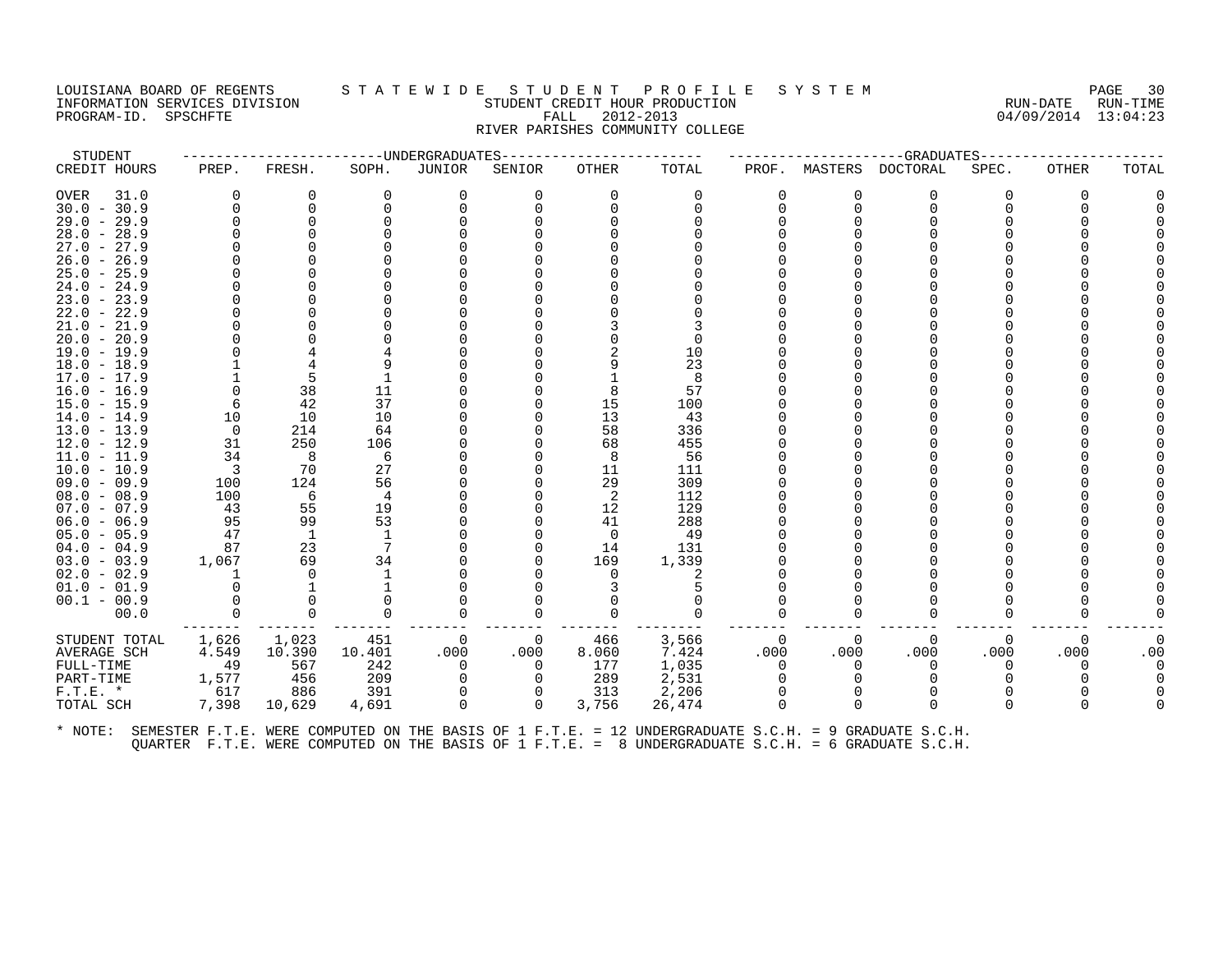## LOUISIANA BOARD OF REGENTS S T A T E W I D E S T U D E N T P R O F I L E S Y S T E M PAGE 30 INFORMATION SERVICES DIVISION SUNGLERICAL STUDENT CREDIT HOUR PRODUCTION SUNGLERIC RUN-DATE RUN-TIME<br>PROGRAM-ID. SPSCHFTE SUN-TIME SUNGLERICAL FALL 2012-2013 PROGRAM-ID. SPSCHFTE FALL 2012-2013 RIVER PARISHES COMMUNITY COLLEGE

| STUDENT                        |          |                    |          | -----UNDERGRADUATES |             |                |                                                                                                      |              |          | --GRADUATES     |          |          |       |
|--------------------------------|----------|--------------------|----------|---------------------|-------------|----------------|------------------------------------------------------------------------------------------------------|--------------|----------|-----------------|----------|----------|-------|
| CREDIT HOURS                   | PREP.    | FRESH.             | SOPH.    | JUNIOR              | SENIOR      | <b>OTHER</b>   | TOTAL                                                                                                | PROF.        | MASTERS  | <b>DOCTORAL</b> | SPEC.    | OTHER    | TOTAL |
| <b>OVER</b><br>31.0            |          | 0                  | 0        | 0                   | $\Omega$    | 0              | 0                                                                                                    | 0            | 0        | 0               | O        | 0        |       |
| $30.0 - 30.9$                  |          | 0                  | $\Omega$ | $\Omega$            | 0           | $\Omega$       | $\Omega$                                                                                             | <sup>n</sup> | $\Omega$ | 0               |          | U        |       |
| $29.0 - 29.9$                  |          | O                  |          |                     |             |                |                                                                                                      |              |          |                 |          |          |       |
| $28.0 - 28.9$                  |          |                    |          |                     |             |                |                                                                                                      |              |          |                 |          |          |       |
| $27.0 -$<br>27.9               |          |                    |          |                     |             |                |                                                                                                      |              |          |                 |          |          |       |
| $26.0 -$<br>26.9               |          |                    |          |                     |             |                |                                                                                                      |              |          |                 |          |          |       |
| $25.0 - 25.9$                  |          |                    |          |                     |             |                |                                                                                                      |              |          |                 |          |          |       |
| $24.0 -$<br>24.9               |          |                    |          |                     |             |                |                                                                                                      |              |          |                 |          |          |       |
| $23.0 -$<br>23.9               |          |                    |          |                     |             |                |                                                                                                      |              |          |                 |          |          |       |
| $22.0 - 22.9$                  |          |                    |          |                     |             |                |                                                                                                      |              |          |                 |          |          |       |
| $21.0 -$<br>21.9               |          |                    |          |                     |             |                |                                                                                                      |              |          |                 |          |          |       |
| $20.0 -$<br>20.9               |          |                    |          |                     |             |                |                                                                                                      |              |          |                 |          |          |       |
| $19.0 - 19.9$                  |          |                    |          |                     |             |                | 10                                                                                                   |              |          |                 |          |          |       |
| $18.0 - 18.9$                  |          |                    |          |                     |             |                | 23                                                                                                   |              |          |                 |          |          |       |
| $17.0 - 17.9$                  |          | 5                  |          |                     |             |                | 8                                                                                                    |              |          |                 |          |          |       |
| $16.0 - 16.9$                  |          | 38                 | 11       |                     |             | 8              | 57                                                                                                   |              |          |                 |          |          |       |
| $15.0 - 15.9$                  |          | 42                 | 37       |                     |             | 15             | 100                                                                                                  |              |          |                 |          |          |       |
| $14.0 - 14.9$                  | 10       | 10                 | 10       |                     |             | 13             | 43                                                                                                   |              |          |                 |          |          |       |
| $13.0 - 13.9$                  | $\Omega$ | 214                | 64       |                     |             | 58             | 336                                                                                                  |              |          |                 |          |          |       |
| $12.0 - 12.9$                  | 31       | 250                | 106      |                     |             | 68             | 455                                                                                                  |              |          |                 |          |          |       |
| $11.0 - 11.9$                  | 34       | 8                  | 6        |                     |             | 8              | 56                                                                                                   |              |          |                 |          |          |       |
| $10.0 - 10.9$                  | 3        | 70                 | 27       |                     |             | 11             | 111                                                                                                  |              |          |                 |          |          |       |
| $09.0 - 09.9$                  | 100      | 124                | 56       |                     |             | 29             | 309                                                                                                  |              |          |                 |          |          |       |
| $08.0 - 08.9$                  | 100      | 6                  | 4        |                     |             | -2             | 112                                                                                                  |              |          |                 |          |          |       |
| $07.0 - 07.9$                  | 43<br>95 | 55<br>99           | 19<br>53 |                     | ∩           | 12             | 129                                                                                                  |              |          |                 |          |          |       |
| $06.0 - 06.9$                  | 47       |                    | 1        |                     |             | 41<br>$\Omega$ | 288<br>49                                                                                            |              |          |                 |          |          |       |
| $05.0 - 05.9$<br>$04.0 - 04.9$ | 87       | <sup>1</sup><br>23 | 7        |                     | 0<br>U      | 14             | 131                                                                                                  |              |          |                 |          |          |       |
| $03.0 - 03.9$                  | 1,067    | 69                 | 34       |                     |             | 169            | 1,339                                                                                                |              |          |                 |          |          |       |
| $02.0 - 02.9$                  |          | $\Omega$           | -1       |                     |             |                | 2                                                                                                    |              |          |                 |          |          |       |
| $01.0 - 01.9$                  |          |                    |          |                     |             |                |                                                                                                      |              |          |                 |          |          |       |
| $00.1 - 00.9$                  |          | 0                  | $\Omega$ |                     |             |                |                                                                                                      |              |          |                 |          |          |       |
| 00.0                           |          | $\Omega$           | 0        |                     | 0           |                | $\Omega$                                                                                             |              | O        | $\Omega$        |          |          |       |
|                                |          |                    |          |                     |             |                |                                                                                                      |              |          |                 |          |          |       |
| STUDENT TOTAL                  | 1,626    | 1,023              | 451      | 0                   | 0           | 466            | 3,566                                                                                                | 0            | 0        | 0               | $\Omega$ | 0        |       |
| AVERAGE SCH                    | 4.549    | 10.390             | 10.401   | .000                | .000        | 8.060          | 7.424                                                                                                | .000         | .000     | .000            | .000     | .000     | .00   |
| FULL-TIME                      | 49       | 567                | 242      | $\Omega$            | $\Omega$    | 177            | 1,035                                                                                                | $\Omega$     | $\Omega$ | $\Omega$        | O        | $\Omega$ |       |
| PART-TIME                      | 1,577    | 456                | 209      |                     | $\Omega$    | 289            | 2,531                                                                                                |              |          |                 |          |          |       |
| $F.T.E.$ *                     | 617      | 886                | 391      | $\Omega$            | 0           | 313            | 2,206                                                                                                | $\Omega$     | $\Omega$ | $\Omega$        |          |          |       |
| TOTAL SCH                      | 7,398    | 10,629             | 4,691    | $\Omega$            | $\mathbf 0$ | 3,756          | 26,474                                                                                               | $\Omega$     | $\Omega$ | $\Omega$        |          | U        |       |
| * NOTE:                        |          |                    |          |                     |             |                | SEMESTER F.T.E. WERE COMPUTED ON THE BASIS OF 1 F.T.E. = 12 UNDERGRADUATE S.C.H. = 9 GRADUATE S.C.H. |              |          |                 |          |          |       |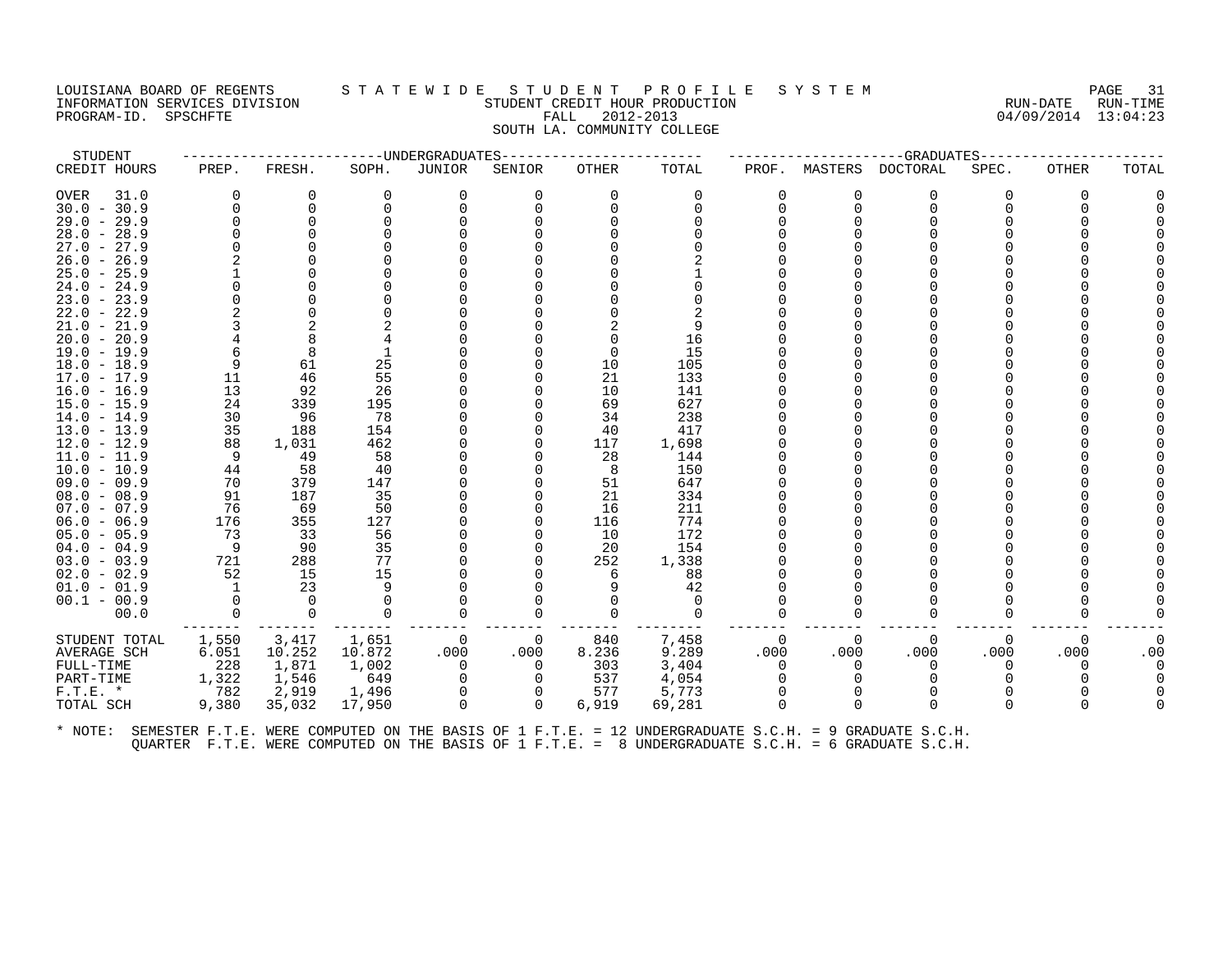#### LOUISIANA BOARD OF REGENTS STATEWIDE STUDENT PROFILE SYSTEM PAGE 31<br>INFORMATION SERVICES DIVISION STATEWIST STUDENT CREDIT HOUR PRODUCTION THE SYSTEM RUN-DATE RUN-TIME THE SERVICE SERVICES OF THE SERVICES DIVISION SERVICES DESCRIPTION STUDENT CREDIT HOUR PRODUCTION RUN-DATE RUN-<br>FALL 2012-2013 94/09/2014 13:04:23 PROGRAM-ID. SPSCHFTE FALL 2012-2013 SOUTH LA. COMMUNITY COLLEGE

| STUDENT       |          |                |          | -------UNDERGRADUATES |                |          |          |          |          | -----------GRADUATES---- |          |          |          |
|---------------|----------|----------------|----------|-----------------------|----------------|----------|----------|----------|----------|--------------------------|----------|----------|----------|
| CREDIT HOURS  | PREP.    | FRESH.         | SOPH.    | JUNIOR                | SENIOR         | OTHER    | TOTAL    | PROF.    |          | MASTERS DOCTORAL         | SPEC.    | OTHER    | TOTAL    |
| OVER<br>31.0  | $\Omega$ | 0              | 0        | 0                     | 0              | 0        | 0        |          | 0        | 0                        | O        | 0        |          |
| $30.0 - 30.9$ |          | 0              | ∩        | $\Omega$              | 0              | $\Omega$ | ∩        |          | 0        | $\Omega$                 |          | $\Omega$ |          |
| $29.0 - 29.9$ |          | $\Omega$       |          |                       |                |          |          |          |          |                          |          |          |          |
| $28.0 - 28.9$ |          |                |          |                       |                |          |          |          |          |                          |          |          |          |
| $27.0 - 27.9$ |          |                |          |                       |                |          |          |          |          |                          |          |          |          |
| $26.0 - 26.9$ |          |                |          |                       |                |          |          |          |          |                          |          |          |          |
| $25.0 - 25.9$ |          |                |          |                       |                |          |          |          |          |                          |          |          |          |
| $24.0 - 24.9$ |          |                |          |                       |                |          |          |          |          |                          |          |          |          |
| $23.0 - 23.9$ |          |                |          |                       |                |          |          |          |          |                          |          |          |          |
| $22.0 - 22.9$ |          |                |          |                       |                |          |          |          |          |                          |          |          |          |
| $21.0 - 21.9$ |          |                |          |                       |                |          |          |          |          |                          |          |          |          |
| $20.0 - 20.9$ |          |                |          |                       |                |          | 16       |          |          |                          |          |          |          |
| $19.0 - 19.9$ |          |                |          |                       |                | $\Omega$ | 15       |          |          |                          |          |          |          |
| $18.0 - 18.9$ | 9        | 61             | 25       |                       |                | 10       | 105      |          |          |                          |          |          |          |
| $17.0 - 17.9$ | 11       | 46             | 55       |                       |                | 21       | 133      |          |          |                          |          |          |          |
| $16.0 - 16.9$ | 13       | 92             | 26       |                       |                | 10       | 141      |          |          |                          |          |          |          |
| $15.0 - 15.9$ | 24       | 339            | 195      |                       |                | 69       | 627      |          |          |                          |          |          |          |
| $14.0 - 14.9$ | 30       | 96             | 78       |                       |                | 34       | 238      |          |          |                          |          |          |          |
| $13.0 - 13.9$ | 35       | 188            | 154      |                       |                | 40       | 417      |          |          |                          |          |          |          |
| 12.0 - 12.9   | 88       | 1,031          | 462      |                       |                | 117      | 1,698    |          |          |                          |          |          |          |
| $11.0 - 11.9$ | 9        | 49             | 58       |                       |                | 28       | 144      |          |          |                          |          |          |          |
| $10.0 - 10.9$ | 44       | 58             | 40       |                       |                | -8       | 150      |          |          |                          |          |          |          |
| $09.0 - 09.9$ | 70       | 379            | 147      |                       |                | 51       | 647      |          |          |                          |          |          |          |
| $08.0 - 08.9$ | 91       | 187            | 35       |                       |                | 21       | 334      |          |          |                          |          |          |          |
| $07.0 - 07.9$ | 76       | 69             | 50       |                       |                | 16       | 211      |          |          |                          |          |          |          |
| $06.0 - 06.9$ | 176      | 355            | 127      |                       |                | 116      | 774      |          |          |                          |          |          |          |
| $05.0 - 05.9$ | 73       | 33             | 56       |                       |                | 10       | 172      |          |          |                          |          |          |          |
| $04.0 - 04.9$ | - 9      | 90             | 35       |                       |                | 20       | 154      |          |          |                          |          |          |          |
| $03.0 - 03.9$ | 721      | 288            | 77       |                       |                | 252      | 1,338    |          |          |                          |          |          |          |
| $02.0 - 02.9$ | 52       | 15             | 15       |                       |                | 6        | 88       |          |          |                          |          |          |          |
| $01.0 - 01.9$ | -1       | 23             | 9        |                       |                | 9        | 42       |          |          |                          |          |          |          |
| $00.1 - 00.9$ |          | $\overline{0}$ | $\Omega$ |                       |                |          | $\Omega$ |          |          |                          |          |          |          |
| 00.0          | $\Omega$ | $\mathbf 0$    | $\Omega$ | $\Omega$              |                | $\Omega$ | $\Omega$ |          |          | $\Omega$                 |          |          |          |
| STUDENT TOTAL | 1,550    | 3,417          | 1,651    | 0                     | $\overline{0}$ | 840      | 7,458    | $\Omega$ | $\Omega$ | $\Omega$                 | 0        | 0        | $\Omega$ |
| AVERAGE SCH   | 6.051    | 10.252         | 10.872   | .000                  | .000           | 8.236    | 9.289    | .000     | .000     | .000                     | .000     | .000     | .00      |
| FULL-TIME     | 228      | 1,871          | 1,002    | 0                     | $\Omega$       | 303      | 3,404    |          | 0        | $\Omega$                 |          |          |          |
| PART-TIME     | 1,322    | 1,546          | 649      | 0                     | $\Omega$       | 537      | 4,054    |          |          | $\Omega$                 |          |          |          |
| $F.T.E. *$    | 782      | 2,919          | 1,496    | 0                     | $\Omega$       | 577      | 5,773    |          |          | O                        |          |          |          |
| TOTAL SCH     | 9,380    | 35,032         | 17,950   | $\Omega$              | $\Omega$       | 6,919    | 69,281   |          |          | $\Omega$                 | $\Omega$ | $\Omega$ |          |
|               |          |                |          |                       |                |          |          |          |          |                          |          |          |          |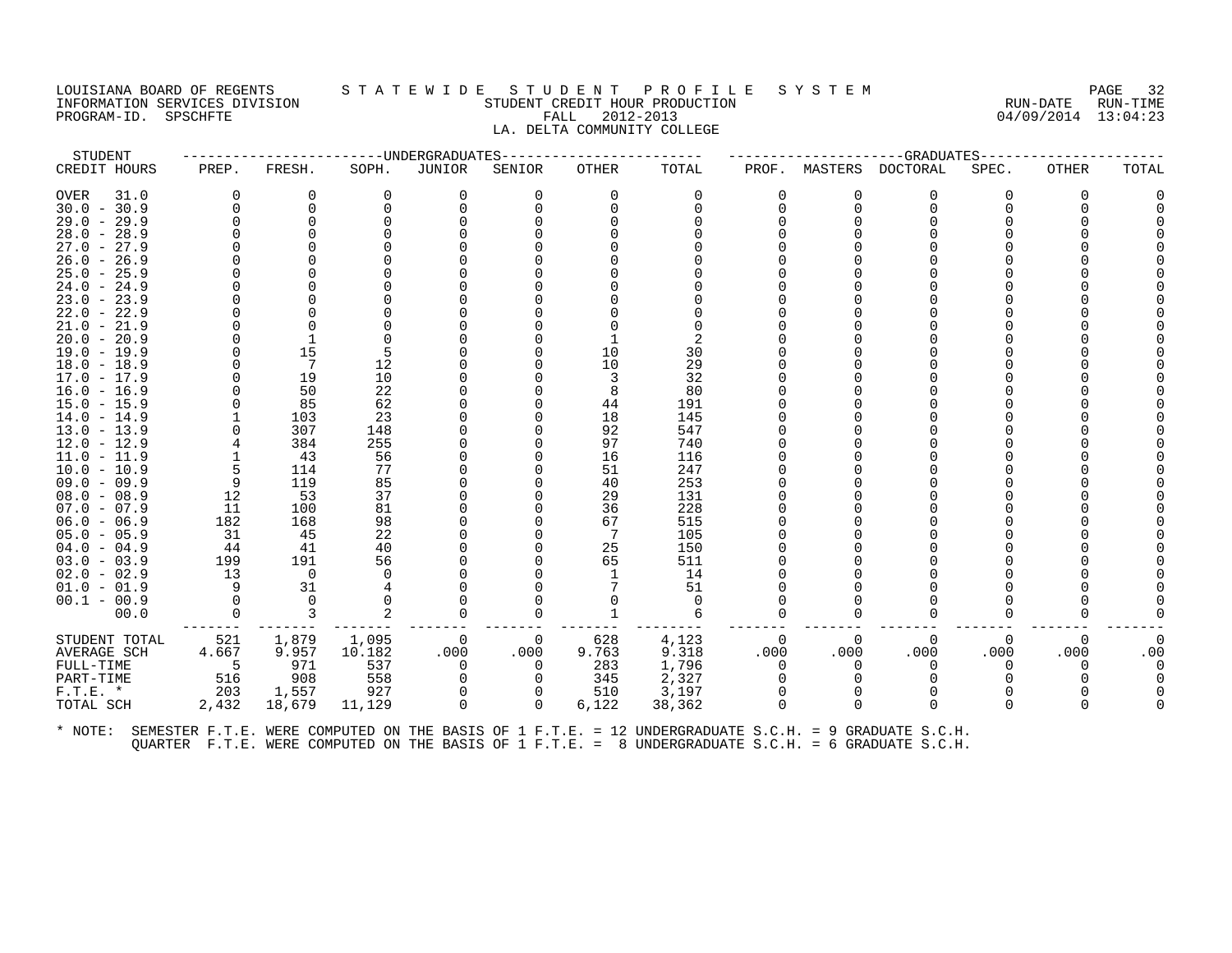PROGRAM-ID. SPSCHFTE

# LOUISIANA BOARD OF REGENTS STATEWIDE STUDENT PROFILE SYSTEM NAGE 32 INFORMATION SERVICES DIVISION SUNGLERICAL STUDENT CREDIT HOUR PRODUCTION SUNGLERIC RUN-DATE RUN-TIME<br>PROGRAM-ID. SPSCHFTE SUN-TIME SUNGLERICAL FALL 2012-2013 LA. DELTA COMMUNITY COLLEGE

| STUDENT                                                                                                      |           |                          |          | ---------------------DNDERGRADUATES |          | ----------------------- |            |          |          | -------------------GRADUATES------------- |          |              |          |
|--------------------------------------------------------------------------------------------------------------|-----------|--------------------------|----------|-------------------------------------|----------|-------------------------|------------|----------|----------|-------------------------------------------|----------|--------------|----------|
| CREDIT HOURS                                                                                                 | PREP.     | FRESH.                   | SOPH.    | JUNIOR                              | SENIOR   | OTHER                   | TOTAL      |          |          | PROF. MASTERS DOCTORAL                    | SPEC.    | <b>OTHER</b> | TOTAL    |
| OVER<br>31.0                                                                                                 | 0         | 0                        | 0        | 0                                   | 0        | 0                       | 0          | 0        | 0        | 0                                         | 0        | 0            |          |
| $30.0 - 30.9$                                                                                                | $\Omega$  | 0                        |          | 0                                   | 0        | $\Omega$                | $\Omega$   | 0        | $\Omega$ | $\Omega$                                  |          |              |          |
| $29.0 - 29.9$                                                                                                |           |                          |          |                                     |          |                         |            |          |          |                                           |          |              |          |
| $28.0 - 28.9$                                                                                                |           |                          |          |                                     |          |                         |            |          |          |                                           |          |              |          |
| $27.0 - 27.9$                                                                                                |           |                          |          |                                     |          |                         |            |          |          |                                           |          |              |          |
| $26.0 - 26.9$                                                                                                |           |                          |          |                                     |          |                         |            |          |          |                                           |          |              |          |
| $25.0 - 25.9$                                                                                                |           |                          |          |                                     |          |                         |            |          |          |                                           |          |              |          |
| $24.0 - 24.9$                                                                                                |           |                          |          |                                     |          |                         |            |          |          |                                           |          |              |          |
| $23.0 - 23.9$                                                                                                |           |                          |          |                                     |          |                         |            |          |          |                                           |          |              |          |
| $22.0 - 22.9$                                                                                                |           |                          |          |                                     |          |                         |            |          |          |                                           |          |              |          |
| $21.0 - 21.9$                                                                                                |           |                          |          |                                     |          |                         |            |          |          |                                           |          |              |          |
| $20.0 - 20.9$                                                                                                |           |                          |          |                                     |          |                         |            |          |          |                                           |          |              |          |
| 19.0 - 19.9                                                                                                  |           | 15                       | 5        |                                     |          | 10                      | 30         |          |          |                                           |          |              |          |
| $18.0 - 18.9$                                                                                                |           | 7                        | 12       |                                     |          | 10                      | 29         |          |          |                                           |          |              |          |
| $17.0 - 17.9$                                                                                                |           | 19                       | 10       |                                     |          | 3                       | 32         |          |          |                                           |          |              |          |
| 16.0 - 16.9                                                                                                  |           | 50                       | 22       |                                     |          | 8                       | 80         |          |          |                                           |          |              |          |
| 15.0 - 15.9                                                                                                  |           | 85                       | 62       |                                     |          | 44                      | 191        |          |          |                                           |          |              |          |
| $14.0 - 14.9$                                                                                                |           | 103                      | 23       |                                     |          | 18                      | 145        |          |          |                                           |          |              |          |
| $13.0 - 13.9$                                                                                                |           | 307                      | 148      |                                     |          | 92                      | 547        |          |          |                                           |          |              |          |
| 12.0 - 12.9                                                                                                  |           | 384                      | 255      |                                     |          | 97                      | 740        |          |          |                                           |          |              |          |
| $11.0 - 11.9$                                                                                                |           | 43                       | 56       |                                     |          | 16                      | 116        |          |          |                                           |          |              |          |
| $10.0 - 10.9$                                                                                                | 5         | 114                      | 77       |                                     |          | 51                      | 247        |          |          |                                           |          |              |          |
| $09.0 - 09.9$                                                                                                | 9         | 119                      | 85       |                                     |          | 40                      | 253        |          |          |                                           |          |              |          |
| $08.0 - 08.9$                                                                                                | 12        | 53                       | 37       |                                     |          | 29                      | 131        |          |          |                                           |          |              |          |
| $07.0 - 07.9$                                                                                                | 11        | 100                      | 81<br>98 |                                     |          | 36<br>67                | 228<br>515 |          |          |                                           |          |              |          |
| $06.0 - 06.9$                                                                                                | 182<br>31 | 168<br>45                | 22       |                                     |          | 7                       | 105        |          |          |                                           |          |              |          |
| $05.0 - 05.9$<br>$04.0 - 04.9$                                                                               | 44        | 41                       | 40       |                                     |          | 25                      | 150        |          |          |                                           |          |              |          |
| $03.0 - 03.9$                                                                                                | 199       | 191                      | 56       |                                     |          | 65                      | 511        |          |          |                                           |          |              |          |
| $02.0 - 02.9$                                                                                                | 13        | $\overline{\phantom{0}}$ | $\Omega$ |                                     |          | 1                       | 14         |          |          |                                           |          |              |          |
| $01.0 - 01.9$                                                                                                | 9         | 31                       |          |                                     |          |                         | 51         |          |          |                                           |          |              |          |
| $00.1 - 00.9$                                                                                                | $\Omega$  | $\Omega$                 |          |                                     |          |                         | $\Omega$   |          |          |                                           |          |              |          |
| 00.0                                                                                                         | 0         | 3                        |          |                                     | 0        |                         | 6          |          |          |                                           |          |              |          |
|                                                                                                              |           |                          |          |                                     |          |                         |            |          |          |                                           |          |              |          |
| STUDENT TOTAL                                                                                                | 521       | 1,879                    | 1,095    | 0                                   | $\Omega$ | 628                     | 4,123      | $\Omega$ | $\Omega$ | $\Omega$                                  | $\Omega$ | 0            | 0        |
| AVERAGE SCH                                                                                                  | 4.667     | 9.957                    | 10.182   | .000                                | .000     | 9.763                   | 9.318      | .000     | .000     | .000                                      | .000     | .000         | .00      |
| FULL-TIME                                                                                                    | $-5$      | 971                      | 537      | $\Omega$                            | $\Omega$ | 283                     | 1,796      | $\Omega$ | 0        | $\Omega$                                  | $\Omega$ | $\Omega$     | $\Omega$ |
| PART-TIME                                                                                                    | 516       | 908                      | 558      | 0                                   | $\Omega$ | 345                     | 2,327      |          |          |                                           |          |              |          |
| $F.T.E. *$                                                                                                   | 203       | 1,557                    | 927      | $\Omega$                            | 0        | 510                     | 3,197      | $\Omega$ | $\Omega$ | $\Omega$                                  |          |              |          |
| TOTAL SCH                                                                                                    | 2,432     | 18,679                   | 11,129   | $\Omega$                            | $\Omega$ | 6,122                   | 38,362     |          | $\Omega$ | $\Omega$                                  |          |              |          |
| * NOTE: SEMESTER F.T.E. WERE COMPUTED ON THE BASIS OF 1 F.T.E. = 12 UNDERGRADUATE S.C.H. = 9 GRADUATE S.C.H. |           |                          |          |                                     |          |                         |            |          |          |                                           |          |              |          |

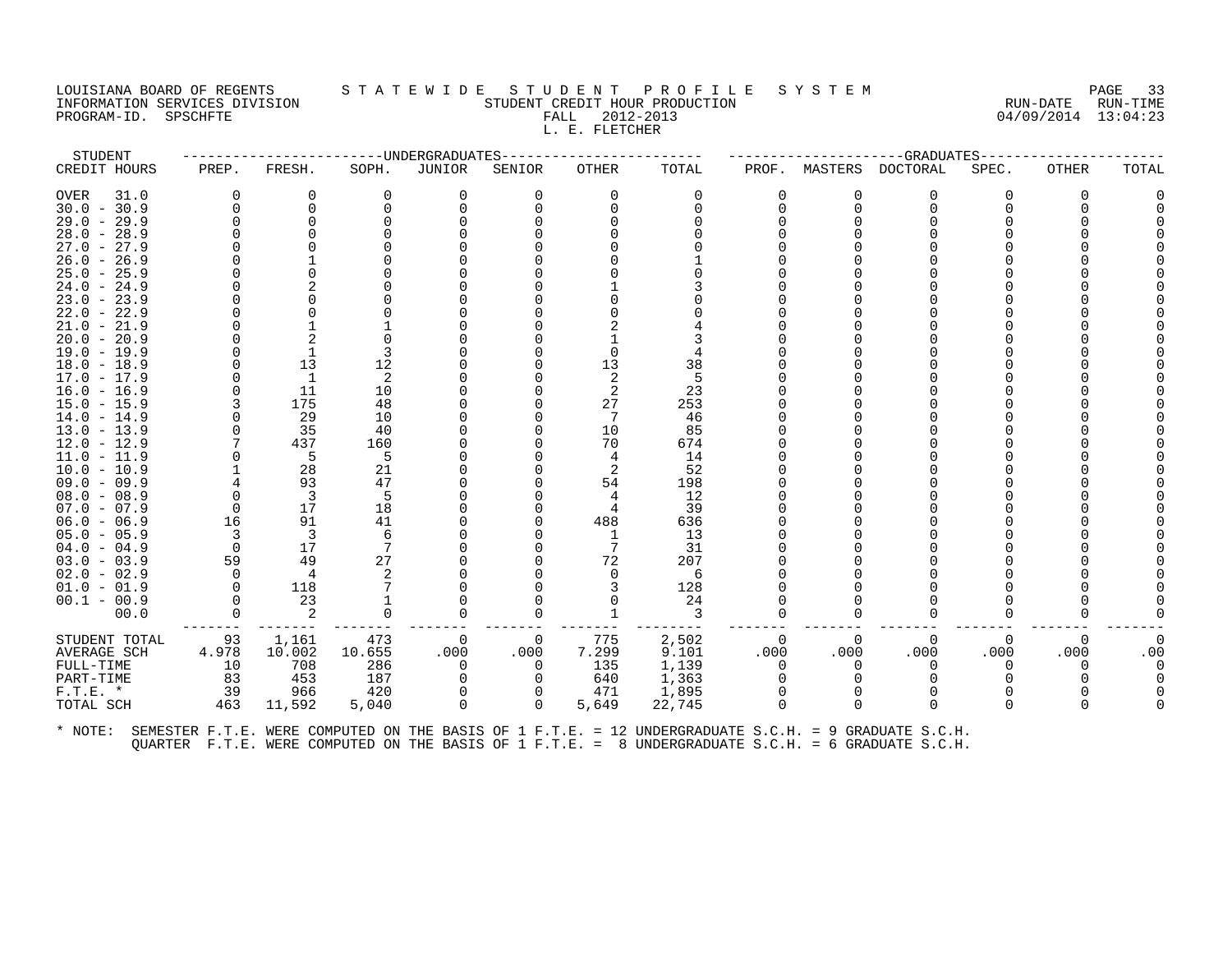## LOUISIANA BOARD OF REGENTS STATEWIDE STUDENT PROFILE SYSTEM PAGE 33<br>INFORMATION SERVICES DIVISION STATEWIST STUDENT CREDIT HOUR PRODUCTION PROFIT (1999) 2014-02-014-02-01-02-01-0 INFORMATION STUDENT CREDIT HOUR PRODUCTION STUDENT CREDIT HOUR PRODUCTION RUN-DATE RUN-TIME<br>FALL 2012-2013 94/09/2014 13:04:23 PROGRAM-ID. SPSCHFTE FALL 2012-2013 L. E. FLETCHER

STUDENT ------------------------UNDERGRADUATES------------------------ ---------------------GRADUATES----------------------

| CREDIT HOURS  | PREP.    | FRESH.         | SOPH.    | JUNIOR   | SENIOR   | OTHER | TOTAL    | PROF.    | MASTERS  | DOCTORAL     | SPEC.    | OTHER    | TOTAL |
|---------------|----------|----------------|----------|----------|----------|-------|----------|----------|----------|--------------|----------|----------|-------|
| OVER<br>31.0  | 0        | 0              | $\Omega$ | 0        | $\Omega$ | 0     | 0        | 0        | 0        | 0            | 0        | 0        |       |
| $30.0 - 30.9$ | $\Omega$ | $\mathbf 0$    |          |          |          |       | $\Omega$ | U        | $\Omega$ | $\Omega$     |          |          |       |
| $29.0 - 29.9$ |          |                |          |          |          |       |          |          |          |              |          |          |       |
| $28.0 - 28.9$ |          |                |          |          |          |       |          |          |          |              |          |          |       |
| $27.0 - 27.9$ |          |                |          |          |          |       |          |          |          |              |          |          |       |
| $26.0 - 26.9$ |          |                |          |          |          |       |          |          |          |              |          |          |       |
| $25.0 - 25.9$ |          |                |          |          |          |       |          |          |          |              |          |          |       |
| $24.0 - 24.9$ |          |                |          |          |          |       |          |          |          |              |          |          |       |
| $23.0 - 23.9$ |          |                |          |          |          |       |          |          |          |              |          |          |       |
| $22.0 - 22.9$ |          |                |          |          |          |       |          |          |          |              |          |          |       |
| $21.0 - 21.9$ |          |                |          |          |          |       |          |          |          |              |          |          |       |
| $20.0 - 20.9$ |          |                |          |          |          |       |          |          |          |              |          |          |       |
| $19.0 - 19.9$ |          |                |          |          |          |       |          |          |          |              |          |          |       |
| $18.0 - 18.9$ |          | 13             | 12       |          |          | 13    | 38       |          |          |              |          |          |       |
| $17.0 - 17.9$ |          |                | 2        |          |          |       |          |          |          |              |          |          |       |
| $16.0 - 16.9$ |          | 11             | 10       |          |          |       | 23       |          |          |              |          |          |       |
| $15.0 - 15.9$ |          | 175            | 48       |          |          | 27    | 253      |          |          |              |          |          |       |
| $14.0 - 14.9$ |          | 29             | 10       |          |          |       | 46       |          |          |              |          |          |       |
| $13.0 - 13.9$ |          | 35             | 40       |          |          | 10    | 85       |          |          |              |          |          |       |
| $12.0 - 12.9$ |          | 437            | 160      |          |          | 70    | 674      |          |          |              |          |          |       |
| 11.0 - 11.9   |          | 5              | 5        |          |          |       | 14       |          |          |              |          |          |       |
| $10.0 - 10.9$ |          | 28             | 21       |          |          |       | 52       |          |          |              |          |          |       |
| $09.0 - 09.9$ |          | 93             | 47       |          |          | 54    | 198      |          |          |              |          |          |       |
| $08.0 - 08.9$ | $\Omega$ | 3              | .5       |          |          |       | 12       |          |          |              |          |          |       |
| $07.0 - 07.9$ | 0        | 17             | 18       |          |          |       | 39       |          |          |              |          |          |       |
| $06.0 - 06.9$ | 16       | 91             | 41       |          |          | 488   | 636      |          |          |              |          |          |       |
| $05.0 - 05.9$ | 3        | 3              | 6        |          |          |       | 13       |          |          |              |          |          |       |
| $04.0 - 04.9$ | $\Omega$ | 17             |          |          |          |       | 31       |          |          |              |          |          |       |
| $03.0 - 03.9$ | 59       | 49             | 27       |          |          | 72    | 207      |          |          |              |          |          |       |
| $02.0 - 02.9$ | $\Omega$ | $\overline{4}$ |          |          |          |       | 6        |          |          |              |          |          |       |
| $01.0 - 01.9$ | $\Omega$ | 118            |          |          |          |       | 128      |          |          |              |          |          |       |
| $00.1 - 00.9$ | $\Omega$ | 23             |          |          |          |       | 24       |          |          |              |          |          |       |
| 00.0          | $\Omega$ | 2              | 0        | ∩        |          |       | 3        | 0        | ∩        | $\Omega$     | O        |          |       |
| STUDENT TOTAL | 93       | 1,161          | 473      | 0        | 0        | 775   | 2,502    | $\Omega$ | $\Omega$ | $\Omega$     | $\Omega$ | $\Omega$ |       |
| AVERAGE SCH   | 4.978    | 10.002         | 10.655   | .000     | .000     | 7.299 | 9.101    | .000     | .000     | .000         | .000     | .000     | .00   |
| FULL-TIME     | 10       | 708            | 286      | $\Omega$ | $\Omega$ | 135   | 1,139    | $\Omega$ | 0        | $\Omega$     | 0        | O        |       |
| PART-TIME     | 83       | 453            | 187      |          |          | 640   | 1,363    | O        |          | <sup>0</sup> |          |          |       |
| $F.T.E. *$    | 39       | 966            | 420      |          |          | 471   | 1,895    |          |          |              |          |          |       |
| TOTAL SCH     | 463      | 11,592         | 5,040    | $\Omega$ | $\Omega$ | 5,649 | 22,745   | U        | $\Omega$ | $\Omega$     | $\Omega$ | ∩        |       |
|               |          |                |          |          |          |       |          |          |          |              |          |          |       |
|               |          |                |          |          |          |       |          |          |          |              |          |          |       |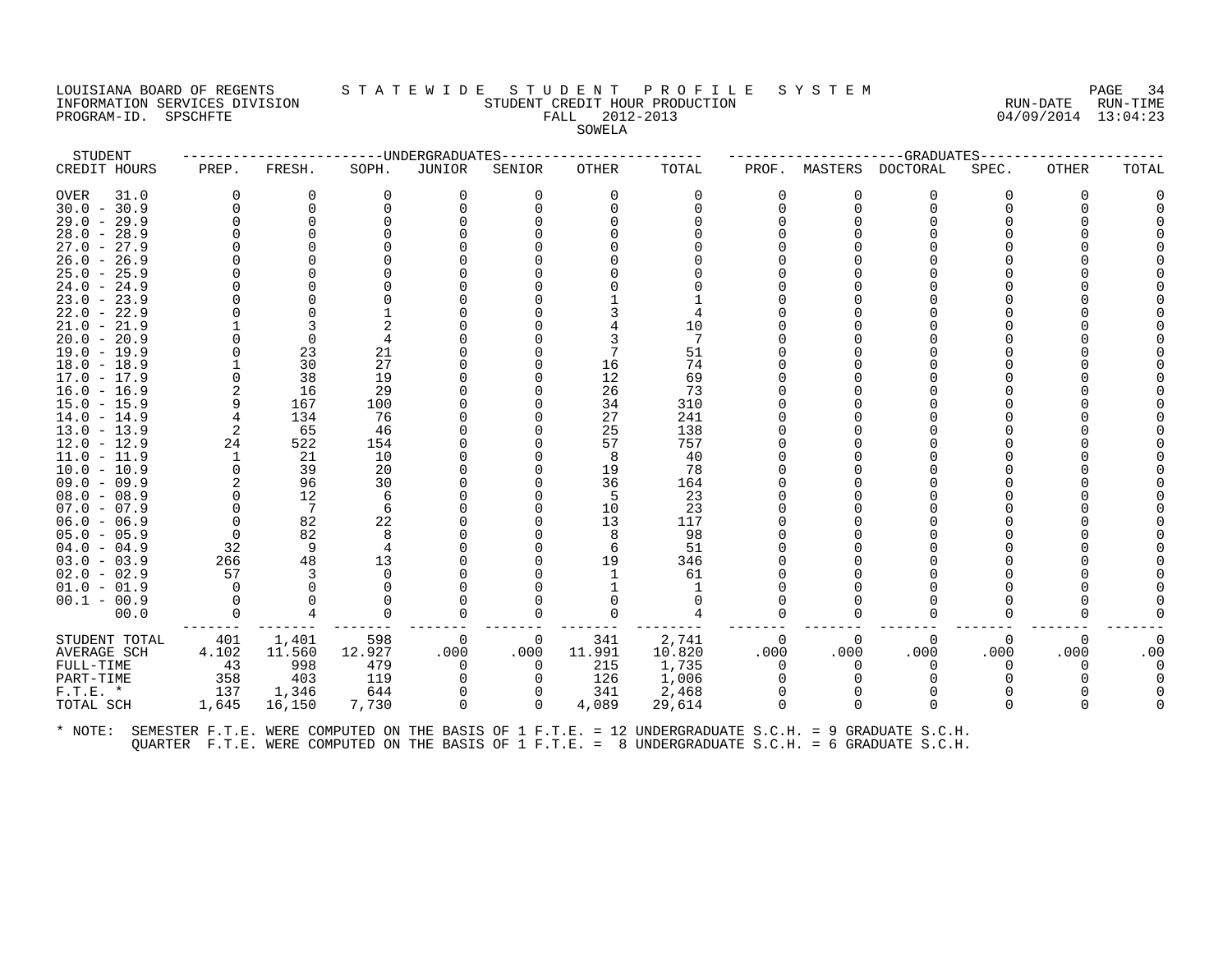# LOUISIANA BOARD OF REGENTS STATEWIDE STUDENT PROFILE SYSTEM PAGE 34<br>INFORMATION SERVICES DIVISION STUDENT CREDIT HOUR PRODUCTION FORD PROMENT SERVICES RUN-TIME INFORMATION SERVICES DIVISION STUDENT CREDIT HOUR PRODUCTION RUN-DATE RUN-TIME PROGRAM-ID. SPSCHFTE FALL 2012-2013

| STUDENT                        |          |                 | ---------------UNDERGRADUATES |          |          |          |              |          |              | -----------------GRADUATES-- |          |       |          |
|--------------------------------|----------|-----------------|-------------------------------|----------|----------|----------|--------------|----------|--------------|------------------------------|----------|-------|----------|
| CREDIT HOURS                   | PREP.    | FRESH.          | SOPH.                         | JUNIOR   | SENIOR   | OTHER    | TOTAL        | PROF.    |              | MASTERS DOCTORAL             | SPEC.    | OTHER | TOTAL    |
| OVER<br>31.0                   | $\Omega$ | 0               | 0                             | 0        | 0        | $\Omega$ | 0            | $\Omega$ | 0            | O                            |          | ∩     |          |
| $30.0 - 30.9$                  | $\Omega$ | 0               | $\Omega$                      |          |          |          | <sup>n</sup> | $\Omega$ | O            |                              |          |       |          |
| $29.0 - 29.9$                  | ∩        | $\Omega$        |                               |          |          |          |              |          |              |                              |          |       |          |
| $28.0 - 28.9$                  |          | $\Omega$        |                               |          |          |          |              |          |              |                              |          |       |          |
| $27.0 - 27.9$                  |          |                 |                               |          |          |          |              |          |              |                              |          |       |          |
| $26.0 - 26.9$                  |          |                 |                               |          |          |          |              |          |              |                              |          |       |          |
| $25.0 - 25.9$                  |          |                 |                               |          |          |          |              |          |              |                              |          |       |          |
| $24.0 - 24.9$                  |          |                 |                               |          |          |          |              |          |              |                              |          |       |          |
| $23.0 - 23.9$                  |          |                 |                               |          |          |          |              |          |              |                              |          |       |          |
| $22.0 - 22.9$                  |          |                 |                               |          |          |          |              |          |              |                              |          |       |          |
| $21.0 - 21.9$                  |          |                 |                               |          |          |          | 10           |          |              |                              |          |       |          |
| $20.0 - 20.9$                  |          | $\Omega$        |                               |          |          |          | 7            |          |              |                              |          |       |          |
| $19.0 - 19.9$                  |          | 23              | 21                            |          |          |          | 51           |          |              |                              |          |       |          |
| $18.0 - 18.9$                  |          | 30              | 27                            |          |          | 16       | 74           |          |              |                              |          |       |          |
| $17.0 - 17.9$                  | $\Omega$ | 38              | 19                            |          |          | 12       | 69           |          |              |                              |          |       |          |
| $16.0 - 16.9$                  |          | 16              | 29                            |          |          | 26       | 73           |          |              |                              |          |       |          |
| $15.0 - 15.9$                  | 9        | 167             | 100                           |          |          | 34       | 310          |          |              |                              |          |       |          |
| $14.0 - 14.9$                  | 4        | 134             | 76                            |          |          | 27       | 241          |          |              |                              |          |       |          |
| $13.0 - 13.9$                  | 2<br>24  | 65              | 46                            |          |          | 25       | 138          |          |              |                              |          |       |          |
| $12.0 - 12.9$                  | 1        | 522<br>21       | 154<br>10                     |          |          | 57       | 757<br>40    |          |              |                              |          |       |          |
| $11.0 - 11.9$<br>$10.0 - 10.9$ | $\Omega$ | 39              | 20                            |          |          | 8<br>19  | 78           |          |              |                              |          |       |          |
| $09.0 - 09.9$                  |          | 96              | 30                            |          |          | 36       | 164          |          |              |                              |          |       |          |
| $08.0 - 08.9$                  | $\Omega$ | 12              | 6                             |          |          | 5        | 23           |          |              |                              |          |       |          |
| $07.0 - 07.9$                  | $\Omega$ | $7\phantom{.0}$ | 6                             |          |          | 10       | 23           |          |              |                              |          |       |          |
| $06.0 - 06.9$                  | 0        | 82              | 22                            |          |          | 13       | 117          |          |              |                              |          |       |          |
| $05.0 - 05.9$                  | 0        | 82              |                               |          |          | 8        | 98           |          |              |                              |          |       |          |
| $04.0 - 04.9$                  | 32       | - 9             | 4                             |          |          | 6        | 51           |          |              |                              |          |       |          |
| $03.0 - 03.9$                  | 266      | 48              | 13                            |          |          | 19       | 346          |          |              |                              |          |       |          |
| $02.0 - 02.9$                  | 57       | 3               |                               |          |          |          | 61           |          |              |                              |          |       |          |
| $01.0 - 01.9$                  | $\Omega$ | $\Omega$        |                               |          |          |          | 1            |          |              |                              |          |       |          |
| $00.1 - 00.9$                  | $\Omega$ |                 |                               |          |          |          | $\Omega$     |          |              |                              |          |       |          |
| 00.0                           | $\Omega$ | $\overline{4}$  |                               |          |          | $\Omega$ | 4            | $\Omega$ |              |                              |          |       |          |
| STUDENT TOTAL                  | 401      | 1,401           | 598                           | 0        | 0        | 341      | 2,741        | 0        | 0            | 0                            | 0        | 0     | $\Omega$ |
| <b>AVERAGE SCH</b>             | 4.102    | 11.560          | 12.927                        | .000     | .000     | 11.991   | 10.820       | .000     | .000         | .000                         | .000     | .000  | .00      |
| FULL-TIME                      | 43       | 998             | 479                           | $\Omega$ | $\Omega$ | 215      | 1,735        | $\Omega$ | 0            | $\Omega$                     | $\Omega$ | 0     |          |
| PART-TIME                      | 358      | 403             | 119                           |          | 0        | 126      | 1,006        | $\Omega$ |              |                              |          |       |          |
| $F.T.E. *$                     | 137      | 1,346           | 644                           |          |          | 341      | 2,468        | $\Omega$ |              |                              |          |       |          |
| TOTAL SCH                      | 1,645    | 16,150          | 7,730                         | $\Omega$ | $\Omega$ | 4,089    | 29,614       | $\cap$   | <sup>n</sup> |                              |          |       |          |
|                                |          |                 |                               |          |          |          |              |          |              |                              |          |       |          |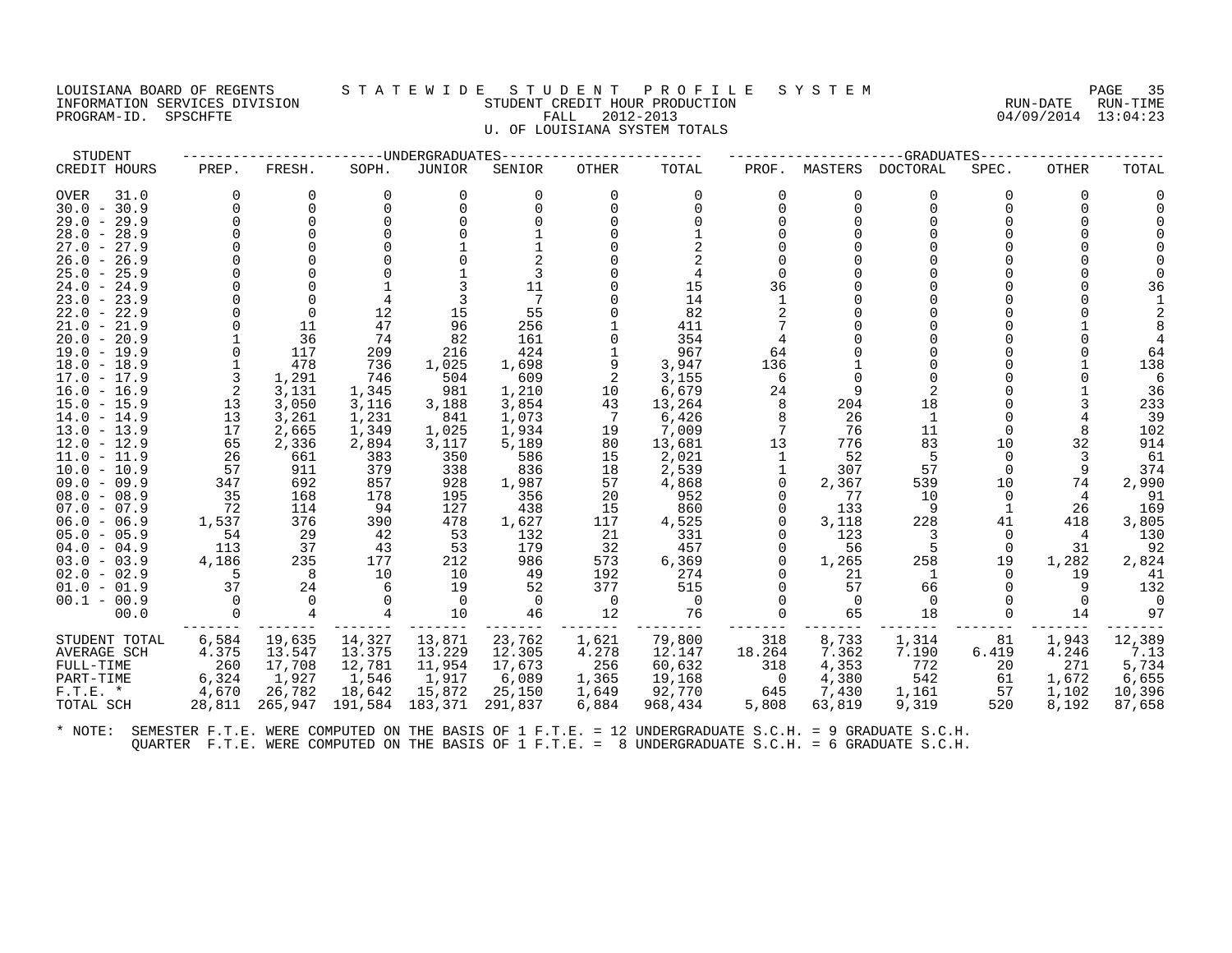#### LOUISIANA BOARD OF REGENTS S T A T E W I D E S T U D E N T P R O F I L E S Y S T E M PAGE 35 INFORMATION SERVICES DIVISION STUDENT CREDIT HOUR PRODUCTION RUN-DATE RUN-TIME PROGRAM-ID. SPSCHFTE FALL 2012-2013 04/09/2014 13:04:23 U. OF LOUISIANA SYSTEM TOTALS

STUDENT ------------------------UNDERGRADUATES------------------------ ---------------------GRADUATES---------------------- CREDIT HOURS PREP. FRESH. SOPH. JUNIOR SENIOR OTHER TOTAL PROF. MASTERS DOCTORAL SPEC. OTHER TOTAL OVER 31.0 0 0 0 0 0 0 0 0 0 0 0 0 0 30.0 - 30.9 0 0 0 0 0 0 0 0 0 0 0 0 0 29.0 - 29.9 0 0 0 0 0 0 0 0 0 0 0 0 0 28.0 - 28.9 0 0 0 0 1 0 1 0 0 0 0 0 0 27.0 - 27.9 0 0 0 1 1 0 2 0 0 0 0 0 0 26.0 - 26.9 0 0 0 0 2 0 2 0 0 0 0 0 0 25.0 - 25.9 0 0 0 1 3 0 4 0 0 0 0 0 0 24.0 - 24.9 0 0 1 3 11 0 15 36 0 0 0 0 36 23.0 - 23.9 0 0 4 3 7 0 14 1 0 0 0 0 1 22.0 - 22.9 0 0 12 15 55 0 82 2 0 0 0 0 2 21.0 - 21.9 0 11 47 96 256 1 411 7 0 0 0 1 8 20.0 - 20.9 1 36 74 82 161 0 354 4 0 0 0 0 4 19.0 - 19.9 0 117 209 216 424 1 967 64 0 0 0 0 64 18.0 - 18.9 1 478 736 1,025 1,698 9 3,947 136 1 0 0 1 138 17.0 - 17.9 3 1,291 746 504 609 2 3,155 6 0 0 0 0 6 16.0 - 16.9 2 3,131 1,345 981 1,210 10 6,679 24 9 2 0 1 36 15.0 - 15.9 13 3,050 3,116 3,188 3,854 43 13,264 8 204 18 0 3 233 14.0 - 14.9 13 3,261 1,231 841 1,073 7 6,426 8 26 1 0 4 39 13.0 - 13.9 17 2,665 1,349 1,025 1,934 19 7,009 7 76 11 0 8 102 12.0 - 12.9 65 2,336 2,894 3,117 5,189 80 13,681 13 776 83 10 32 914 11.0 - 11.9 26 661 383 350 586 15 2,021 1 52 5 0 3 61 10.0 - 10.9 57 911 379 338 836 18 2,539 1 307 57 0 9 374 09.0 - 09.9 347 692 857 928 1,987 57 4,868 0 2,367 539 10 74 2,990 08.0 - 08.9 35 168 178 195 356 20 952 0 77 10 0 4 91 07.0 - 07.9 72 114 94 127 438 15 860 0 133 9 1 26 169 06.0 – 06.9 1,537 376 390 478 1,627 117 4,525 0 3,118 228 41 418 3,805<br>05.0 – 05.9 54 29 42 53 04.0 - 04.9 113 37 43 53 179 32 457 0 56 5 0 31 92 03.0 - 03.9 4,186 235 177 212 986 573 6,369 0 1,265 258 19 1,282 2,824 02.0 - 02.9 5 8 10 10 49 192 274 0 21 1 0 19 41 01.0 - 01.9 37 24 6 19 52 377 515 0 57 66 0 9 132 00.1 - 00.9 0 0 0 0 0 0 0 0 0 0 0 0 0 00.0 0 4 4 10 46 12 76 0 65 18 0 14 97 ------- ------- ------- ------- ------- ------- -------- ------- ------- ------- ------- ------- ------- STUDENT TOTAL 6,584 19,635 14,327 13,871 23,762 1,621 79,800 318 8,733 1,314 81 1,943 12,389 AVERAGE SCH 4.375 13.547 13.375 13.229 12.305 4.278 12.147 18.264 7.362 7.190 6.419 4.246 7.13 FULL-TIME 260 17,708 12,781 11,954 17,673 256 60,632 318 4,353 772 20 271 5,734 PART-TIME 6,324 1,927 1,546 1,917 6,089 1,365 19,168 0 4,380 542 61 1,672 6,655 F.T.E. \* 4,670 26,782 18,642 15,872 25,150 1,649 92,770 645 7,430 1,161 57 1,102 10,396 TOTAL SCH 28,811 265,947 191,584 183,371 291,837 6,884 968,434 5,808 63,819 9,319 520 8,192 87,658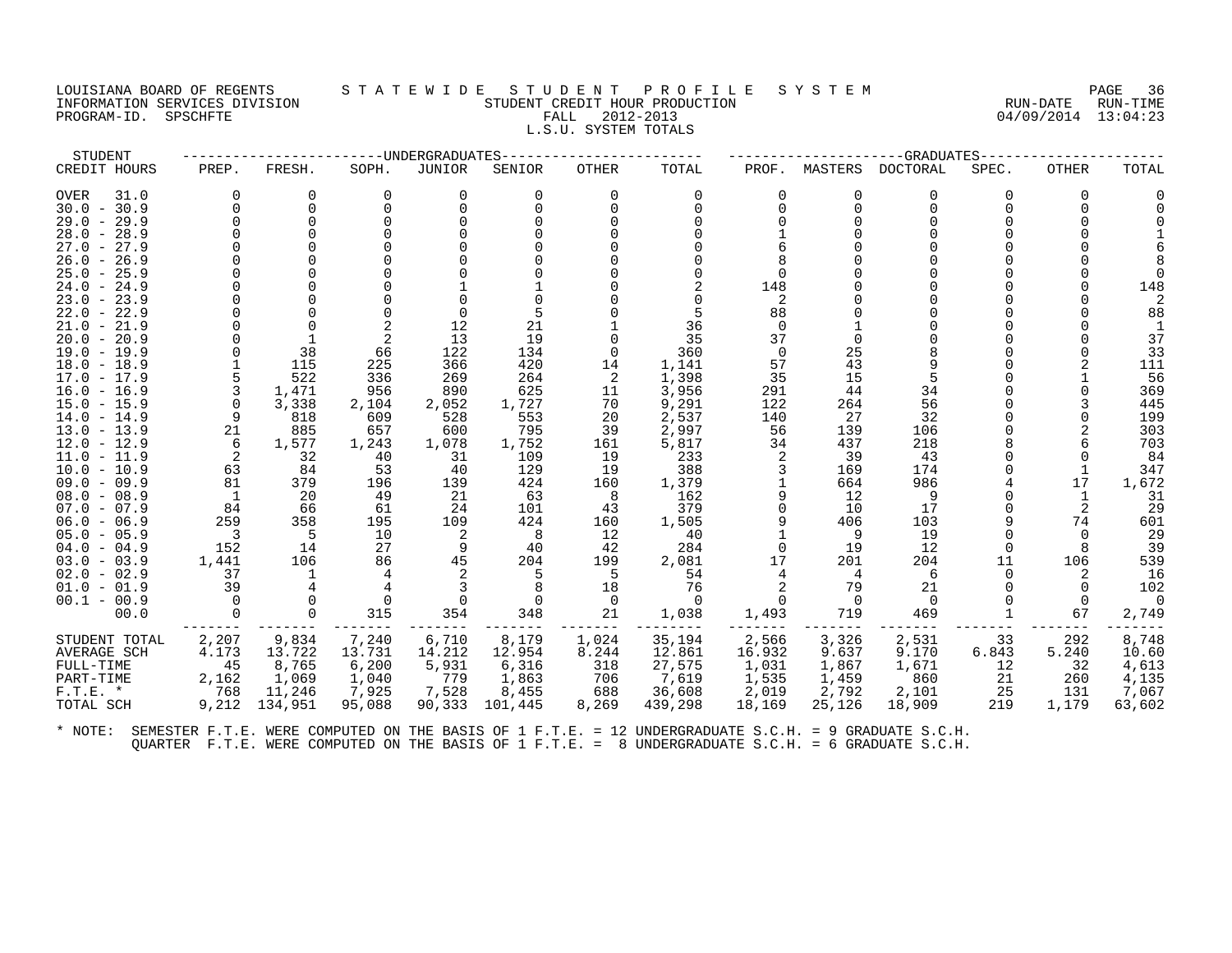## LOUISIANA BOARD OF REGENTS STATEWIDE STUDENT PROFILE SYSTEM NAGE 36 INFORMATION SERVICES DIVISION SUN-TIME STUDENT CREDIT HOUR PRODUCTION SUNGLE RUN-DATE RUN-TIME<br>PROGRAM-ID. SPSCHFTE SERVICES SUNGLESS SUNGLESS FALL 2012-2013 PROGRAM-ID. SPSCHFTE FALL 2012-2013 L.S.U. SYSTEM TOTALS

| STUDENT                        |          |            |             | ---UNDERGRADUATES |            |              |              |          |              | -GRADUATES |       |       |            |
|--------------------------------|----------|------------|-------------|-------------------|------------|--------------|--------------|----------|--------------|------------|-------|-------|------------|
| CREDIT HOURS                   | PREP.    | FRESH.     | SOPH.       | JUNIOR            | SENIOR     | <b>OTHER</b> | TOTAL        | PROF.    | MASTERS      | DOCTORAL   | SPEC. | OTHER | TOTAL      |
| OVER<br>31.0                   |          |            |             | 0                 | 0          | 0            | 0            | $\Omega$ | <sup>0</sup> | 0          |       |       |            |
| $30.0 - 30.9$                  |          |            |             |                   |            |              |              |          | $\Omega$     | $\Omega$   |       |       |            |
| $29.0 - 29.9$                  |          |            |             |                   |            |              |              |          |              |            |       |       |            |
| $28.0 - 28.9$                  |          |            |             |                   |            |              |              |          |              |            |       |       |            |
| $27.0 - 27.9$                  |          |            |             |                   |            |              |              |          |              |            |       |       |            |
| $26.0 -$<br>26.9               |          |            |             |                   |            |              |              |          |              |            |       |       |            |
| $25.0 - 25.9$                  |          |            |             |                   |            |              |              |          |              |            |       |       |            |
| $24.0 - 24.9$                  |          |            |             |                   |            |              |              | 148      |              |            |       |       | 148        |
| $23.0 - 23.9$                  |          |            |             |                   |            |              |              | 2        |              |            |       |       |            |
| 22.0 - 22.9                    |          |            |             | $\Omega$          |            |              |              | 88       |              |            |       |       | 88         |
| $21.0 - 21.9$                  |          |            |             | 12                | 21         |              | 36           | $\Omega$ |              |            |       |       |            |
| $20.0 - 20.9$                  |          |            | 2           | 13                | 19         |              | 35           | 37       |              |            |       |       | 37         |
| $19.0 - 19.9$                  |          | 38         | 66          | 122               | 134        | $\Omega$     | 360          | $\Omega$ | 25           |            |       |       | 33         |
| $18.0 - 18.9$                  |          | 115        | 225         | 366               | 420        | 14           | 1,141        | 57       | 43           |            |       |       | 111        |
| $17.0 - 17.9$                  |          | 522        | 336         | 269               | 264        | 2            | 1,398        | 35       | 15           |            |       |       | 56         |
| $16.0 - 16.9$                  | 3        | 1,471      | 956         | 890               | 625        | 11           | 3,956        | 291      | 44           | 34         |       |       | 369        |
| 15.0 - 15.9                    | $\Omega$ | 3,338      | 2,104       | 2,052             | 1,727      | 70           | 9,291        | 122      | 264          | 56         |       |       | 445        |
| $14.0 - 14.9$                  | 9<br>21  | 818<br>885 | 609<br>657  | 528<br>600        | 553<br>795 | 20           | 2,537        | 140      | 27           | 32         |       |       | 199        |
| $13.0 - 13.9$<br>$12.0 - 12.9$ | 6        | 1,577      |             | 1,078             | 1,752      | 39           | 2,997        | 56       | 139<br>437   | 106<br>218 |       |       | 303<br>703 |
| 11.0 - 11.9                    | 2        | 32         | 1,243<br>40 | 31                | 109        | 161<br>19    | 5,817<br>233 | 34<br>2  | 39           | 43         |       |       | 84         |
| $10.0 - 10.9$                  | 63       | 84         | 53          | 40                | 129        | 19           | 388          |          | 169          | 174        |       |       | 347        |
| $09.0 - 09.9$                  | 81       | 379        | 196         | 139               | 424        | 160          | 1,379        |          | 664          | 986        |       | 17    | 1,672      |
| $08.0 - 08.9$                  |          | 20         | 49          | -21               | 63         | -8           | 162          | 9        | 12           | 9          |       |       | 31         |
| $07.0 - 07.9$                  | 84       | 66         | 61          | 24                | 101        | 43           | 379          | $\Omega$ | 10           | 17         |       | 2     | 29         |
| $06.0 - 06.9$                  | 259      | 358        | 195         | 109               | 424        | 160          | 1,505        |          | 406          | 103        |       | 74    | 601        |
| $05.0 - 05.9$                  | - 3      | -5         | 10          | 2                 | -8         | 12           | 40           |          | - 9          | 19         |       |       | 29         |
| $04.0 - 04.9$                  | 152      | 14         | 27          | 9                 | 40         | 42           | 284          | $\Omega$ | 19           | 12         |       |       | 39         |
| $03.0 - 03.9$                  | 1,441    | 106        | 86          | 45                | 204        | 199          | 2,081        | 17       | 201          | 204        | 11    | 106   | 539        |
| $02.0 - 02.9$                  | 37       |            |             |                   | 5          | 5            | 54           |          | 4            | 6          |       |       | 16         |
| $01.0 - 01.9$                  | 39       |            |             |                   |            | 18           | 76           |          | 79           | 21         |       |       | 102        |
| $00.1 - 00.9$                  | 0        |            |             | 0                 |            | 0            | $\Omega$     |          | $\Omega$     | $\Omega$   |       |       |            |
| 00.0                           |          | $\Omega$   | 315         | 354               | 348        | 21           | 1,038        | 1,493    | 719          | 469        |       | 67    | 2,749      |
| STUDENT TOTAL                  | 2,207    | 9,834      | 7,240       | 6,710             | 8,179      | 1,024        | 35,194       | 2,566    | 3,326        | 2,531      | 33    | 292   | 8,748      |
| AVERAGE SCH                    | 4.173    | 13.722     | 13.731      | 14.212            | 12.954     | 8.244        | 12.861       | 16.932   | 9.637        | 9.170      | 6.843 | 5.240 | 10.60      |
| FULL-TIME                      | 45       | 8,765      | 6,200       | 5,931             | 6,316      | 318          | 27,575       | 1,031    | 1,867        | 1,671      | 12    | 32    | 4,613      |
| PART-TIME                      | 2,162    | 1,069      | 1,040       | 779               | 1,863      | 706          | 7,619        | 1,535    | 1,459        | 860        | 21    | 260   | 4,135      |
| $F.T.E.$ *                     | 768      | 11,246     | 7,925       | 7,528             | 8,455      | 688          | 36,608       | 2,019    | 2,792        | 2,101      | 25    | 131   | 7,067      |
| TOTAL SCH                      | 9,212    | 134,951    | 95,088      | 90,333            | 101,445    | 8,269        | 439,298      | 18,169   | 25,126       | 18,909     | 219   | 1,179 | 63,602     |
|                                |          |            |             |                   |            |              |              |          |              |            |       |       |            |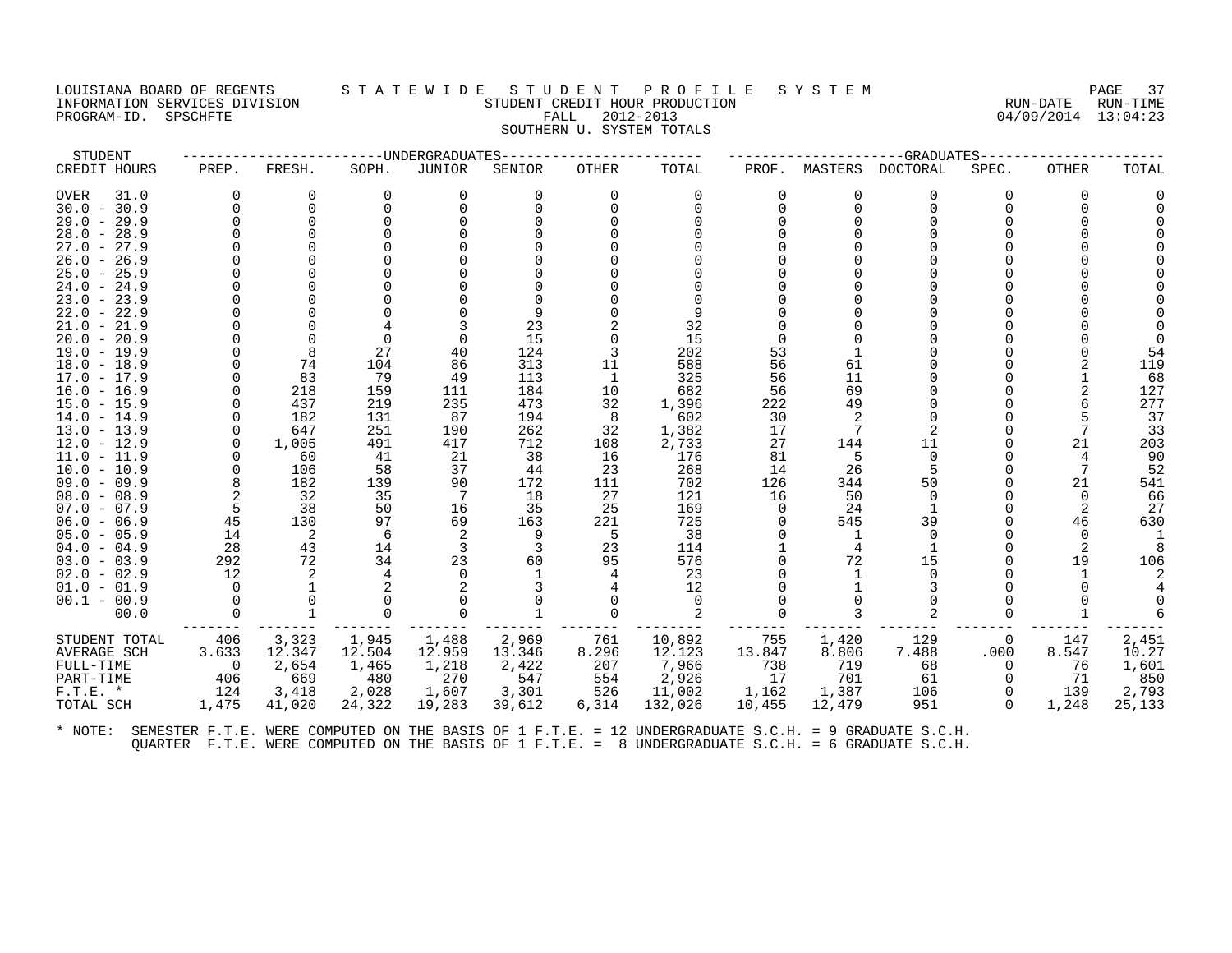#### LOUISIANA BOARD OF REGENTS STATEWIDE STUDENT PROFILE SYSTEM NAGE 37 INFORMATION SERVICES DIVISION STUDENT CREDIT HOUR PRODUCTION RUN-DATE RUN-TIME PROGRAM-ID. SPSCHFTE FALL 2012-2013 04/09/2014 13:04:23 SOUTHERN U. SYSTEM TOTALS

| STUDENT       |          |        |        | -----UNDERGRADUATES |        |       |          |          |         | -GRADUATES |          |          |       |
|---------------|----------|--------|--------|---------------------|--------|-------|----------|----------|---------|------------|----------|----------|-------|
| CREDIT HOURS  | PREP.    | FRESH. | SOPH.  | JUNIOR              | SENIOR | OTHER | TOTAL    | PROF.    | MASTERS | DOCTORAL   | SPEC.    | OTHER    | TOTAL |
| OVER<br>31.0  | $\Omega$ | O      |        |                     |        |       | $\Omega$ | $\Omega$ | O       | $\Omega$   |          | $\Omega$ |       |
| $30.0 - 30.9$ |          |        |        |                     |        |       |          | 0        |         |            |          |          |       |
| $29.0 - 29.9$ |          |        |        |                     |        |       |          |          |         |            |          |          |       |
| $28.0 - 28.9$ |          |        |        |                     |        |       |          |          |         |            |          |          |       |
| $27.0 - 27.9$ |          |        |        |                     |        |       |          |          |         |            |          |          |       |
| $26.0 - 26.9$ |          |        |        |                     |        |       |          |          |         |            |          |          |       |
| $25.0 - 25.9$ |          |        |        |                     |        |       |          |          |         |            |          |          |       |
| $24.0 - 24.9$ |          |        |        |                     |        |       |          |          |         |            |          |          |       |
| $23.0 - 23.9$ |          |        |        |                     |        |       |          |          |         |            |          |          |       |
| $22.0 - 22.9$ |          |        |        |                     |        |       |          |          |         |            |          |          |       |
| $21.0 - 21.9$ |          |        |        |                     | 23     |       | 32       |          |         |            |          |          |       |
| $20.0 - 20.9$ |          |        |        |                     | 15     |       | 15       |          |         |            |          |          |       |
| $19.0 - 19.9$ |          |        | 27     | 40                  | 124    |       | 202      | 53       |         |            |          |          |       |
| $18.0 - 18.9$ |          | 74     | 104    | 86                  | 313    | 11    | 588      | 56       | 61      |            |          |          | 119   |
| $17.0 - 17.9$ |          | 83     | 79     | 49                  | 113    |       | 325      | 56       | 11      |            |          |          | 68    |
| $16.0 - 16.9$ |          | 218    | 159    | 111                 | 184    | 10    | 682      | 56       | 69      |            |          |          | 127   |
| $15.0 - 15.9$ |          | 437    | 219    | 235                 | 473    | 32    | 1,396    | 222      | 49      |            |          |          | 277   |
| $14.0 - 14.9$ |          | 182    | 131    | 87                  | 194    | 8     | 602      | 30       |         |            |          |          | 37    |
| $13.0 - 13.9$ | $\Omega$ | 647    | 251    | 190                 | 262    | 32    | 1,382    | 17       |         |            |          |          | 33    |
| $12.0 - 12.9$ |          | 1,005  | 491    | 417                 | 712    | 108   | 2,733    | 27       | 144     | 11         |          | 21       | 203   |
| $11.0 - 11.9$ |          | 60     | 41     | 21                  | 38     | 16    | 176      | 81       | 5       | 0          |          |          | 90    |
| $10.0 - 10.9$ |          | 106    | 58     | 37                  | 44     | 23    | 268      | 14       | 26      |            |          |          | 52    |
| 09.0 - 09.9   |          | 182    | 139    | 90                  | 172    | 111   | 702      | 126      | 344     | 50         |          | 21       | 541   |
| $08.0 - 08.9$ |          | 32     | 35     |                     | 18     | 27    | 121      | 16       | 50      | $\Omega$   |          | $\Omega$ | 66    |
| $07.0 - 07.9$ |          | 38     | 50     | 16                  | 35     | 25    | 169      |          | 24      |            |          |          | 27    |
| $06.0 - 06.9$ | 45       | 130    | 97     | 69                  | 163    | 221   | 725      |          | 545     | 39         |          | 46       | 630   |
| $05.0 - 05.9$ | 14       | 2      | 6      | 2                   |        | -5    | 38       |          |         | $\Omega$   |          |          |       |
| $04.0 - 04.9$ | 28       | 43     | 14     |                     |        | 23    | 114      |          |         |            |          |          |       |
| $03.0 - 03.9$ | 292      | 72     | 34     | 23                  | 60     | 95    | 576      |          | 72      | 15         |          | 19       | 106   |
| $02.0 - 02.9$ | 12       |        |        |                     |        |       | 23       |          |         |            |          |          |       |
| $01.0 - 01.9$ |          |        |        |                     |        |       | 12       |          |         |            |          |          |       |
| $00.1 - 00.9$ |          |        |        |                     |        |       |          |          |         |            |          |          |       |
| 00.0          |          |        |        |                     |        |       |          |          |         |            |          |          |       |
| STUDENT TOTAL | 406      | 3,323  | 1,945  | 1,488               | 2,969  | 761   | 10,892   | 755      | 1,420   | 129        | 0        | 147      | 2,451 |
| AVERAGE SCH   | 3.633    | 12.347 | 12.504 | 12.959              | 13.346 | 8.296 | 12.123   | 13.847   | 8.806   | 7.488      | .000     | 8.547    | 10.27 |
| FULL-TIME     | $\Omega$ | 2,654  | 1,465  | 1,218               | 2,422  | 207   | 7,966    | 738      | 719     | 68         | $\Omega$ | 76       | 1,601 |

PART-TIME 406 669 480 270 547 554 2,926 17 701 61 0 71 850 F.T.E. \* 124 3,418 2,028 1,607 3,301 526 11,002 1,162 1,387 106 0 139 2,793 TOTAL SCH 1,475 41,020 24,322 19,283 39,612 6,314 132,026 10,455 12,479 951 0 1,248 25,133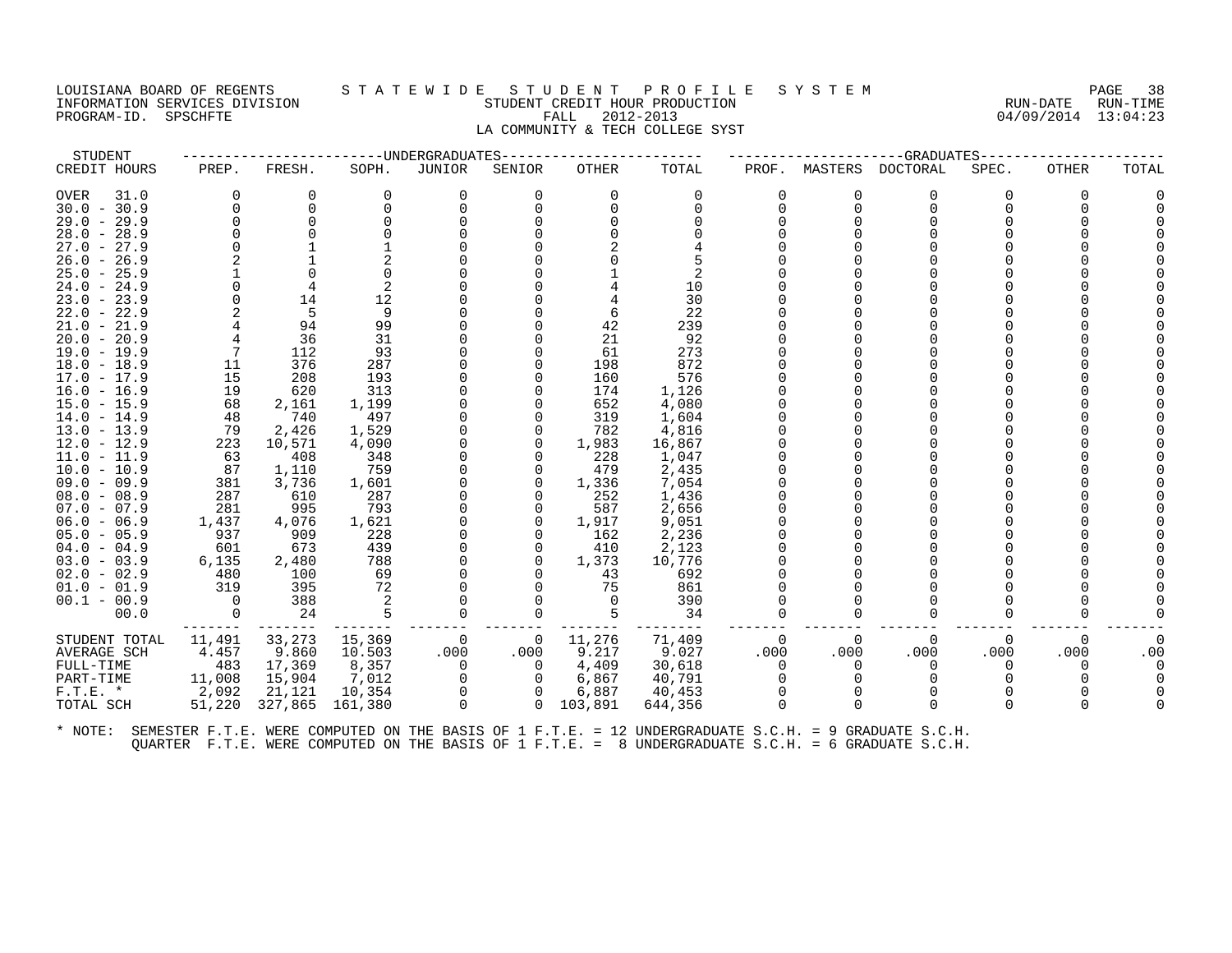#### LOUISIANA BOARD OF REGENTS S T A T E W I D E S T U D E N T P R O F I L E S Y S T E M PAGE 38 INFORMATION SERVICES DIVISION STUDENT CREDIT HOUR PRODUCTION RUN-DATE RUN-TIME PROGRAM-ID. SPSCHFTE FALL 2012-2013 04/09/2014 13:04:23 LA COMMUNITY & TECH COLLEGE SYST

| STUDENT                        |          |              |              | ----UNDERGRADUATES |          |            |                |          |              | -GRADUATES |          |          |       |
|--------------------------------|----------|--------------|--------------|--------------------|----------|------------|----------------|----------|--------------|------------|----------|----------|-------|
| CREDIT HOURS                   | PREP.    | FRESH.       | SOPH.        | JUNIOR             | SENIOR   | OTHER      | TOTAL          | PROF.    | MASTERS      | DOCTORAL   | SPEC.    | OTHER    | TOTAL |
| OVER<br>31.0                   | $\Omega$ | 0            | $\Omega$     | 0                  | 0        | 0          | $\Omega$       |          | 0            | $\Omega$   | $\Omega$ | $\Omega$ |       |
| $30.0 - 30.9$                  | $\Omega$ | 0            |              |                    |          | $\Omega$   |                |          | <sup>0</sup> | $\Omega$   |          |          |       |
| 29.0<br>$-29.9$                |          | $\Omega$     |              |                    |          |            |                |          |              |            |          |          |       |
| $28.0 - 28.9$                  |          |              |              |                    |          |            |                |          |              |            |          |          |       |
| 27.0<br>$-27.9$                |          |              |              |                    |          |            |                |          |              |            |          |          |       |
| $26.0 - 26.9$                  |          |              |              |                    |          |            |                |          |              |            |          |          |       |
| $25.0 - 25.9$                  |          |              |              |                    |          |            | 2              |          |              |            |          |          |       |
| $24.0 - 24.9$                  | $\Omega$ | 4            |              |                    |          |            | 10             |          |              |            |          |          |       |
| $23.0 - 23.9$                  | $\Omega$ | 14           | 12           |                    |          |            | 30             |          |              |            |          |          |       |
| $22.0 - 22.9$                  |          | .5           | 9            |                    |          | 6          | 22             |          |              |            |          |          |       |
| $21.0 - 21.9$                  |          | 94           | 99           |                    |          | 42         | 239            |          |              |            |          |          |       |
| $20.0 - 20.9$                  |          | 36           | 31           |                    |          | 21         | 92             |          |              |            |          |          |       |
| $19.0 - 19.9$                  |          | 112          | 93           |                    |          | 61         | 273            |          |              |            |          |          |       |
| $18.0 - 18.9$                  | 11       | 376          | 287          |                    |          | 198        | 872            |          |              |            |          |          |       |
| $17.0 - 17.9$                  | 15       | 208          | 193          |                    |          | 160        | 576            |          |              |            |          |          |       |
| $16.0 - 16.9$                  | 19       | 620          | 313          |                    |          | 174        | 1,126          |          |              |            |          |          |       |
| $15.0 - 15.9$                  | 68<br>48 | 2,161<br>740 | 1,199<br>497 |                    |          | 652<br>319 | 4,080<br>1,604 |          |              |            |          |          |       |
| $14.0 - 14.9$<br>$13.0 - 13.9$ | 79       | 2,426        | 1,529        |                    |          | 782        | 4,816          |          |              |            |          |          |       |
| $12.0 - 12.9$                  | 223      | 10,571       | 4,090        |                    | 0        | 1,983      | 16,867         |          |              |            |          |          |       |
| $11.0 - 11.9$                  | 63       | 408          | 348          |                    | O        | 228        | 1,047          |          |              |            |          |          |       |
| $10.0 - 10.9$                  | 87       | 1,110        | 759          |                    |          | 479        | 2,435          |          |              |            |          |          |       |
| $09.0 - 09.9$                  | 381      | 3,736        | 1,601        |                    | U        | 1,336      | 7,054          |          |              |            |          |          |       |
| $08.0 - 08.9$                  | 287      | 610          | 287          |                    |          | 252        | 1,436          |          |              |            |          |          |       |
| $07.0 - 07.9$                  | 281      | 995          | 793          |                    |          | 587        | 2,656          |          |              |            |          |          |       |
| $06.0 - 06.9$                  | 1,437    | 4,076        | 1,621        |                    | $\Omega$ | 1,917      | 9,051          |          |              |            |          |          |       |
| $05.0 - 05.9$                  | 937      | 909          | 228          |                    |          | 162        | 2,236          |          |              |            |          |          |       |
| $04.0 - 04.9$                  | 601      | 673          | 439          |                    | O        | 410        | 2,123          |          |              |            |          |          |       |
| $03.0 - 03.9$                  | 6,135    | 2,480        | 788          |                    |          | 1,373      | 10,776         |          |              |            |          |          |       |
| $02.0 - 02.9$                  | 480      | 100          | 69           |                    |          | 43         | 692            |          |              |            |          |          |       |
| $01.0 - 01.9$                  | 319      | 395          | 72           |                    |          | 75         | 861            |          |              |            |          |          |       |
| $00.1 - 00.9$                  | $\Omega$ | 388          |              |                    |          | $\Omega$   | 390            |          |              |            |          |          |       |
| 00.0                           | 0        | 24           |              |                    | 0        |            | 34             |          | <sup>0</sup> | $\Omega$   |          |          |       |
| STUDENT TOTAL                  | 11,491   | 33,273       | 15,369       | $\Omega$           | 0        | 11,276     | 71,409         | $\Omega$ | $\Omega$     | $\Omega$   | $\Omega$ | $\Omega$ |       |
| AVERAGE SCH                    | 4.457    | 9.860        | 10.503       | .000.              | .000     | 9.217      | 9.027          | .000     | .000         | .000       | .000     | .000     | .00   |
| FULL-TIME                      | 483      | 17,369       | 8,357        | $\Omega$           | $\Omega$ | 4,409      | 30,618         |          | 0            | $\Omega$   | $\Omega$ | 0        |       |
| PART-TIME                      | 11,008   | 15,904       | 7,012        |                    | 0        | 6,867      | 40,791         |          |              |            |          |          |       |
| $F.T.E. *$                     | 2,092    | 21,121       | 10,354       | 0                  | $\Omega$ | 6,887      | 40,453         |          |              | O          |          |          |       |
| TOTAL SCH                      | 51,220   | 327,865      | 161,380      | $\Omega$           | $\Omega$ | 103,891    | 644,356        |          | $\Omega$     | ∩          |          | 0        |       |
|                                |          |              |              |                    |          |            |                |          |              |            |          |          |       |